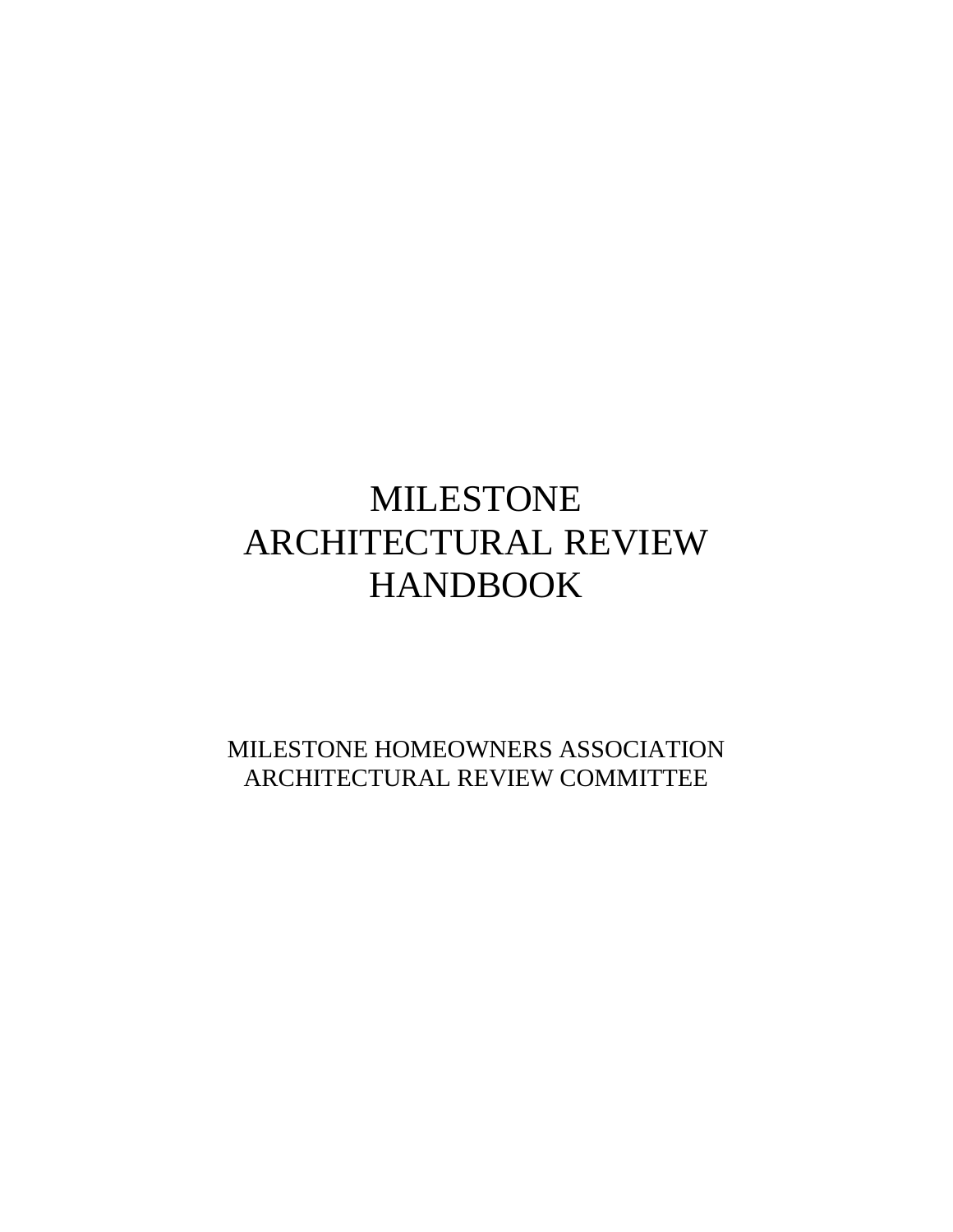# MILESTONE ARCHITECTURAL REVIEW HANDBOOK

MILESTONE HOMEOWNERS ASSOCIATION ARCHITECTURAL REVIEW COMMITTEE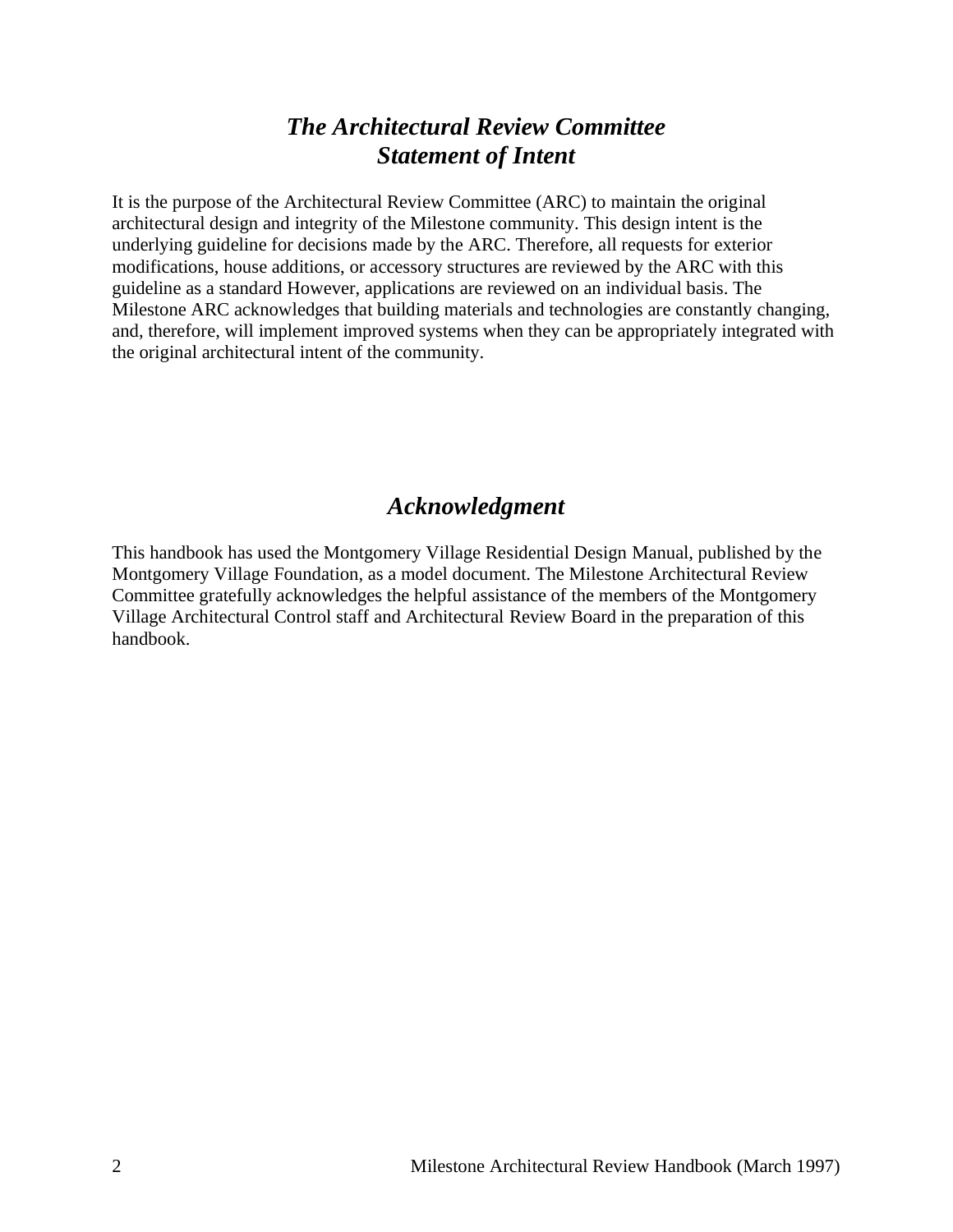# *The Architectural Review Committee Statement of Intent*

It is the purpose of the Architectural Review Committee (ARC) to maintain the original architectural design and integrity of the Milestone community. This design intent is the underlying guideline for decisions made by the ARC. Therefore, all requests for exterior modifications, house additions, or accessory structures are reviewed by the ARC with this guideline as a standard However, applications are reviewed on an individual basis. The Milestone ARC acknowledges that building materials and technologies are constantly changing, and, therefore, will implement improved systems when they can be appropriately integrated with the original architectural intent of the community.

# *Acknowledgment*

This handbook has used the Montgomery Village Residential Design Manual, published by the Montgomery Village Foundation, as a model document. The Milestone Architectural Review Committee gratefully acknowledges the helpful assistance of the members of the Montgomery Village Architectural Control staff and Architectural Review Board in the preparation of this handbook.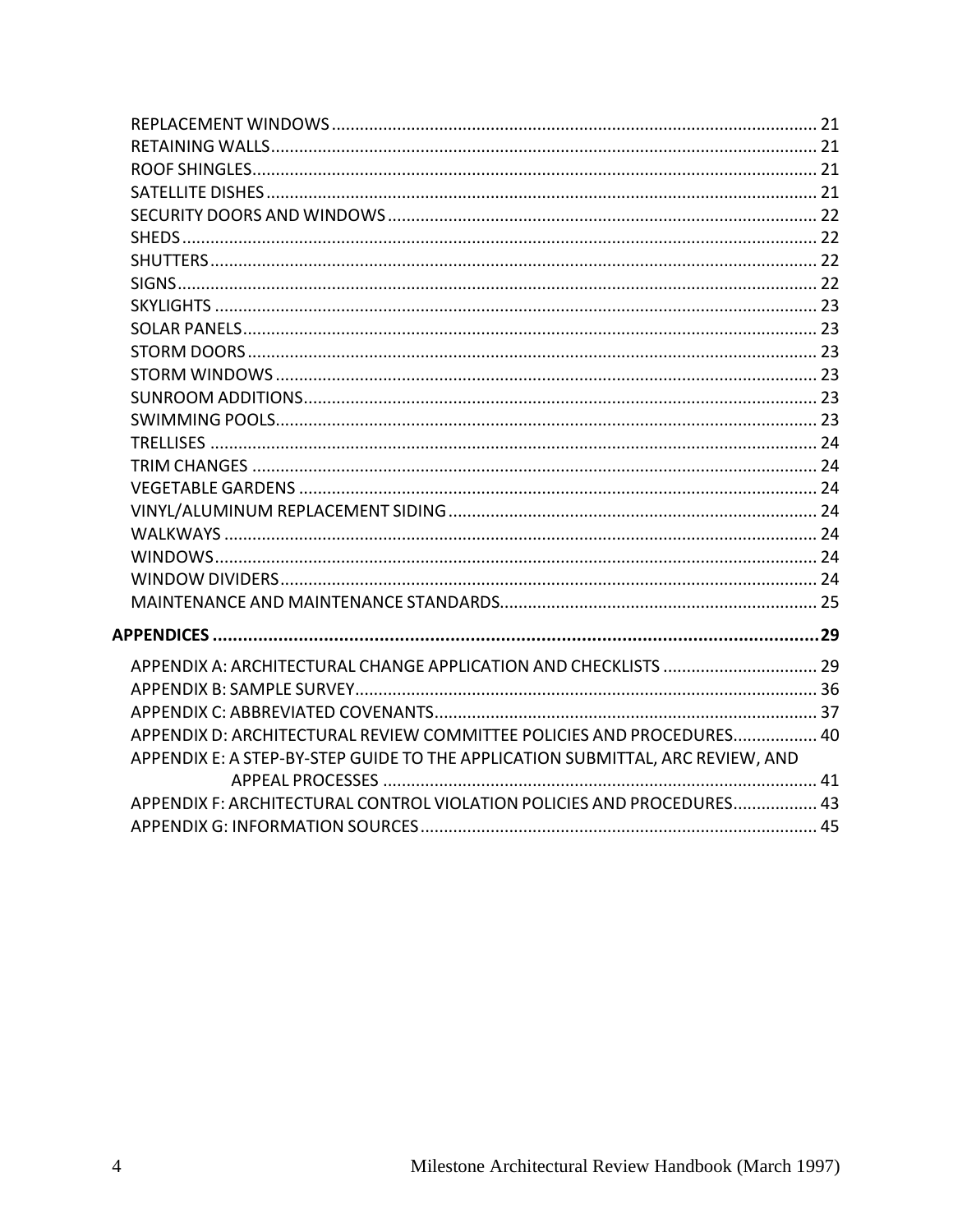| APPENDIX D: ARCHITECTURAL REVIEW COMMITTEE POLICIES AND PROCEDURES 40          |  |
|--------------------------------------------------------------------------------|--|
| APPENDIX E: A STEP-BY-STEP GUIDE TO THE APPLICATION SUBMITTAL, ARC REVIEW, AND |  |
| APPENDIX F: ARCHITECTURAL CONTROL VIOLATION POLICIES AND PROCEDURES 43         |  |
|                                                                                |  |
|                                                                                |  |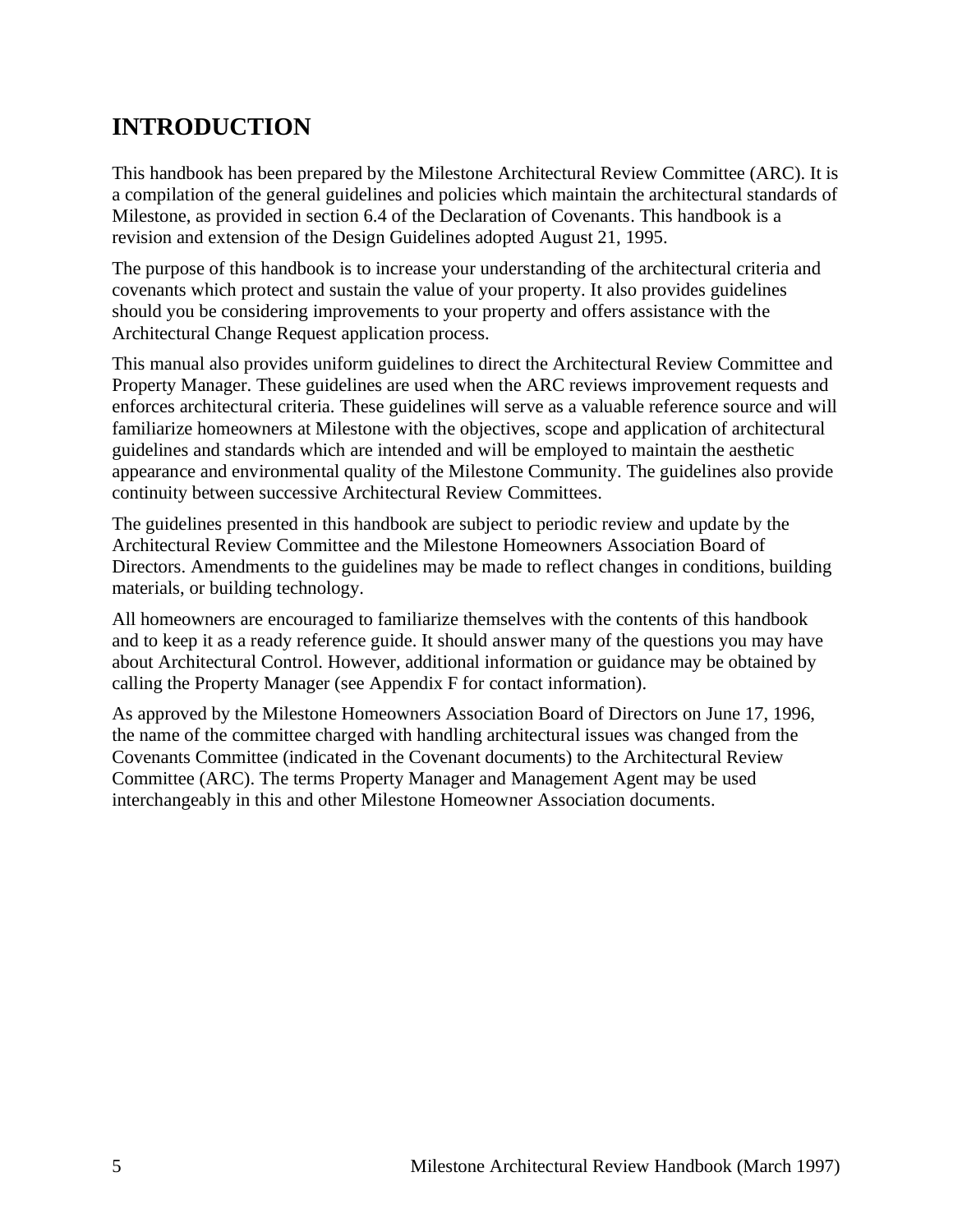# <span id="page-4-0"></span>**INTRODUCTION**

This handbook has been prepared by the Milestone Architectural Review Committee (ARC). It is a compilation of the general guidelines and policies which maintain the architectural standards of Milestone, as provided in section 6.4 of the Declaration of Covenants. This handbook is a revision and extension of the Design Guidelines adopted August 21, 1995.

The purpose of this handbook is to increase your understanding of the architectural criteria and covenants which protect and sustain the value of your property. It also provides guidelines should you be considering improvements to your property and offers assistance with the Architectural Change Request application process.

This manual also provides uniform guidelines to direct the Architectural Review Committee and Property Manager. These guidelines are used when the ARC reviews improvement requests and enforces architectural criteria. These guidelines will serve as a valuable reference source and will familiarize homeowners at Milestone with the objectives, scope and application of architectural guidelines and standards which are intended and will be employed to maintain the aesthetic appearance and environmental quality of the Milestone Community. The guidelines also provide continuity between successive Architectural Review Committees.

The guidelines presented in this handbook are subject to periodic review and update by the Architectural Review Committee and the Milestone Homeowners Association Board of Directors. Amendments to the guidelines may be made to reflect changes in conditions, building materials, or building technology.

All homeowners are encouraged to familiarize themselves with the contents of this handbook and to keep it as a ready reference guide. It should answer many of the questions you may have about Architectural Control. However, additional information or guidance may be obtained by calling the Property Manager (see Appendix F for contact information).

As approved by the Milestone Homeowners Association Board of Directors on June 17, 1996, the name of the committee charged with handling architectural issues was changed from the Covenants Committee (indicated in the Covenant documents) to the Architectural Review Committee (ARC). The terms Property Manager and Management Agent may be used interchangeably in this and other Milestone Homeowner Association documents.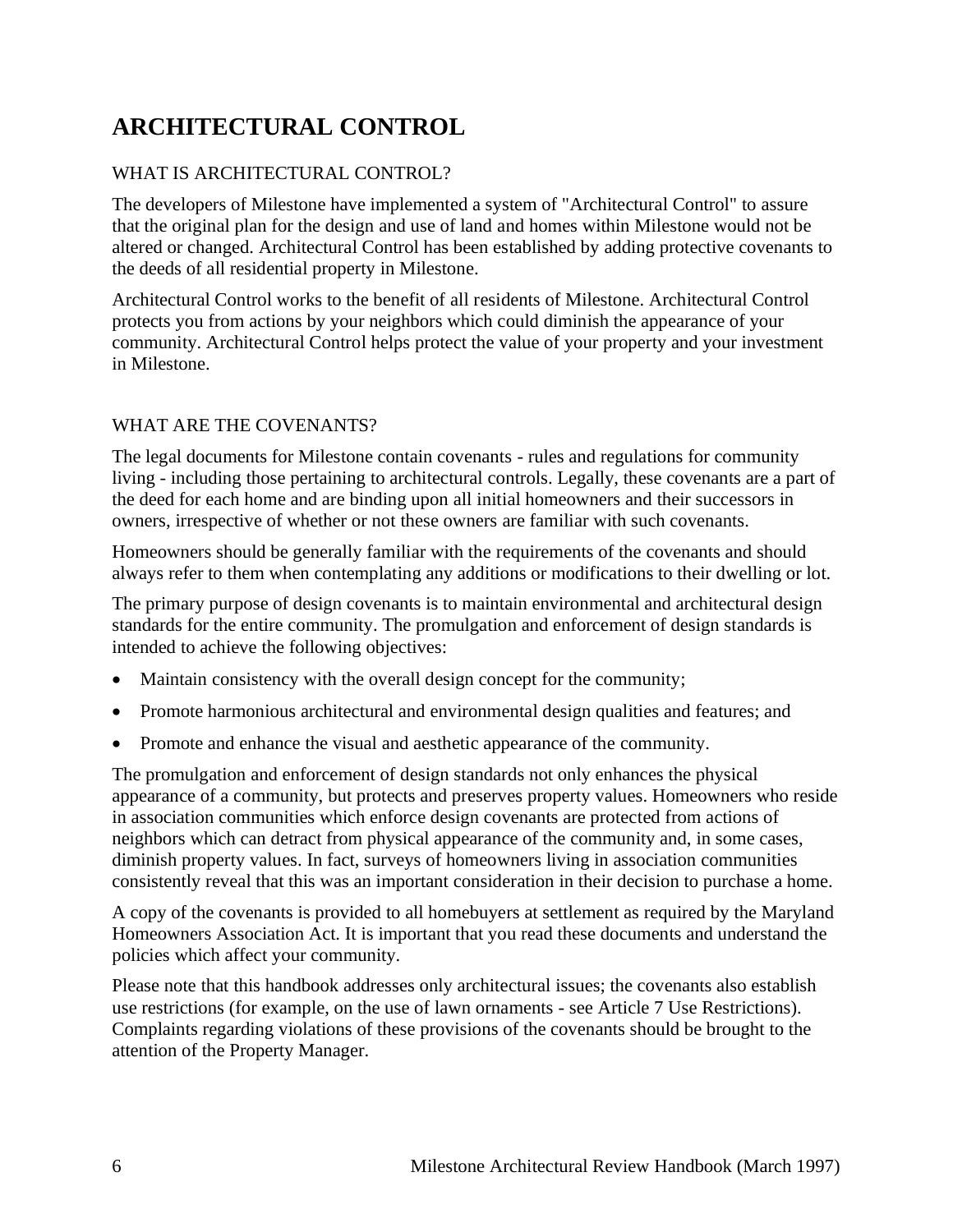# <span id="page-5-0"></span>**ARCHITECTURAL CONTROL**

### WHAT IS ARCHITECTURAL CONTROL?

The developers of Milestone have implemented a system of "Architectural Control" to assure that the original plan for the design and use of land and homes within Milestone would not be altered or changed. Architectural Control has been established by adding protective covenants to the deeds of all residential property in Milestone.

Architectural Control works to the benefit of all residents of Milestone. Architectural Control protects you from actions by your neighbors which could diminish the appearance of your community. Architectural Control helps protect the value of your property and your investment in Milestone.

### WHAT ARE THE COVENANTS?

The legal documents for Milestone contain covenants - rules and regulations for community living - including those pertaining to architectural controls. Legally, these covenants are a part of the deed for each home and are binding upon all initial homeowners and their successors in owners, irrespective of whether or not these owners are familiar with such covenants.

Homeowners should be generally familiar with the requirements of the covenants and should always refer to them when contemplating any additions or modifications to their dwelling or lot.

The primary purpose of design covenants is to maintain environmental and architectural design standards for the entire community. The promulgation and enforcement of design standards is intended to achieve the following objectives:

- Maintain consistency with the overall design concept for the community;
- Promote harmonious architectural and environmental design qualities and features; and
- Promote and enhance the visual and aesthetic appearance of the community.

The promulgation and enforcement of design standards not only enhances the physical appearance of a community, but protects and preserves property values. Homeowners who reside in association communities which enforce design covenants are protected from actions of neighbors which can detract from physical appearance of the community and, in some cases, diminish property values. In fact, surveys of homeowners living in association communities consistently reveal that this was an important consideration in their decision to purchase a home.

A copy of the covenants is provided to all homebuyers at settlement as required by the Maryland Homeowners Association Act. It is important that you read these documents and understand the policies which affect your community.

Please note that this handbook addresses only architectural issues; the covenants also establish use restrictions (for example, on the use of lawn ornaments - see Article 7 Use Restrictions). Complaints regarding violations of these provisions of the covenants should be brought to the attention of the Property Manager.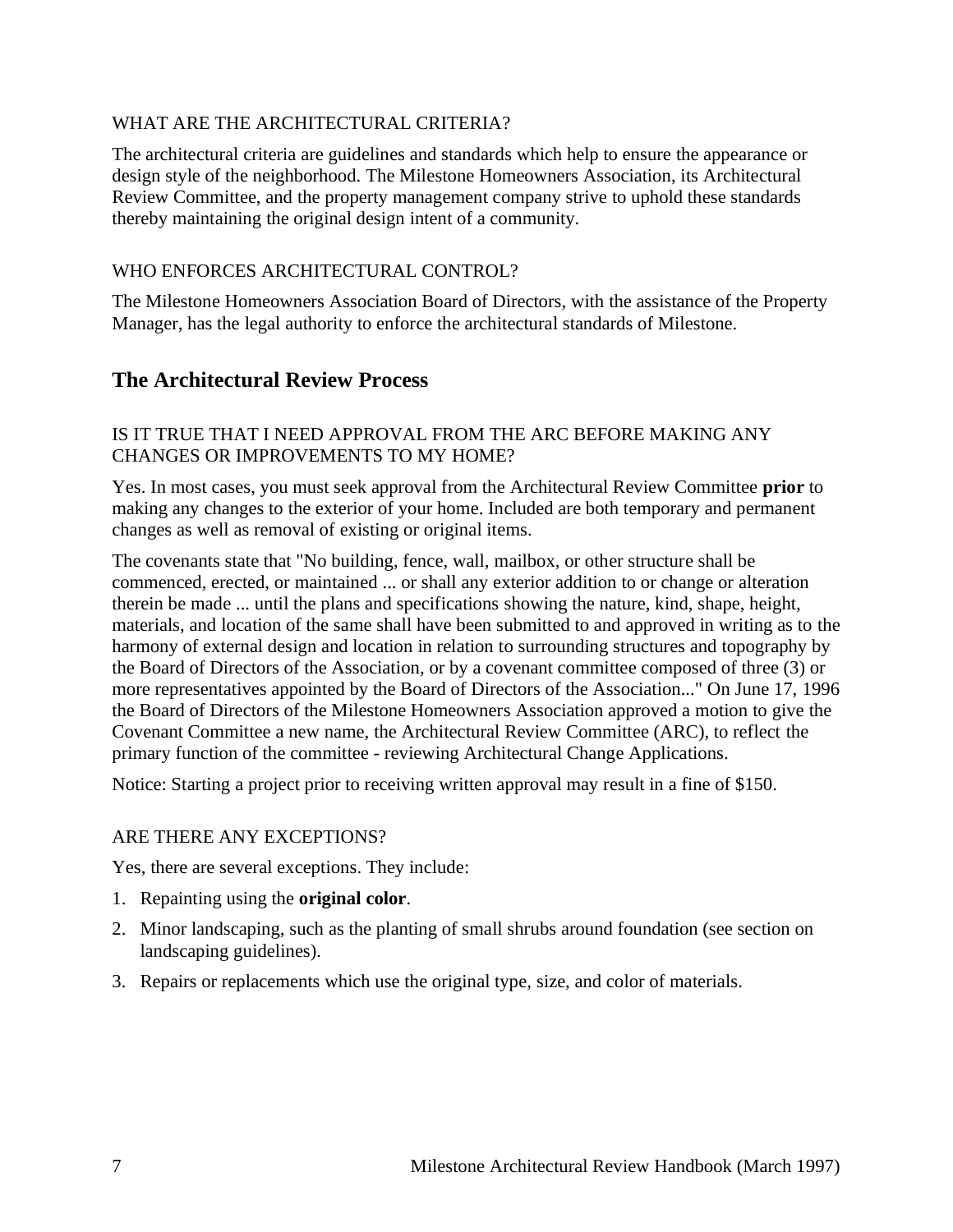#### WHAT ARE THE ARCHITECTURAL CRITERIA?

The architectural criteria are guidelines and standards which help to ensure the appearance or design style of the neighborhood. The Milestone Homeowners Association, its Architectural Review Committee, and the property management company strive to uphold these standards thereby maintaining the original design intent of a community.

#### WHO ENFORCES ARCHITECTURAL CONTROL?

The Milestone Homeowners Association Board of Directors, with the assistance of the Property Manager, has the legal authority to enforce the architectural standards of Milestone.

### <span id="page-6-0"></span>**The Architectural Review Process**

#### IS IT TRUE THAT I NEED APPROVAL FROM THE ARC BEFORE MAKING ANY CHANGES OR IMPROVEMENTS TO MY HOME?

Yes. In most cases, you must seek approval from the Architectural Review Committee **prior** to making any changes to the exterior of your home. Included are both temporary and permanent changes as well as removal of existing or original items.

The covenants state that "No building, fence, wall, mailbox, or other structure shall be commenced, erected, or maintained ... or shall any exterior addition to or change or alteration therein be made ... until the plans and specifications showing the nature, kind, shape, height, materials, and location of the same shall have been submitted to and approved in writing as to the harmony of external design and location in relation to surrounding structures and topography by the Board of Directors of the Association, or by a covenant committee composed of three (3) or more representatives appointed by the Board of Directors of the Association..." On June 17, 1996 the Board of Directors of the Milestone Homeowners Association approved a motion to give the Covenant Committee a new name, the Architectural Review Committee (ARC), to reflect the primary function of the committee - reviewing Architectural Change Applications.

Notice: Starting a project prior to receiving written approval may result in a fine of \$150.

#### ARE THERE ANY EXCEPTIONS?

Yes, there are several exceptions. They include:

- 1. Repainting using the **original color**.
- 2. Minor landscaping, such as the planting of small shrubs around foundation (see section on landscaping guidelines).
- 3. Repairs or replacements which use the original type, size, and color of materials.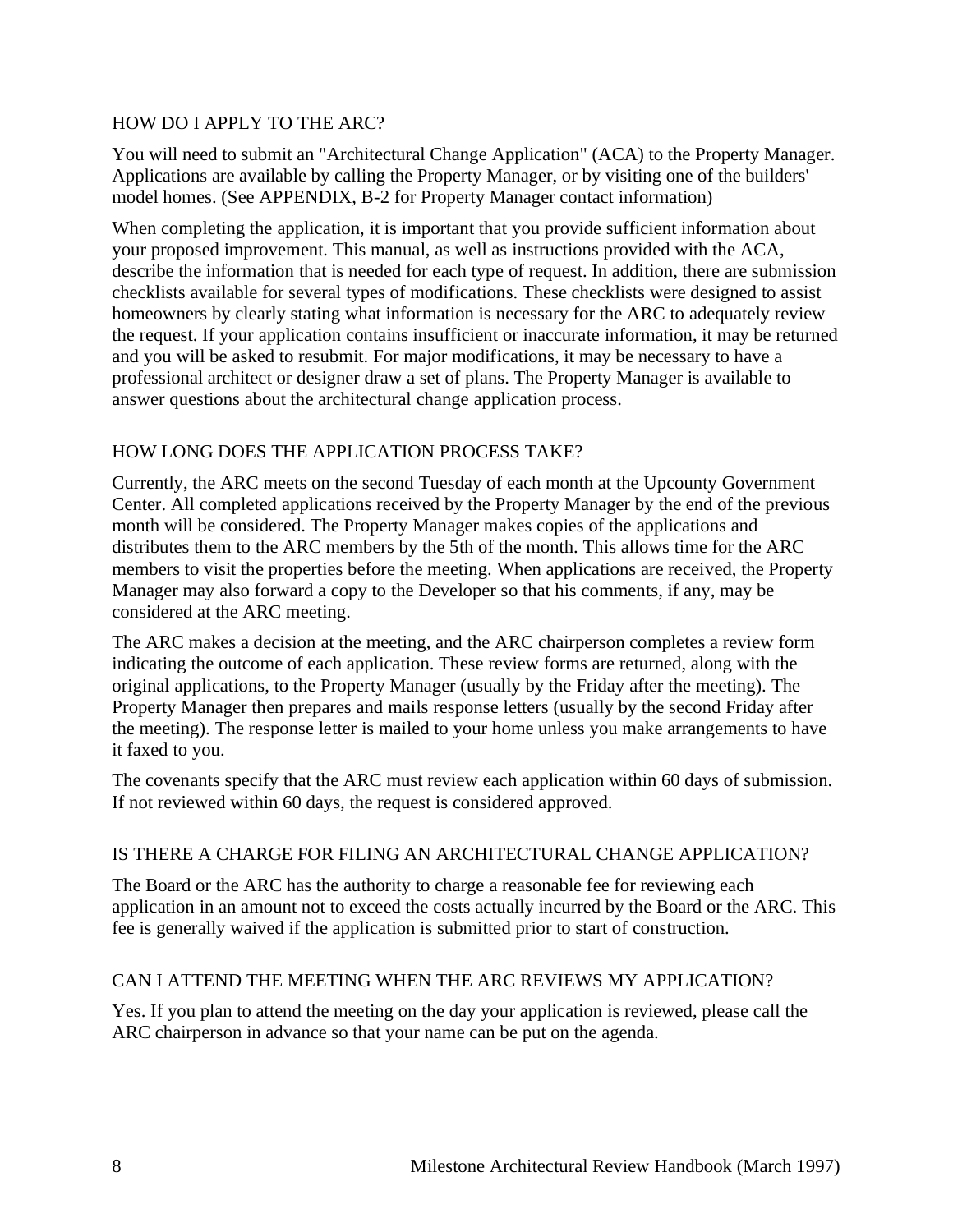#### HOW DO I APPLY TO THE ARC?

You will need to submit an "Architectural Change Application" (ACA) to the Property Manager. Applications are available by calling the Property Manager, or by visiting one of the builders' model homes. (See APPENDIX, B-2 for Property Manager contact information)

When completing the application, it is important that you provide sufficient information about your proposed improvement. This manual, as well as instructions provided with the ACA, describe the information that is needed for each type of request. In addition, there are submission checklists available for several types of modifications. These checklists were designed to assist homeowners by clearly stating what information is necessary for the ARC to adequately review the request. If your application contains insufficient or inaccurate information, it may be returned and you will be asked to resubmit. For major modifications, it may be necessary to have a professional architect or designer draw a set of plans. The Property Manager is available to answer questions about the architectural change application process.

### HOW LONG DOES THE APPLICATION PROCESS TAKE?

Currently, the ARC meets on the second Tuesday of each month at the Upcounty Government Center. All completed applications received by the Property Manager by the end of the previous month will be considered. The Property Manager makes copies of the applications and distributes them to the ARC members by the 5th of the month. This allows time for the ARC members to visit the properties before the meeting. When applications are received, the Property Manager may also forward a copy to the Developer so that his comments, if any, may be considered at the ARC meeting.

The ARC makes a decision at the meeting, and the ARC chairperson completes a review form indicating the outcome of each application. These review forms are returned, along with the original applications, to the Property Manager (usually by the Friday after the meeting). The Property Manager then prepares and mails response letters (usually by the second Friday after the meeting). The response letter is mailed to your home unless you make arrangements to have it faxed to you.

The covenants specify that the ARC must review each application within 60 days of submission. If not reviewed within 60 days, the request is considered approved.

#### IS THERE A CHARGE FOR FILING AN ARCHITECTURAL CHANGE APPLICATION?

The Board or the ARC has the authority to charge a reasonable fee for reviewing each application in an amount not to exceed the costs actually incurred by the Board or the ARC. This fee is generally waived if the application is submitted prior to start of construction.

#### CAN I ATTEND THE MEETING WHEN THE ARC REVIEWS MY APPLICATION?

Yes. If you plan to attend the meeting on the day your application is reviewed, please call the ARC chairperson in advance so that your name can be put on the agenda.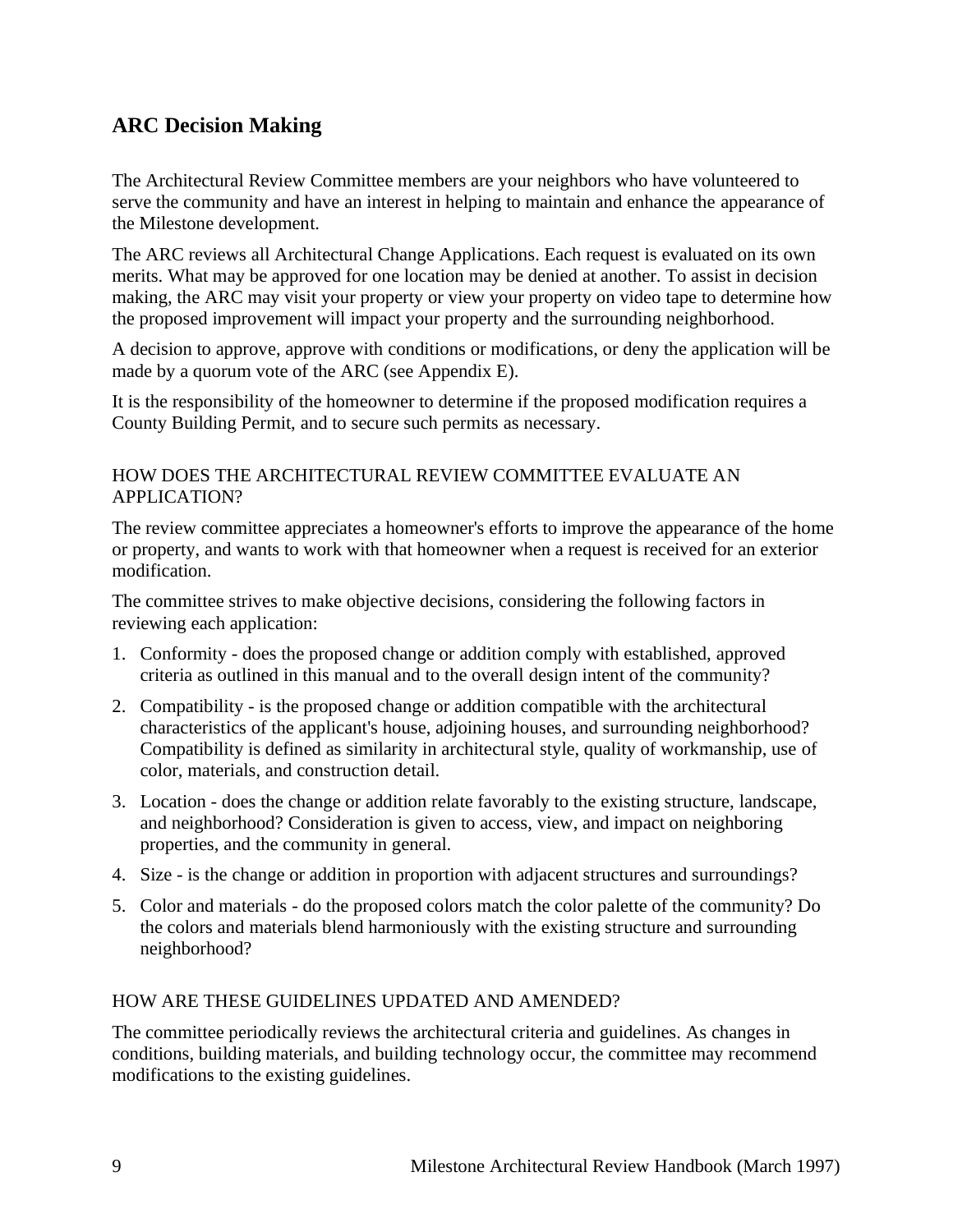# <span id="page-8-0"></span>**ARC Decision Making**

The Architectural Review Committee members are your neighbors who have volunteered to serve the community and have an interest in helping to maintain and enhance the appearance of the Milestone development.

The ARC reviews all Architectural Change Applications. Each request is evaluated on its own merits. What may be approved for one location may be denied at another. To assist in decision making, the ARC may visit your property or view your property on video tape to determine how the proposed improvement will impact your property and the surrounding neighborhood.

A decision to approve, approve with conditions or modifications, or deny the application will be made by a quorum vote of the ARC (see Appendix E).

It is the responsibility of the homeowner to determine if the proposed modification requires a County Building Permit, and to secure such permits as necessary.

#### HOW DOES THE ARCHITECTURAL REVIEW COMMITTEE EVALUATE AN APPLICATION?

The review committee appreciates a homeowner's efforts to improve the appearance of the home or property, and wants to work with that homeowner when a request is received for an exterior modification.

The committee strives to make objective decisions, considering the following factors in reviewing each application:

- 1. Conformity does the proposed change or addition comply with established, approved criteria as outlined in this manual and to the overall design intent of the community?
- 2. Compatibility is the proposed change or addition compatible with the architectural characteristics of the applicant's house, adjoining houses, and surrounding neighborhood? Compatibility is defined as similarity in architectural style, quality of workmanship, use of color, materials, and construction detail.
- 3. Location does the change or addition relate favorably to the existing structure, landscape, and neighborhood? Consideration is given to access, view, and impact on neighboring properties, and the community in general.
- 4. Size is the change or addition in proportion with adjacent structures and surroundings?
- 5. Color and materials do the proposed colors match the color palette of the community? Do the colors and materials blend harmoniously with the existing structure and surrounding neighborhood?

#### HOW ARE THESE GUIDELINES UPDATED AND AMENDED?

The committee periodically reviews the architectural criteria and guidelines. As changes in conditions, building materials, and building technology occur, the committee may recommend modifications to the existing guidelines.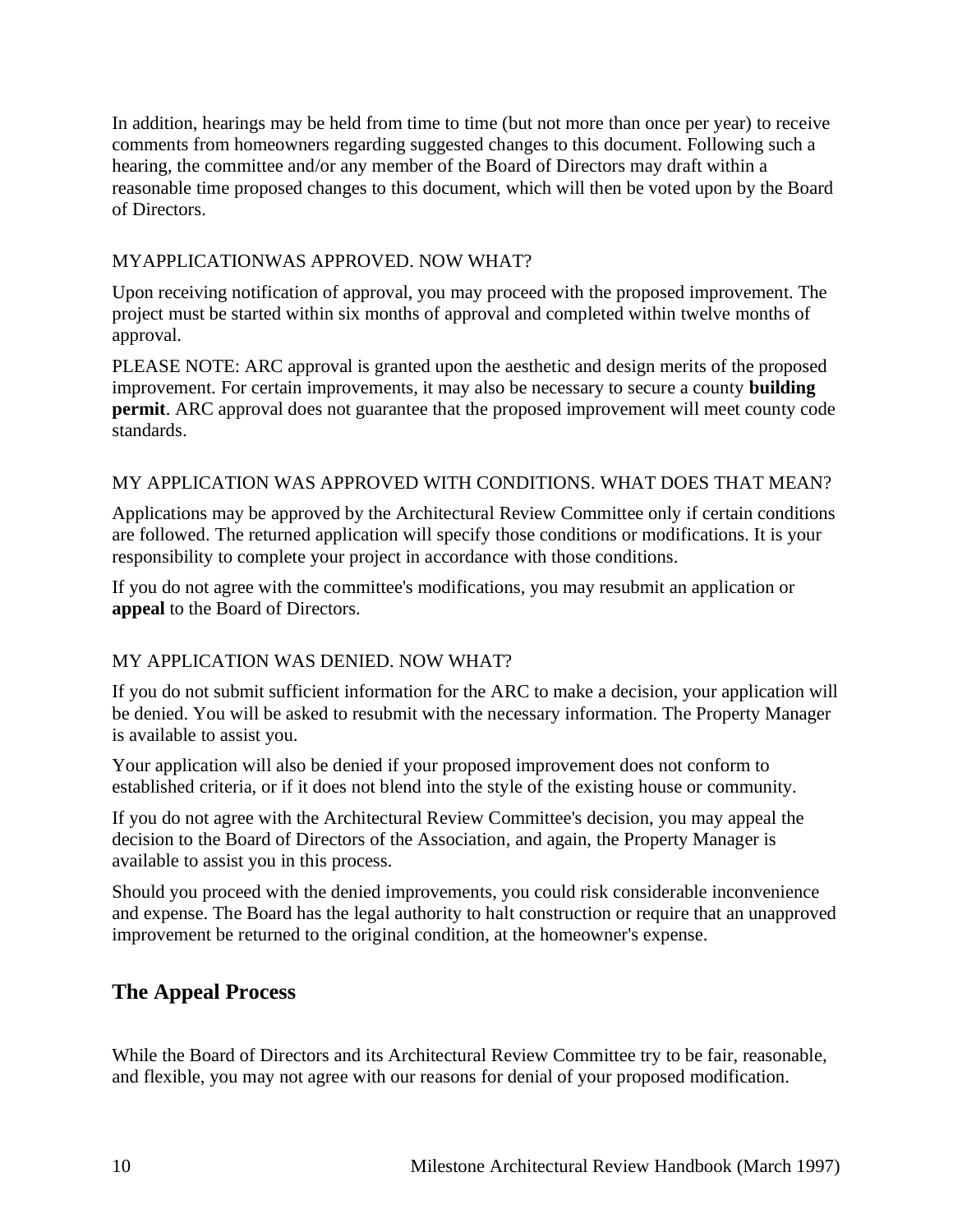In addition, hearings may be held from time to time (but not more than once per year) to receive comments from homeowners regarding suggested changes to this document. Following such a hearing, the committee and/or any member of the Board of Directors may draft within a reasonable time proposed changes to this document, which will then be voted upon by the Board of Directors.

### MYAPPLICATIONWAS APPROVED. NOW WHAT?

Upon receiving notification of approval, you may proceed with the proposed improvement. The project must be started within six months of approval and completed within twelve months of approval.

PLEASE NOTE: ARC approval is granted upon the aesthetic and design merits of the proposed improvement. For certain improvements, it may also be necessary to secure a county **building permit**. ARC approval does not guarantee that the proposed improvement will meet county code standards.

### MY APPLICATION WAS APPROVED WITH CONDITIONS. WHAT DOES THAT MEAN?

Applications may be approved by the Architectural Review Committee only if certain conditions are followed. The returned application will specify those conditions or modifications. It is your responsibility to complete your project in accordance with those conditions.

If you do not agree with the committee's modifications, you may resubmit an application or **appeal** to the Board of Directors.

#### MY APPLICATION WAS DENIED. NOW WHAT?

If you do not submit sufficient information for the ARC to make a decision, your application will be denied. You will be asked to resubmit with the necessary information. The Property Manager is available to assist you.

Your application will also be denied if your proposed improvement does not conform to established criteria, or if it does not blend into the style of the existing house or community.

If you do not agree with the Architectural Review Committee's decision, you may appeal the decision to the Board of Directors of the Association, and again, the Property Manager is available to assist you in this process.

Should you proceed with the denied improvements, you could risk considerable inconvenience and expense. The Board has the legal authority to halt construction or require that an unapproved improvement be returned to the original condition, at the homeowner's expense.

# <span id="page-9-0"></span>**The Appeal Process**

While the Board of Directors and its Architectural Review Committee try to be fair, reasonable, and flexible, you may not agree with our reasons for denial of your proposed modification.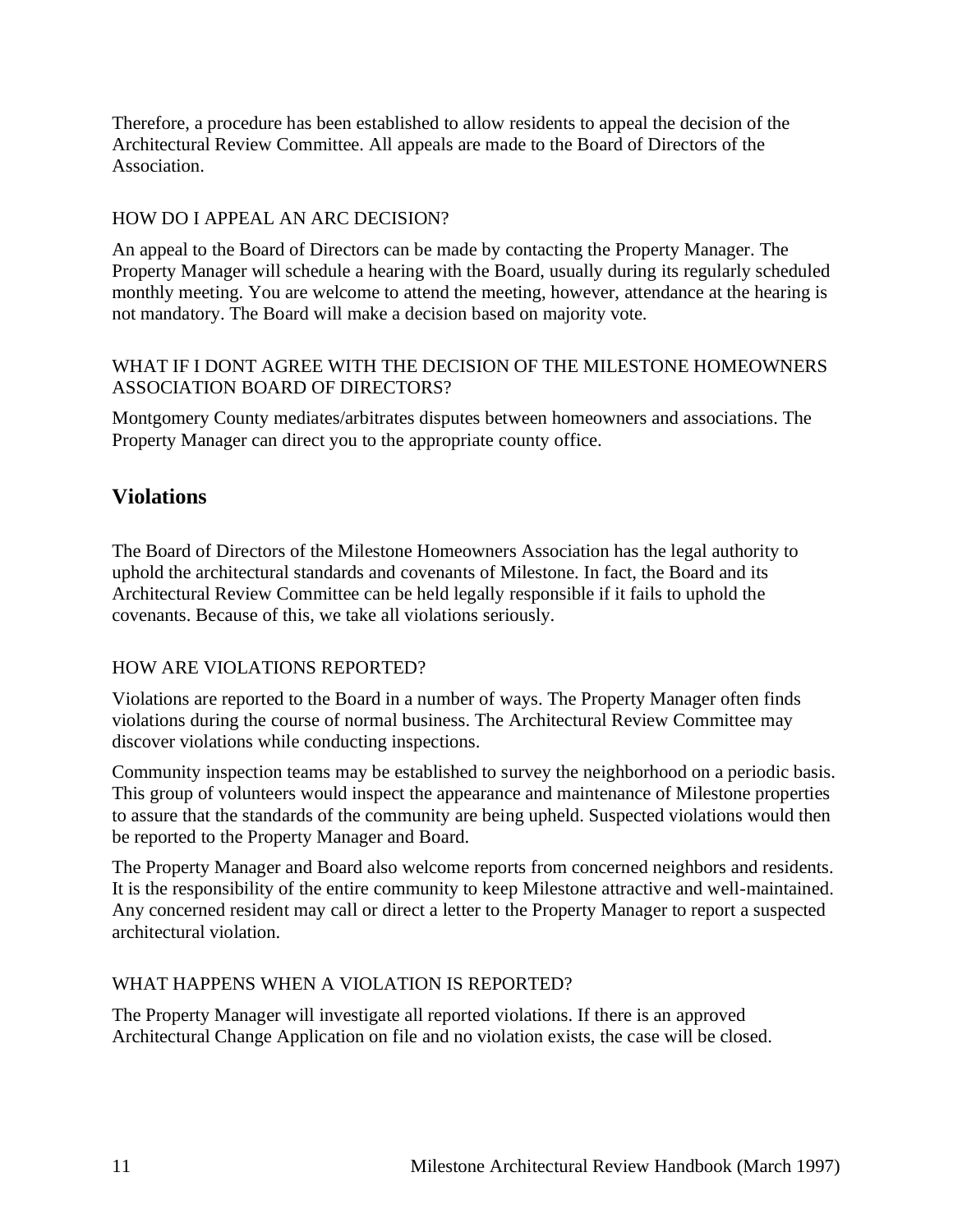Therefore, a procedure has been established to allow residents to appeal the decision of the Architectural Review Committee. All appeals are made to the Board of Directors of the Association.

### HOW DO I APPEAL AN ARC DECISION?

An appeal to the Board of Directors can be made by contacting the Property Manager. The Property Manager will schedule a hearing with the Board, usually during its regularly scheduled monthly meeting. You are welcome to attend the meeting, however, attendance at the hearing is not mandatory. The Board will make a decision based on majority vote.

#### WHAT IF I DONT AGREE WITH THE DECISION OF THE MILESTONE HOMEOWNERS ASSOCIATION BOARD OF DIRECTORS?

Montgomery County mediates/arbitrates disputes between homeowners and associations. The Property Manager can direct you to the appropriate county office.

### <span id="page-10-0"></span>**Violations**

The Board of Directors of the Milestone Homeowners Association has the legal authority to uphold the architectural standards and covenants of Milestone. In fact, the Board and its Architectural Review Committee can be held legally responsible if it fails to uphold the covenants. Because of this, we take all violations seriously.

#### HOW ARE VIOLATIONS REPORTED?

Violations are reported to the Board in a number of ways. The Property Manager often finds violations during the course of normal business. The Architectural Review Committee may discover violations while conducting inspections.

Community inspection teams may be established to survey the neighborhood on a periodic basis. This group of volunteers would inspect the appearance and maintenance of Milestone properties to assure that the standards of the community are being upheld. Suspected violations would then be reported to the Property Manager and Board.

The Property Manager and Board also welcome reports from concerned neighbors and residents. It is the responsibility of the entire community to keep Milestone attractive and well-maintained. Any concerned resident may call or direct a letter to the Property Manager to report a suspected architectural violation.

#### WHAT HAPPENS WHEN A VIOLATION IS REPORTED?

The Property Manager will investigate all reported violations. If there is an approved Architectural Change Application on file and no violation exists, the case will be closed.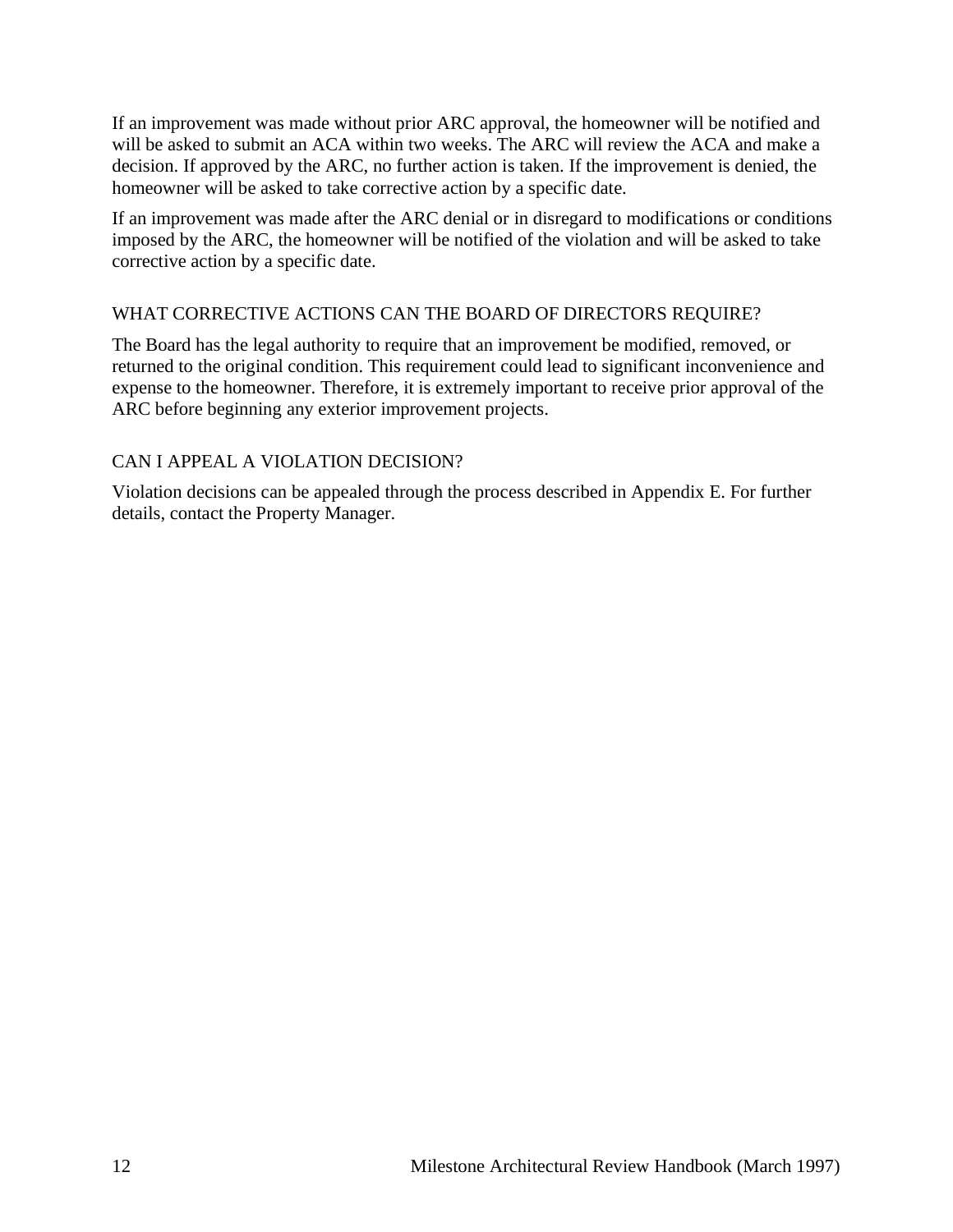If an improvement was made without prior ARC approval, the homeowner will be notified and will be asked to submit an ACA within two weeks. The ARC will review the ACA and make a decision. If approved by the ARC, no further action is taken. If the improvement is denied, the homeowner will be asked to take corrective action by a specific date.

If an improvement was made after the ARC denial or in disregard to modifications or conditions imposed by the ARC, the homeowner will be notified of the violation and will be asked to take corrective action by a specific date.

### WHAT CORRECTIVE ACTIONS CAN THE BOARD OF DIRECTORS REQUIRE?

The Board has the legal authority to require that an improvement be modified, removed, or returned to the original condition. This requirement could lead to significant inconvenience and expense to the homeowner. Therefore, it is extremely important to receive prior approval of the ARC before beginning any exterior improvement projects.

### CAN I APPEAL A VIOLATION DECISION?

Violation decisions can be appealed through the process described in Appendix E. For further details, contact the Property Manager.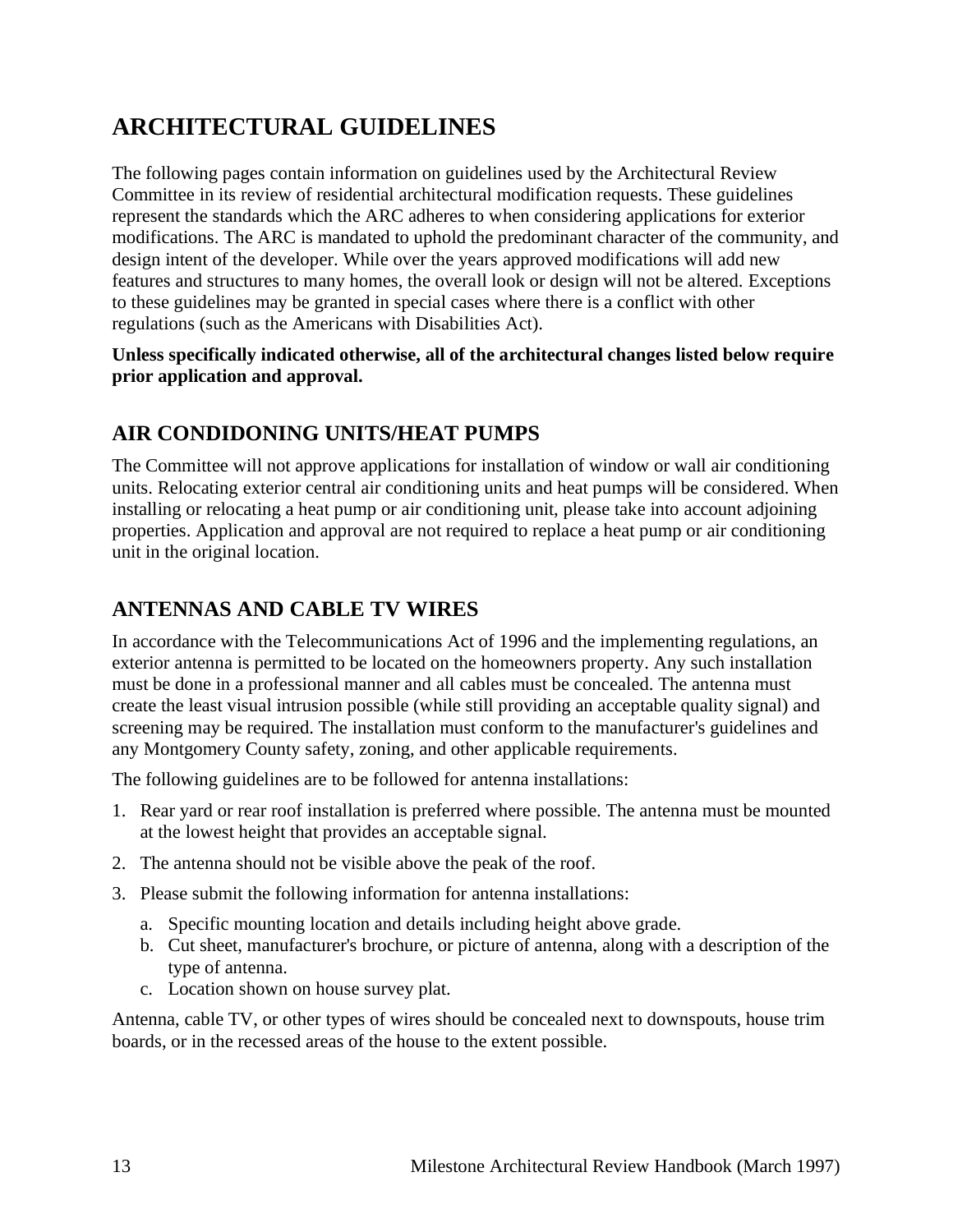# <span id="page-12-0"></span>**ARCHITECTURAL GUIDELINES**

The following pages contain information on guidelines used by the Architectural Review Committee in its review of residential architectural modification requests. These guidelines represent the standards which the ARC adheres to when considering applications for exterior modifications. The ARC is mandated to uphold the predominant character of the community, and design intent of the developer. While over the years approved modifications will add new features and structures to many homes, the overall look or design will not be altered. Exceptions to these guidelines may be granted in special cases where there is a conflict with other regulations (such as the Americans with Disabilities Act).

### **Unless specifically indicated otherwise, all of the architectural changes listed below require prior application and approval.**

# <span id="page-12-1"></span>**AIR CONDIDONING UNITS/HEAT PUMPS**

The Committee will not approve applications for installation of window or wall air conditioning units. Relocating exterior central air conditioning units and heat pumps will be considered. When installing or relocating a heat pump or air conditioning unit, please take into account adjoining properties. Application and approval are not required to replace a heat pump or air conditioning unit in the original location.

# <span id="page-12-2"></span>**ANTENNAS AND CABLE TV WIRES**

In accordance with the Telecommunications Act of 1996 and the implementing regulations, an exterior antenna is permitted to be located on the homeowners property. Any such installation must be done in a professional manner and all cables must be concealed. The antenna must create the least visual intrusion possible (while still providing an acceptable quality signal) and screening may be required. The installation must conform to the manufacturer's guidelines and any Montgomery County safety, zoning, and other applicable requirements.

The following guidelines are to be followed for antenna installations:

- 1. Rear yard or rear roof installation is preferred where possible. The antenna must be mounted at the lowest height that provides an acceptable signal.
- 2. The antenna should not be visible above the peak of the roof.
- 3. Please submit the following information for antenna installations:
	- a. Specific mounting location and details including height above grade.
	- b. Cut sheet, manufacturer's brochure, or picture of antenna, along with a description of the type of antenna.
	- c. Location shown on house survey plat.

Antenna, cable TV, or other types of wires should be concealed next to downspouts, house trim boards, or in the recessed areas of the house to the extent possible.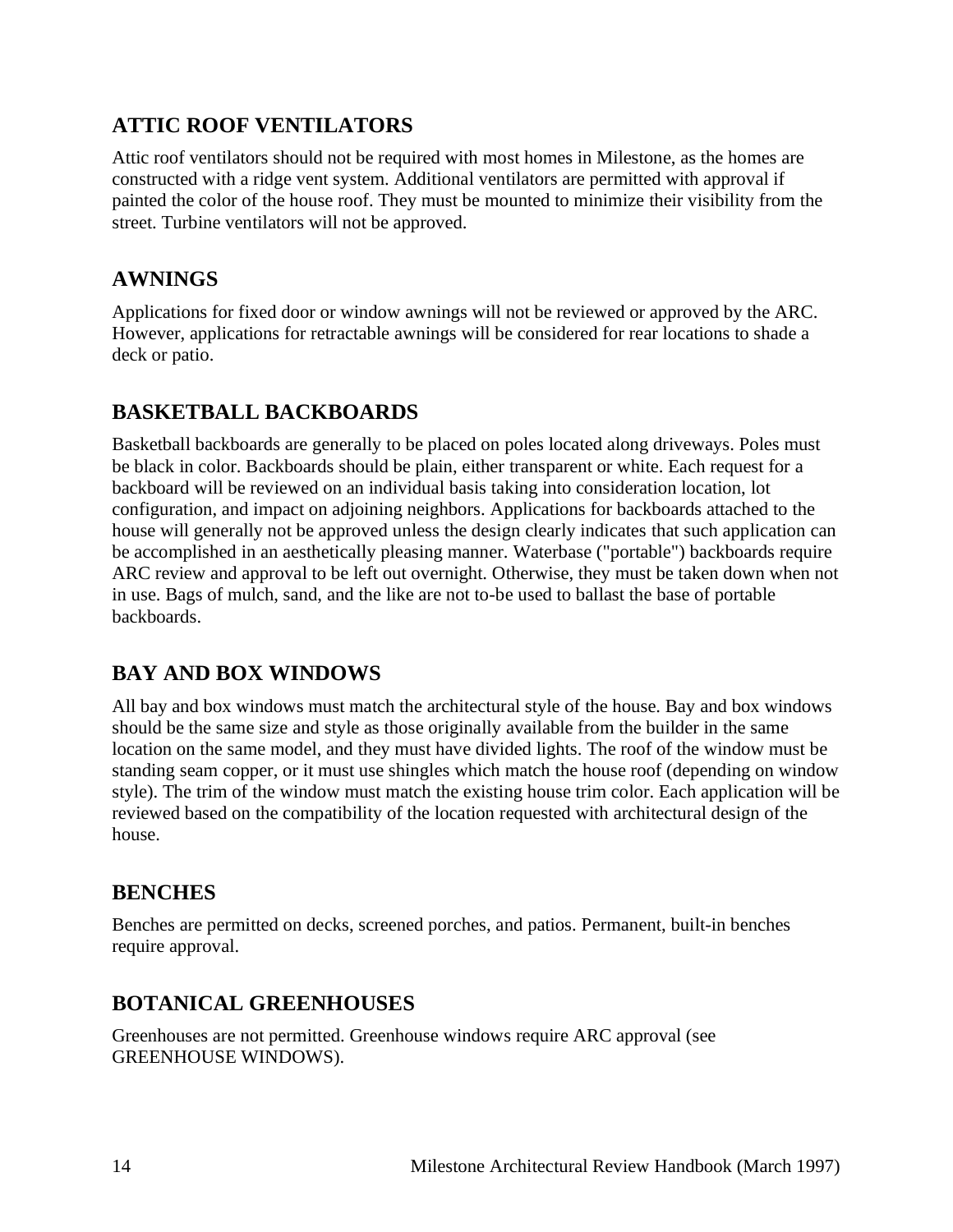# <span id="page-13-0"></span>**ATTIC ROOF VENTILATORS**

Attic roof ventilators should not be required with most homes in Milestone, as the homes are constructed with a ridge vent system. Additional ventilators are permitted with approval if painted the color of the house roof. They must be mounted to minimize their visibility from the street. Turbine ventilators will not be approved.

# <span id="page-13-1"></span>**AWNINGS**

Applications for fixed door or window awnings will not be reviewed or approved by the ARC. However, applications for retractable awnings will be considered for rear locations to shade a deck or patio.

## <span id="page-13-2"></span>**BASKETBALL BACKBOARDS**

Basketball backboards are generally to be placed on poles located along driveways. Poles must be black in color. Backboards should be plain, either transparent or white. Each request for a backboard will be reviewed on an individual basis taking into consideration location, lot configuration, and impact on adjoining neighbors. Applications for backboards attached to the house will generally not be approved unless the design clearly indicates that such application can be accomplished in an aesthetically pleasing manner. Waterbase ("portable") backboards require ARC review and approval to be left out overnight. Otherwise, they must be taken down when not in use. Bags of mulch, sand, and the like are not to-be used to ballast the base of portable backboards.

# <span id="page-13-3"></span>**BAY AND BOX WINDOWS**

All bay and box windows must match the architectural style of the house. Bay and box windows should be the same size and style as those originally available from the builder in the same location on the same model, and they must have divided lights. The roof of the window must be standing seam copper, or it must use shingles which match the house roof (depending on window style). The trim of the window must match the existing house trim color. Each application will be reviewed based on the compatibility of the location requested with architectural design of the house.

# <span id="page-13-4"></span>**BENCHES**

Benches are permitted on decks, screened porches, and patios. Permanent, built-in benches require approval.

# <span id="page-13-5"></span>**BOTANICAL GREENHOUSES**

Greenhouses are not permitted. Greenhouse windows require ARC approval (see GREENHOUSE WINDOWS).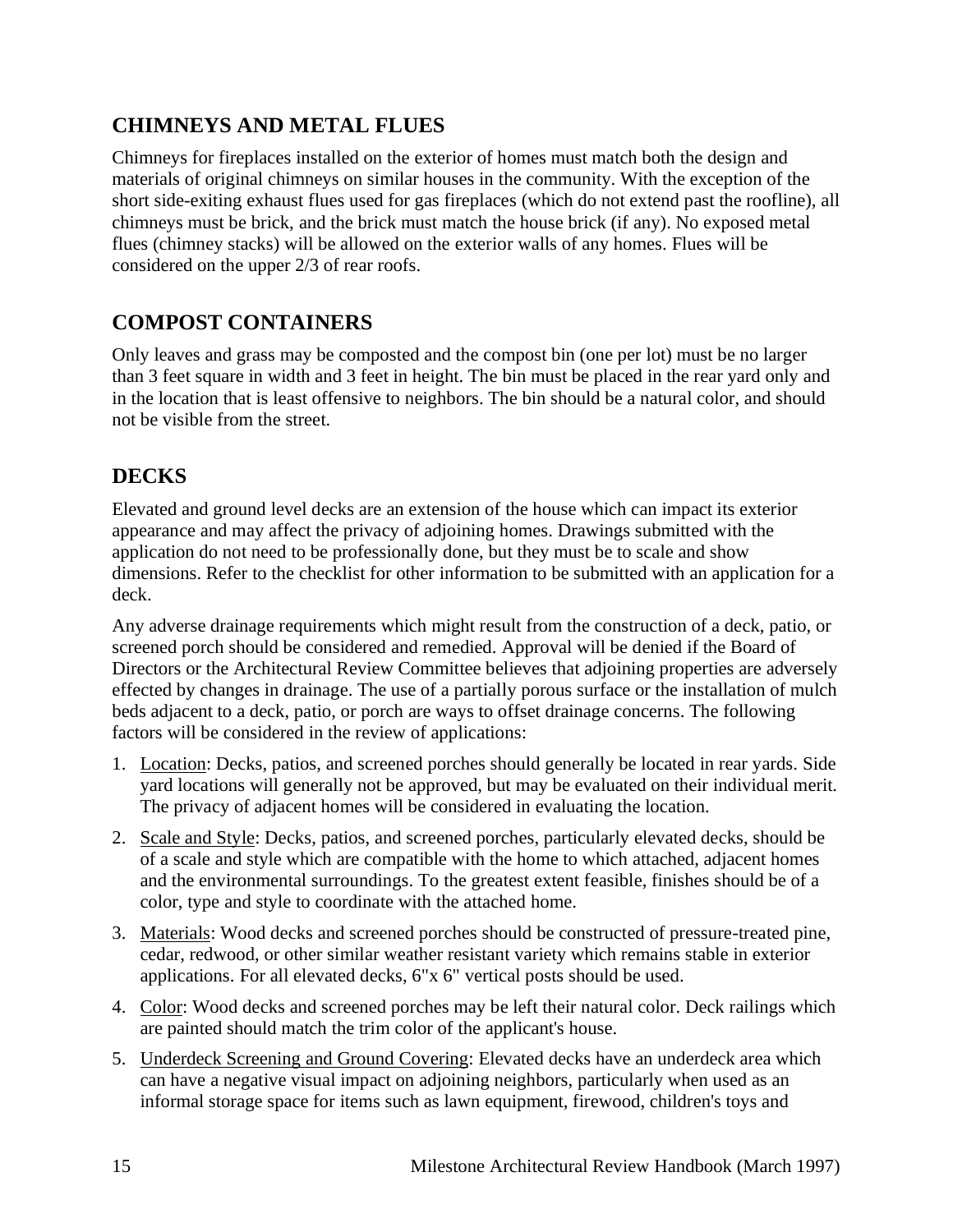# <span id="page-14-0"></span>**CHIMNEYS AND METAL FLUES**

Chimneys for fireplaces installed on the exterior of homes must match both the design and materials of original chimneys on similar houses in the community. With the exception of the short side-exiting exhaust flues used for gas fireplaces (which do not extend past the roofline), all chimneys must be brick, and the brick must match the house brick (if any). No exposed metal flues (chimney stacks) will be allowed on the exterior walls of any homes. Flues will be considered on the upper 2/3 of rear roofs.

# <span id="page-14-1"></span>**COMPOST CONTAINERS**

Only leaves and grass may be composted and the compost bin (one per lot) must be no larger than 3 feet square in width and 3 feet in height. The bin must be placed in the rear yard only and in the location that is least offensive to neighbors. The bin should be a natural color, and should not be visible from the street.

# <span id="page-14-2"></span>**DECKS**

Elevated and ground level decks are an extension of the house which can impact its exterior appearance and may affect the privacy of adjoining homes. Drawings submitted with the application do not need to be professionally done, but they must be to scale and show dimensions. Refer to the checklist for other information to be submitted with an application for a deck.

Any adverse drainage requirements which might result from the construction of a deck, patio, or screened porch should be considered and remedied. Approval will be denied if the Board of Directors or the Architectural Review Committee believes that adjoining properties are adversely effected by changes in drainage. The use of a partially porous surface or the installation of mulch beds adjacent to a deck, patio, or porch are ways to offset drainage concerns. The following factors will be considered in the review of applications:

- 1. Location: Decks, patios, and screened porches should generally be located in rear yards. Side yard locations will generally not be approved, but may be evaluated on their individual merit. The privacy of adjacent homes will be considered in evaluating the location.
- 2. Scale and Style: Decks, patios, and screened porches, particularly elevated decks, should be of a scale and style which are compatible with the home to which attached, adjacent homes and the environmental surroundings. To the greatest extent feasible, finishes should be of a color, type and style to coordinate with the attached home.
- 3. Materials: Wood decks and screened porches should be constructed of pressure-treated pine, cedar, redwood, or other similar weather resistant variety which remains stable in exterior applications. For all elevated decks, 6"x 6" vertical posts should be used.
- 4. Color: Wood decks and screened porches may be left their natural color. Deck railings which are painted should match the trim color of the applicant's house.
- 5. Underdeck Screening and Ground Covering: Elevated decks have an underdeck area which can have a negative visual impact on adjoining neighbors, particularly when used as an informal storage space for items such as lawn equipment, firewood, children's toys and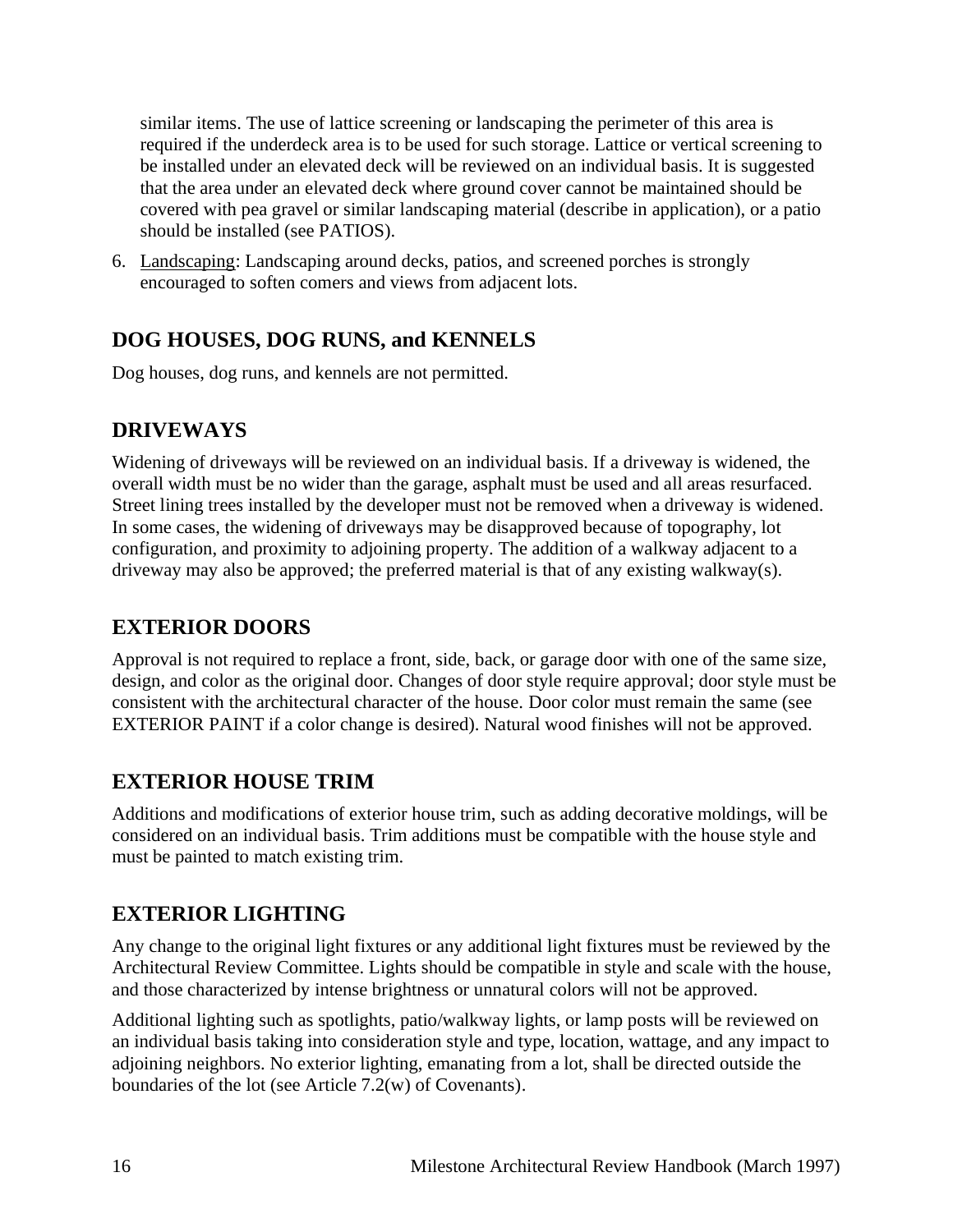similar items. The use of lattice screening or landscaping the perimeter of this area is required if the underdeck area is to be used for such storage. Lattice or vertical screening to be installed under an elevated deck will be reviewed on an individual basis. It is suggested that the area under an elevated deck where ground cover cannot be maintained should be covered with pea gravel or similar landscaping material (describe in application), or a patio should be installed (see PATIOS).

6. Landscaping: Landscaping around decks, patios, and screened porches is strongly encouraged to soften comers and views from adjacent lots.

# <span id="page-15-0"></span>**DOG HOUSES, DOG RUNS, and KENNELS**

Dog houses, dog runs, and kennels are not permitted.

# <span id="page-15-1"></span>**DRIVEWAYS**

Widening of driveways will be reviewed on an individual basis. If a driveway is widened, the overall width must be no wider than the garage, asphalt must be used and all areas resurfaced. Street lining trees installed by the developer must not be removed when a driveway is widened. In some cases, the widening of driveways may be disapproved because of topography, lot configuration, and proximity to adjoining property. The addition of a walkway adjacent to a driveway may also be approved; the preferred material is that of any existing walkway(s).

# <span id="page-15-2"></span>**EXTERIOR DOORS**

Approval is not required to replace a front, side, back, or garage door with one of the same size, design, and color as the original door. Changes of door style require approval; door style must be consistent with the architectural character of the house. Door color must remain the same (see EXTERIOR PAINT if a color change is desired). Natural wood finishes will not be approved.

# <span id="page-15-3"></span>**EXTERIOR HOUSE TRIM**

Additions and modifications of exterior house trim, such as adding decorative moldings, will be considered on an individual basis. Trim additions must be compatible with the house style and must be painted to match existing trim.

# <span id="page-15-4"></span>**EXTERIOR LIGHTING**

Any change to the original light fixtures or any additional light fixtures must be reviewed by the Architectural Review Committee. Lights should be compatible in style and scale with the house, and those characterized by intense brightness or unnatural colors will not be approved.

Additional lighting such as spotlights, patio/walkway lights, or lamp posts will be reviewed on an individual basis taking into consideration style and type, location, wattage, and any impact to adjoining neighbors. No exterior lighting, emanating from a lot, shall be directed outside the boundaries of the lot (see Article 7.2(w) of Covenants).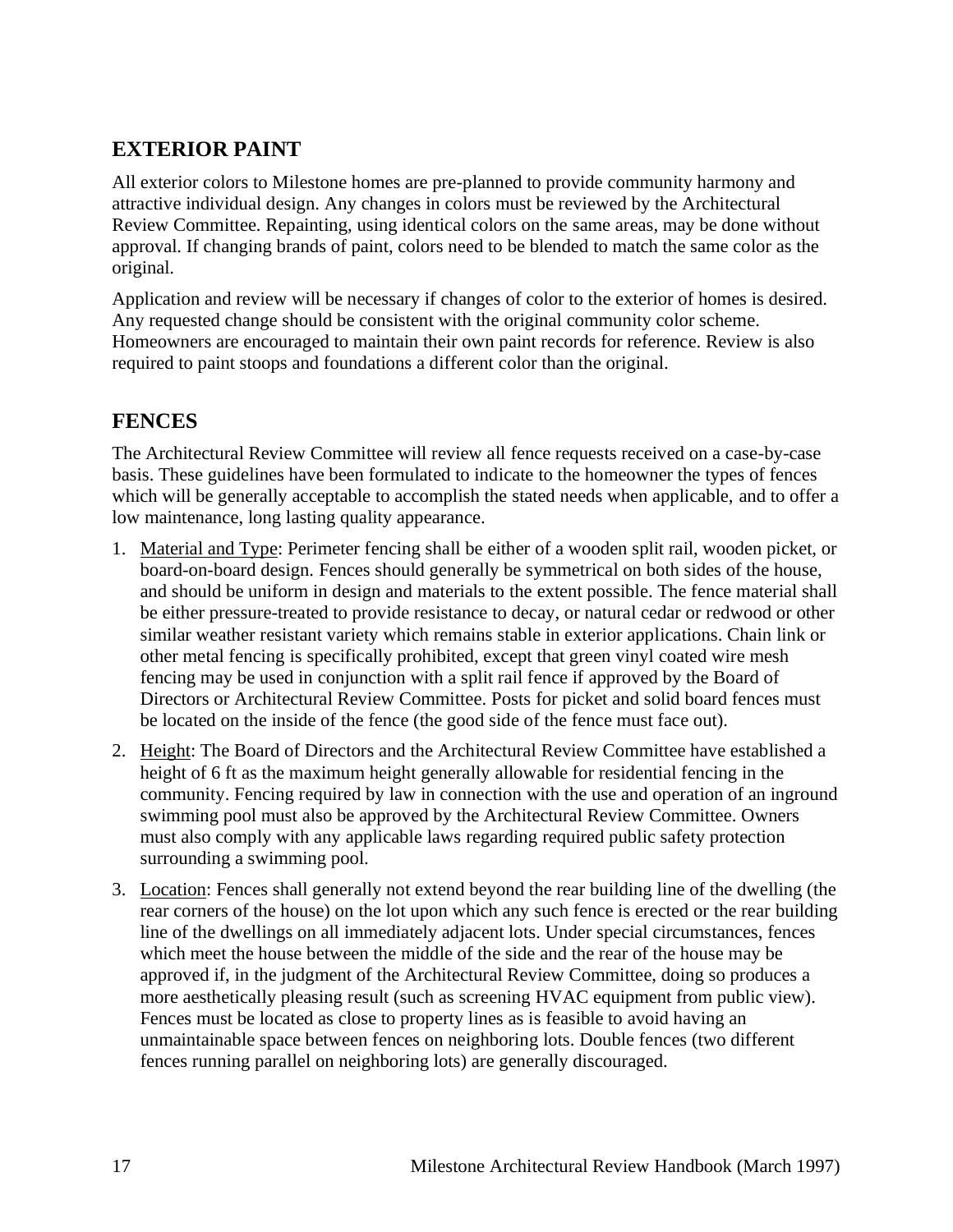# <span id="page-16-0"></span>**EXTERIOR PAINT**

All exterior colors to Milestone homes are pre-planned to provide community harmony and attractive individual design. Any changes in colors must be reviewed by the Architectural Review Committee. Repainting, using identical colors on the same areas, may be done without approval. If changing brands of paint, colors need to be blended to match the same color as the original.

Application and review will be necessary if changes of color to the exterior of homes is desired. Any requested change should be consistent with the original community color scheme. Homeowners are encouraged to maintain their own paint records for reference. Review is also required to paint stoops and foundations a different color than the original.

## <span id="page-16-1"></span>**FENCES**

The Architectural Review Committee will review all fence requests received on a case-by-case basis. These guidelines have been formulated to indicate to the homeowner the types of fences which will be generally acceptable to accomplish the stated needs when applicable, and to offer a low maintenance, long lasting quality appearance.

- 1. Material and Type: Perimeter fencing shall be either of a wooden split rail, wooden picket, or board-on-board design. Fences should generally be symmetrical on both sides of the house, and should be uniform in design and materials to the extent possible. The fence material shall be either pressure-treated to provide resistance to decay, or natural cedar or redwood or other similar weather resistant variety which remains stable in exterior applications. Chain link or other metal fencing is specifically prohibited, except that green vinyl coated wire mesh fencing may be used in conjunction with a split rail fence if approved by the Board of Directors or Architectural Review Committee. Posts for picket and solid board fences must be located on the inside of the fence (the good side of the fence must face out).
- 2. Height: The Board of Directors and the Architectural Review Committee have established a height of 6 ft as the maximum height generally allowable for residential fencing in the community. Fencing required by law in connection with the use and operation of an inground swimming pool must also be approved by the Architectural Review Committee. Owners must also comply with any applicable laws regarding required public safety protection surrounding a swimming pool.
- 3. Location: Fences shall generally not extend beyond the rear building line of the dwelling (the rear corners of the house) on the lot upon which any such fence is erected or the rear building line of the dwellings on all immediately adjacent lots. Under special circumstances, fences which meet the house between the middle of the side and the rear of the house may be approved if, in the judgment of the Architectural Review Committee, doing so produces a more aesthetically pleasing result (such as screening HVAC equipment from public view). Fences must be located as close to property lines as is feasible to avoid having an unmaintainable space between fences on neighboring lots. Double fences (two different fences running parallel on neighboring lots) are generally discouraged.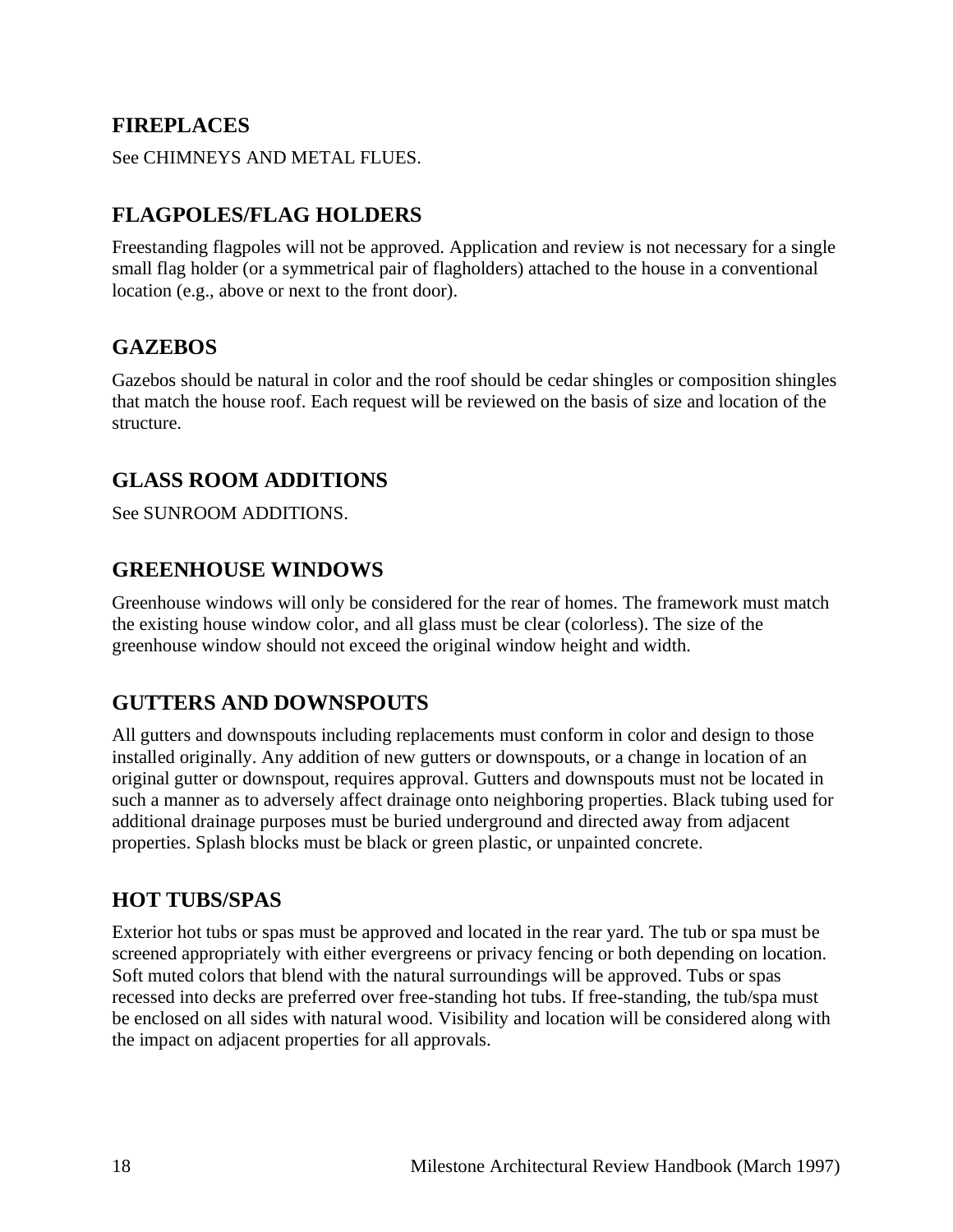### <span id="page-17-0"></span>**FIREPLACES**

See CHIMNEYS AND METAL FLUES.

# <span id="page-17-1"></span>**FLAGPOLES/FLAG HOLDERS**

Freestanding flagpoles will not be approved. Application and review is not necessary for a single small flag holder (or a symmetrical pair of flagholders) attached to the house in a conventional location (e.g., above or next to the front door).

### <span id="page-17-2"></span>**GAZEBOS**

Gazebos should be natural in color and the roof should be cedar shingles or composition shingles that match the house roof. Each request will be reviewed on the basis of size and location of the structure.

# <span id="page-17-3"></span>**GLASS ROOM ADDITIONS**

See SUNROOM ADDITIONS.

### <span id="page-17-4"></span>**GREENHOUSE WINDOWS**

Greenhouse windows will only be considered for the rear of homes. The framework must match the existing house window color, and all glass must be clear (colorless). The size of the greenhouse window should not exceed the original window height and width.

### <span id="page-17-5"></span>**GUTTERS AND DOWNSPOUTS**

All gutters and downspouts including replacements must conform in color and design to those installed originally. Any addition of new gutters or downspouts, or a change in location of an original gutter or downspout, requires approval. Gutters and downspouts must not be located in such a manner as to adversely affect drainage onto neighboring properties. Black tubing used for additional drainage purposes must be buried underground and directed away from adjacent properties. Splash blocks must be black or green plastic, or unpainted concrete.

### <span id="page-17-6"></span>**HOT TUBS/SPAS**

Exterior hot tubs or spas must be approved and located in the rear yard. The tub or spa must be screened appropriately with either evergreens or privacy fencing or both depending on location. Soft muted colors that blend with the natural surroundings will be approved. Tubs or spas recessed into decks are preferred over free-standing hot tubs. If free-standing, the tub/spa must be enclosed on all sides with natural wood. Visibility and location will be considered along with the impact on adjacent properties for all approvals.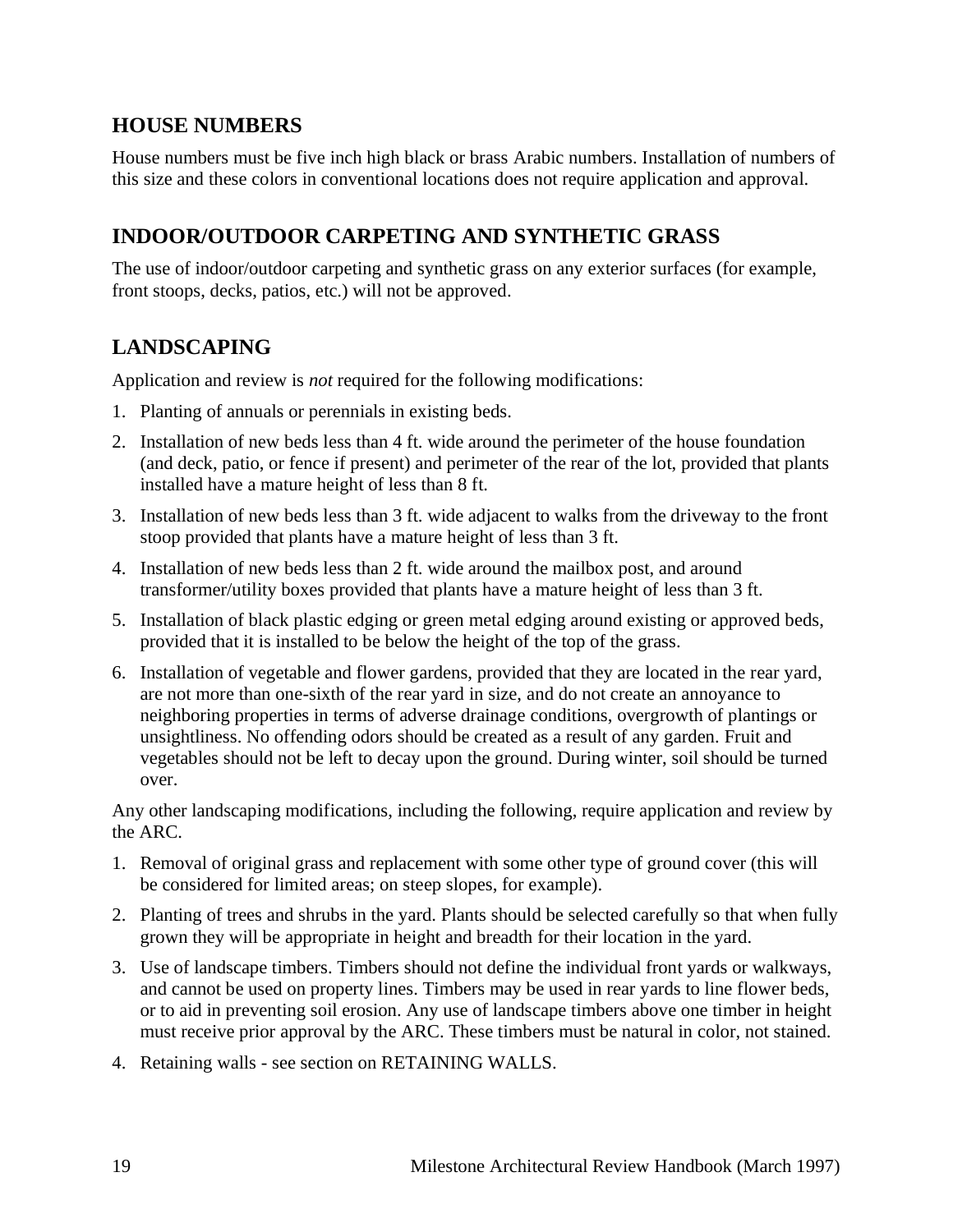## <span id="page-18-0"></span>**HOUSE NUMBERS**

House numbers must be five inch high black or brass Arabic numbers. Installation of numbers of this size and these colors in conventional locations does not require application and approval.

# <span id="page-18-1"></span>**INDOOR/OUTDOOR CARPETING AND SYNTHETIC GRASS**

The use of indoor/outdoor carpeting and synthetic grass on any exterior surfaces (for example, front stoops, decks, patios, etc.) will not be approved.

# <span id="page-18-2"></span>**LANDSCAPING**

Application and review is *not* required for the following modifications:

- 1. Planting of annuals or perennials in existing beds.
- 2. Installation of new beds less than 4 ft. wide around the perimeter of the house foundation (and deck, patio, or fence if present) and perimeter of the rear of the lot, provided that plants installed have a mature height of less than 8 ft.
- 3. Installation of new beds less than 3 ft. wide adjacent to walks from the driveway to the front stoop provided that plants have a mature height of less than 3 ft.
- 4. Installation of new beds less than 2 ft. wide around the mailbox post, and around transformer/utility boxes provided that plants have a mature height of less than 3 ft.
- 5. Installation of black plastic edging or green metal edging around existing or approved beds, provided that it is installed to be below the height of the top of the grass.
- 6. Installation of vegetable and flower gardens, provided that they are located in the rear yard, are not more than one-sixth of the rear yard in size, and do not create an annoyance to neighboring properties in terms of adverse drainage conditions, overgrowth of plantings or unsightliness. No offending odors should be created as a result of any garden. Fruit and vegetables should not be left to decay upon the ground. During winter, soil should be turned over.

Any other landscaping modifications, including the following, require application and review by the ARC.

- 1. Removal of original grass and replacement with some other type of ground cover (this will be considered for limited areas; on steep slopes, for example).
- 2. Planting of trees and shrubs in the yard. Plants should be selected carefully so that when fully grown they will be appropriate in height and breadth for their location in the yard.
- 3. Use of landscape timbers. Timbers should not define the individual front yards or walkways, and cannot be used on property lines. Timbers may be used in rear yards to line flower beds, or to aid in preventing soil erosion. Any use of landscape timbers above one timber in height must receive prior approval by the ARC. These timbers must be natural in color, not stained.
- 4. Retaining walls see section on RETAINING WALLS.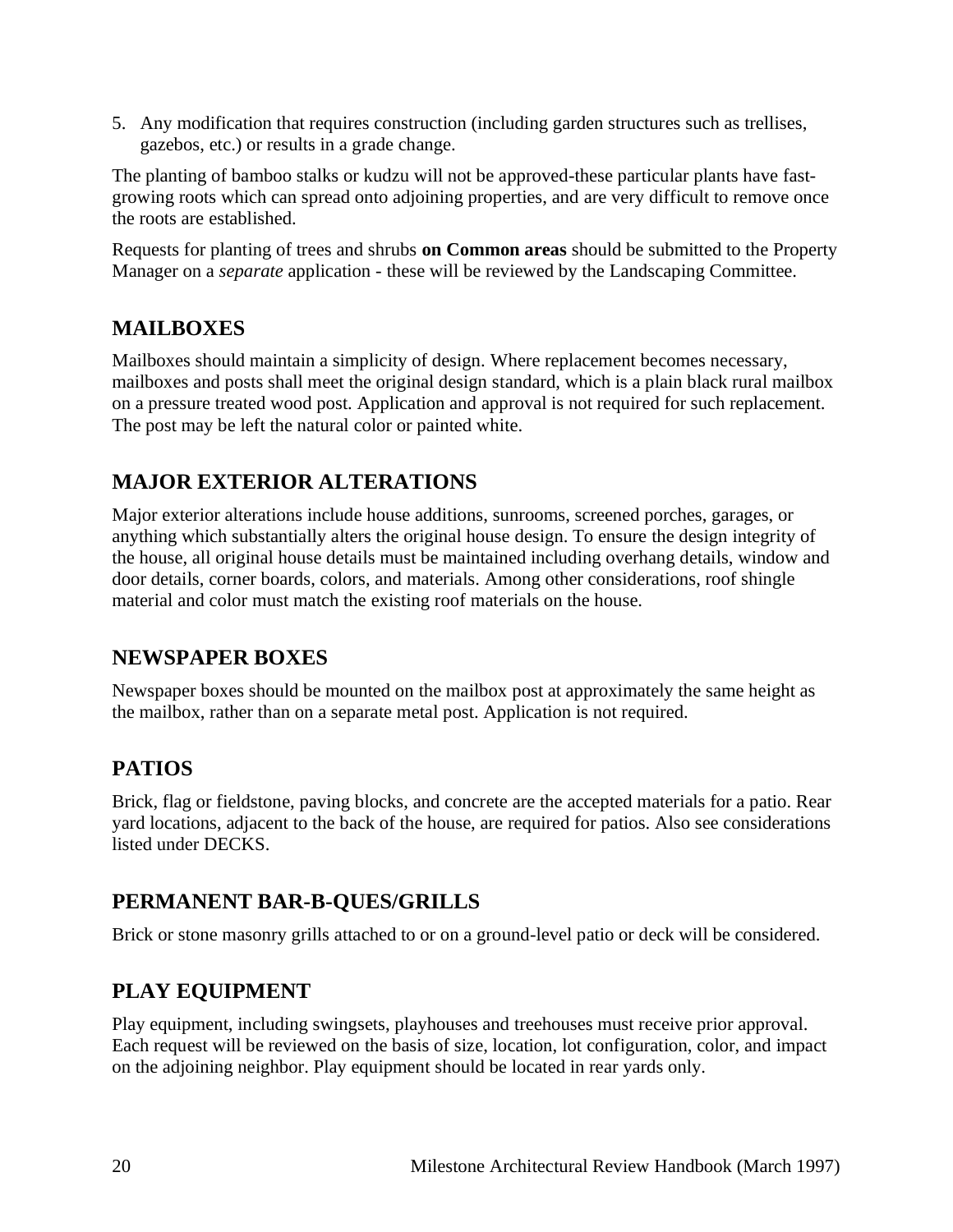5. Any modification that requires construction (including garden structures such as trellises, gazebos, etc.) or results in a grade change.

The planting of bamboo stalks or kudzu will not be approved-these particular plants have fastgrowing roots which can spread onto adjoining properties, and are very difficult to remove once the roots are established.

Requests for planting of trees and shrubs **on Common areas** should be submitted to the Property Manager on a *separate* application - these will be reviewed by the Landscaping Committee.

# <span id="page-19-0"></span>**MAILBOXES**

Mailboxes should maintain a simplicity of design. Where replacement becomes necessary, mailboxes and posts shall meet the original design standard, which is a plain black rural mailbox on a pressure treated wood post. Application and approval is not required for such replacement. The post may be left the natural color or painted white.

# <span id="page-19-1"></span>**MAJOR EXTERIOR ALTERATIONS**

Major exterior alterations include house additions, sunrooms, screened porches, garages, or anything which substantially alters the original house design. To ensure the design integrity of the house, all original house details must be maintained including overhang details, window and door details, corner boards, colors, and materials. Among other considerations, roof shingle material and color must match the existing roof materials on the house.

# <span id="page-19-2"></span>**NEWSPAPER BOXES**

Newspaper boxes should be mounted on the mailbox post at approximately the same height as the mailbox, rather than on a separate metal post. Application is not required.

# <span id="page-19-3"></span>**PATIOS**

Brick, flag or fieldstone, paving blocks, and concrete are the accepted materials for a patio. Rear yard locations, adjacent to the back of the house, are required for patios. Also see considerations listed under DECKS.

# <span id="page-19-4"></span>**PERMANENT BAR-B-QUES/GRILLS**

Brick or stone masonry grills attached to or on a ground-level patio or deck will be considered.

# <span id="page-19-5"></span>**PLAY EQUIPMENT**

Play equipment, including swingsets, playhouses and treehouses must receive prior approval. Each request will be reviewed on the basis of size, location, lot configuration, color, and impact on the adjoining neighbor. Play equipment should be located in rear yards only.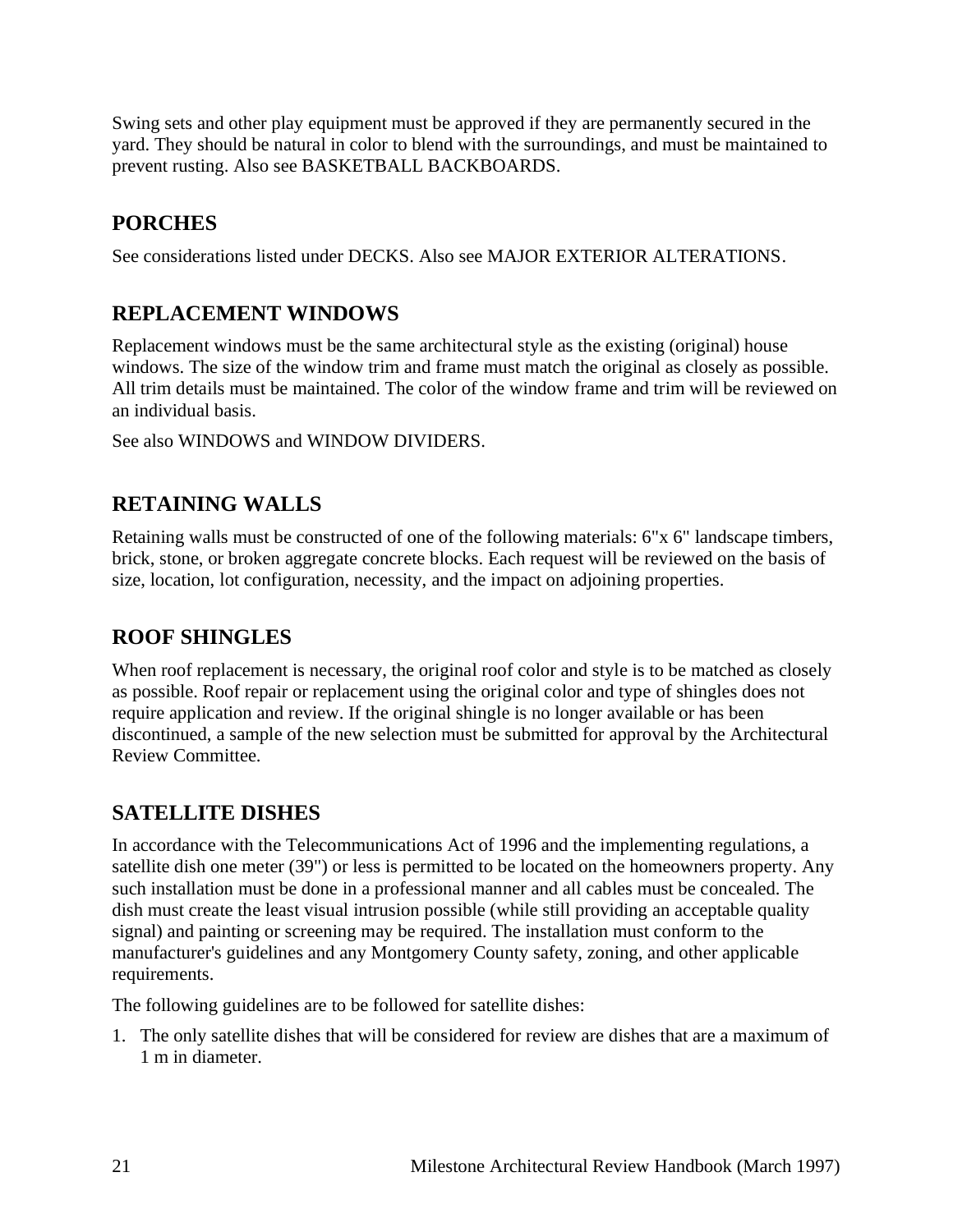Swing sets and other play equipment must be approved if they are permanently secured in the yard. They should be natural in color to blend with the surroundings, and must be maintained to prevent rusting. Also see BASKETBALL BACKBOARDS.

# <span id="page-20-0"></span>**PORCHES**

See considerations listed under DECKS. Also see MAJOR EXTERIOR ALTERATIONS.

# <span id="page-20-1"></span>**REPLACEMENT WINDOWS**

Replacement windows must be the same architectural style as the existing (original) house windows. The size of the window trim and frame must match the original as closely as possible. All trim details must be maintained. The color of the window frame and trim will be reviewed on an individual basis.

See also WINDOWS and WINDOW DIVIDERS.

# <span id="page-20-2"></span>**RETAINING WALLS**

Retaining walls must be constructed of one of the following materials: 6"x 6" landscape timbers, brick, stone, or broken aggregate concrete blocks. Each request will be reviewed on the basis of size, location, lot configuration, necessity, and the impact on adjoining properties.

# <span id="page-20-3"></span>**ROOF SHINGLES**

When roof replacement is necessary, the original roof color and style is to be matched as closely as possible. Roof repair or replacement using the original color and type of shingles does not require application and review. If the original shingle is no longer available or has been discontinued, a sample of the new selection must be submitted for approval by the Architectural Review Committee.

# <span id="page-20-4"></span>**SATELLITE DISHES**

In accordance with the Telecommunications Act of 1996 and the implementing regulations, a satellite dish one meter (39") or less is permitted to be located on the homeowners property. Any such installation must be done in a professional manner and all cables must be concealed. The dish must create the least visual intrusion possible (while still providing an acceptable quality signal) and painting or screening may be required. The installation must conform to the manufacturer's guidelines and any Montgomery County safety, zoning, and other applicable requirements.

The following guidelines are to be followed for satellite dishes:

1. The only satellite dishes that will be considered for review are dishes that are a maximum of 1 m in diameter.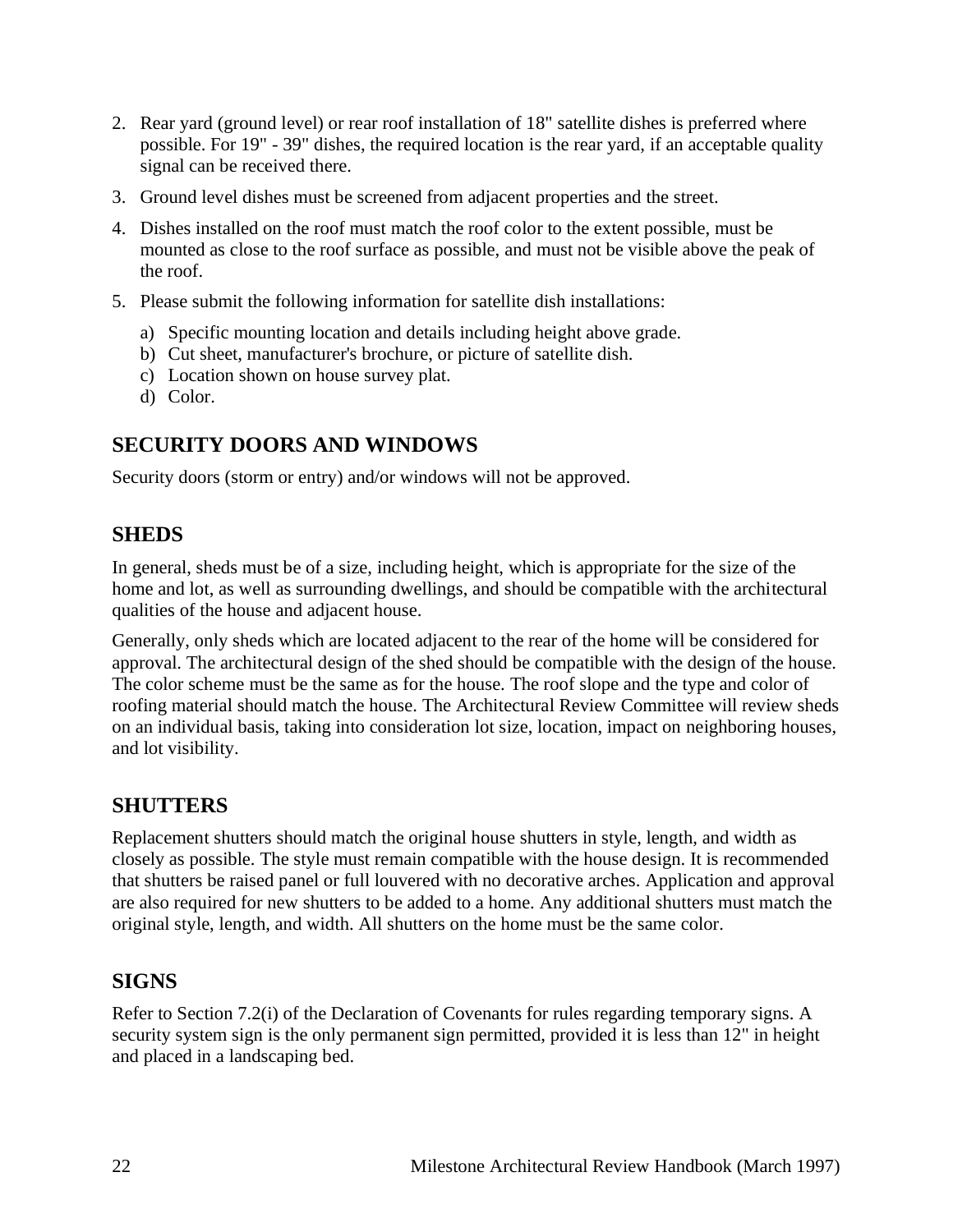- 2. Rear yard (ground level) or rear roof installation of 18" satellite dishes is preferred where possible. For 19" - 39" dishes, the required location is the rear yard, if an acceptable quality signal can be received there.
- 3. Ground level dishes must be screened from adjacent properties and the street.
- 4. Dishes installed on the roof must match the roof color to the extent possible, must be mounted as close to the roof surface as possible, and must not be visible above the peak of the roof.
- 5. Please submit the following information for satellite dish installations:
	- a) Specific mounting location and details including height above grade.
	- b) Cut sheet, manufacturer's brochure, or picture of satellite dish.
	- c) Location shown on house survey plat.
	- d) Color.

## <span id="page-21-0"></span>**SECURITY DOORS AND WINDOWS**

Security doors (storm or entry) and/or windows will not be approved.

### <span id="page-21-1"></span>**SHEDS**

In general, sheds must be of a size, including height, which is appropriate for the size of the home and lot, as well as surrounding dwellings, and should be compatible with the architectural qualities of the house and adjacent house.

Generally, only sheds which are located adjacent to the rear of the home will be considered for approval. The architectural design of the shed should be compatible with the design of the house. The color scheme must be the same as for the house. The roof slope and the type and color of roofing material should match the house. The Architectural Review Committee will review sheds on an individual basis, taking into consideration lot size, location, impact on neighboring houses, and lot visibility.

### <span id="page-21-2"></span>**SHUTTERS**

Replacement shutters should match the original house shutters in style, length, and width as closely as possible. The style must remain compatible with the house design. It is recommended that shutters be raised panel or full louvered with no decorative arches. Application and approval are also required for new shutters to be added to a home. Any additional shutters must match the original style, length, and width. All shutters on the home must be the same color.

### <span id="page-21-3"></span>**SIGNS**

Refer to Section 7.2(i) of the Declaration of Covenants for rules regarding temporary signs. A security system sign is the only permanent sign permitted, provided it is less than 12" in height and placed in a landscaping bed.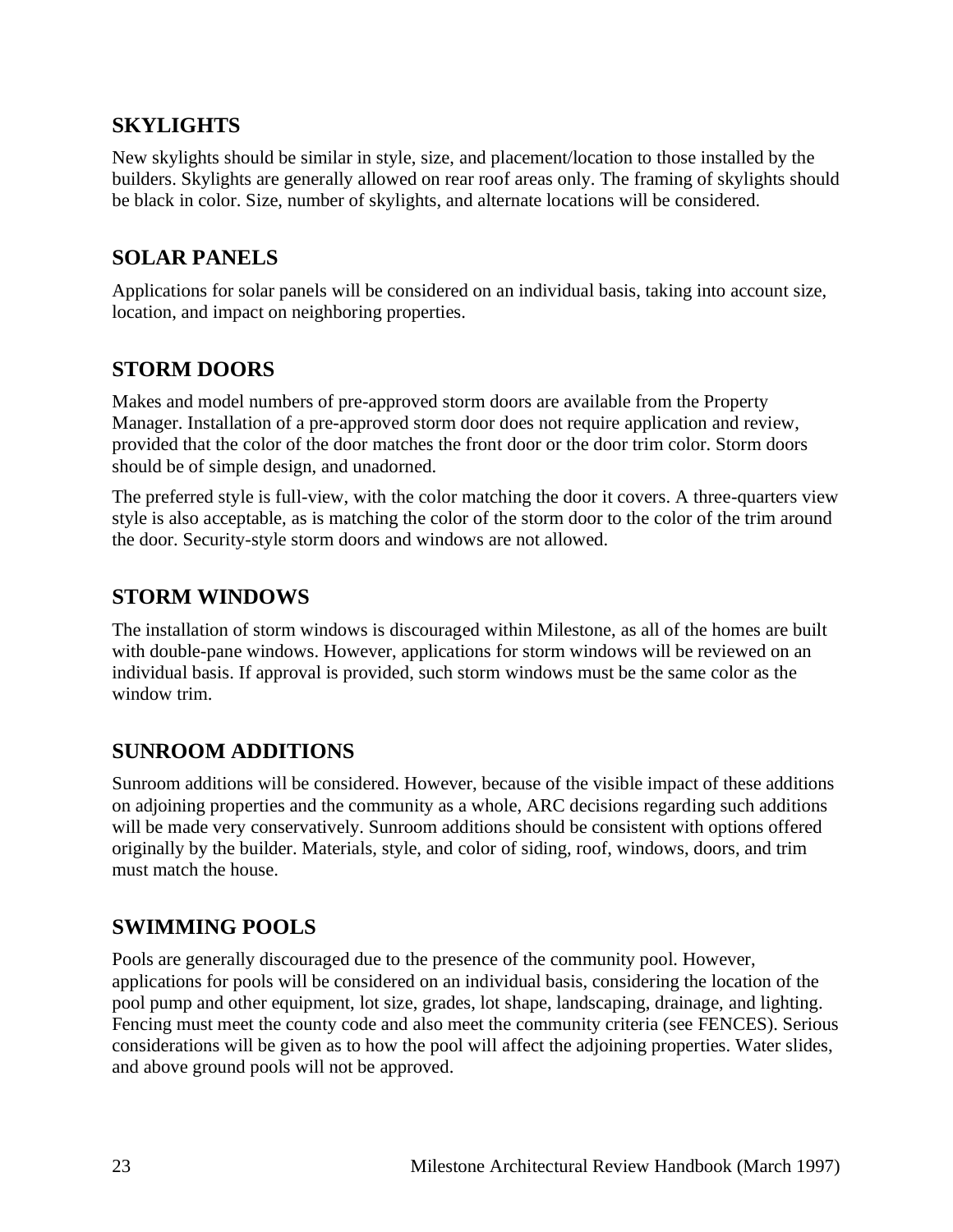## <span id="page-22-0"></span>**SKYLIGHTS**

New skylights should be similar in style, size, and placement/location to those installed by the builders. Skylights are generally allowed on rear roof areas only. The framing of skylights should be black in color. Size, number of skylights, and alternate locations will be considered.

### <span id="page-22-1"></span>**SOLAR PANELS**

Applications for solar panels will be considered on an individual basis, taking into account size, location, and impact on neighboring properties.

# <span id="page-22-2"></span>**STORM DOORS**

Makes and model numbers of pre-approved storm doors are available from the Property Manager. Installation of a pre-approved storm door does not require application and review, provided that the color of the door matches the front door or the door trim color. Storm doors should be of simple design, and unadorned.

The preferred style is full-view, with the color matching the door it covers. A three-quarters view style is also acceptable, as is matching the color of the storm door to the color of the trim around the door. Security-style storm doors and windows are not allowed.

# <span id="page-22-3"></span>**STORM WINDOWS**

The installation of storm windows is discouraged within Milestone, as all of the homes are built with double-pane windows. However, applications for storm windows will be reviewed on an individual basis. If approval is provided, such storm windows must be the same color as the window trim.

# <span id="page-22-4"></span>**SUNROOM ADDITIONS**

Sunroom additions will be considered. However, because of the visible impact of these additions on adjoining properties and the community as a whole, ARC decisions regarding such additions will be made very conservatively. Sunroom additions should be consistent with options offered originally by the builder. Materials, style, and color of siding, roof, windows, doors, and trim must match the house.

# <span id="page-22-5"></span>**SWIMMING POOLS**

Pools are generally discouraged due to the presence of the community pool. However, applications for pools will be considered on an individual basis, considering the location of the pool pump and other equipment, lot size, grades, lot shape, landscaping, drainage, and lighting. Fencing must meet the county code and also meet the community criteria (see FENCES). Serious considerations will be given as to how the pool will affect the adjoining properties. Water slides, and above ground pools will not be approved.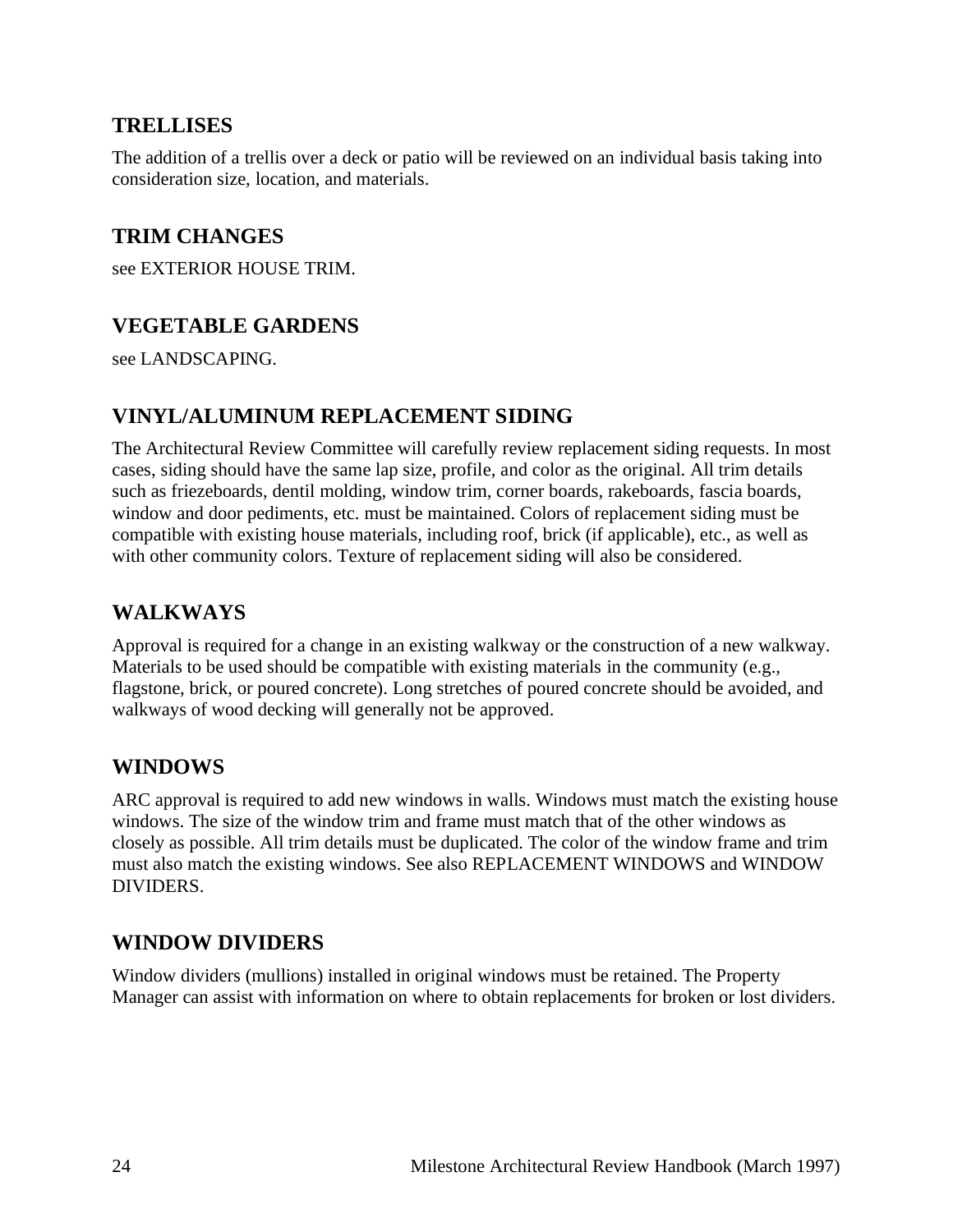### <span id="page-23-0"></span>**TRELLISES**

The addition of a trellis over a deck or patio will be reviewed on an individual basis taking into consideration size, location, and materials.

### <span id="page-23-1"></span>**TRIM CHANGES**

see EXTERIOR HOUSE TRIM.

## <span id="page-23-2"></span>**VEGETABLE GARDENS**

see LANDSCAPING.

### <span id="page-23-3"></span>**VINYL/ALUMINUM REPLACEMENT SIDING**

The Architectural Review Committee will carefully review replacement siding requests. In most cases, siding should have the same lap size, profile, and color as the original. All trim details such as friezeboards, dentil molding, window trim, corner boards, rakeboards, fascia boards, window and door pediments, etc. must be maintained. Colors of replacement siding must be compatible with existing house materials, including roof, brick (if applicable), etc., as well as with other community colors. Texture of replacement siding will also be considered.

### <span id="page-23-4"></span>**WALKWAYS**

Approval is required for a change in an existing walkway or the construction of a new walkway. Materials to be used should be compatible with existing materials in the community (e.g., flagstone, brick, or poured concrete). Long stretches of poured concrete should be avoided, and walkways of wood decking will generally not be approved.

### <span id="page-23-5"></span>**WINDOWS**

ARC approval is required to add new windows in walls. Windows must match the existing house windows. The size of the window trim and frame must match that of the other windows as closely as possible. All trim details must be duplicated. The color of the window frame and trim must also match the existing windows. See also REPLACEMENT WINDOWS and WINDOW DIVIDERS.

### <span id="page-23-6"></span>**WINDOW DIVIDERS**

Window dividers (mullions) installed in original windows must be retained. The Property Manager can assist with information on where to obtain replacements for broken or lost dividers.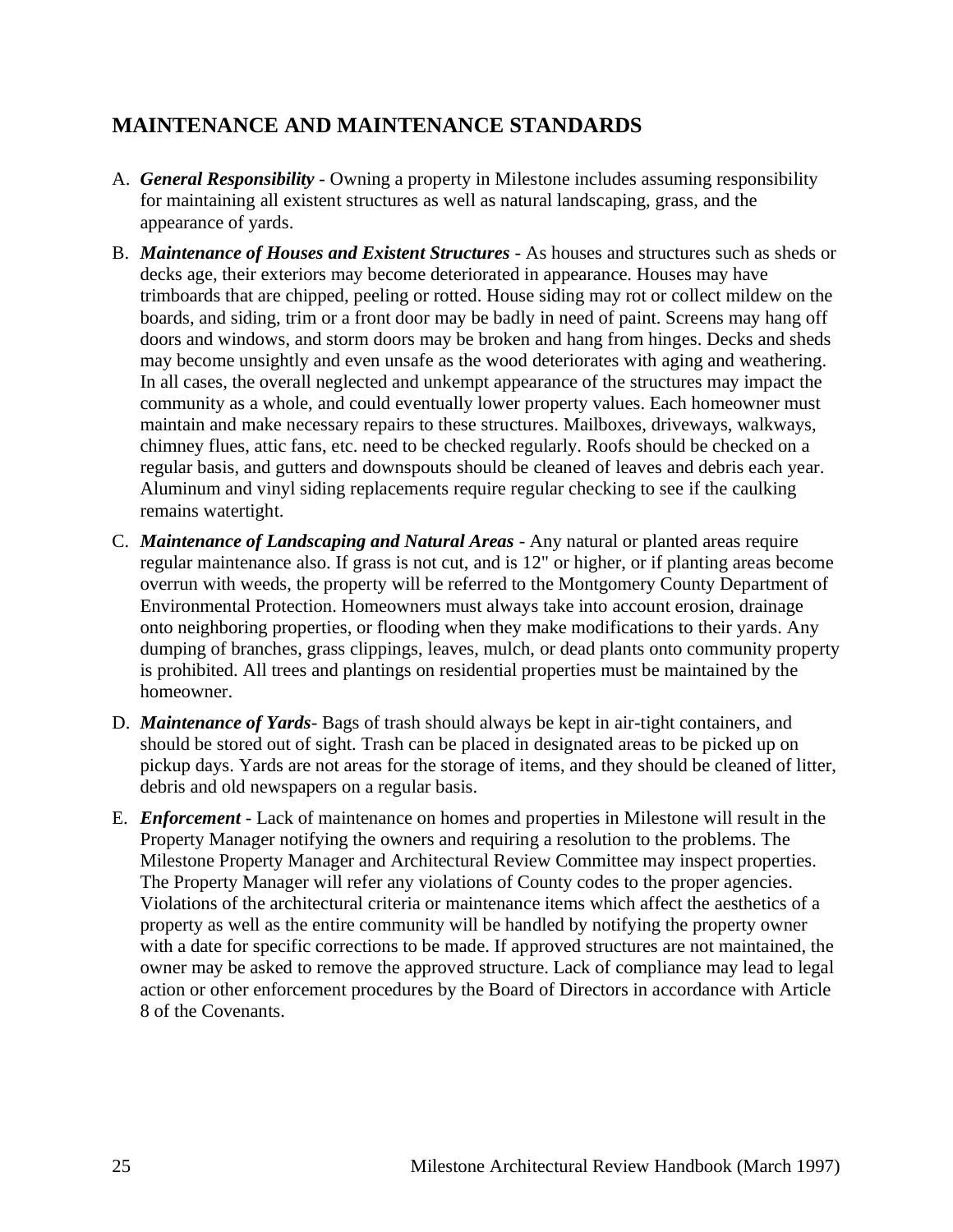# <span id="page-24-0"></span>**MAINTENANCE AND MAINTENANCE STANDARDS**

- A. *General Responsibility* Owning a property in Milestone includes assuming responsibility for maintaining all existent structures as well as natural landscaping, grass, and the appearance of yards.
- B. *Maintenance of Houses and Existent Structures* As houses and structures such as sheds or decks age, their exteriors may become deteriorated in appearance. Houses may have trimboards that are chipped, peeling or rotted. House siding may rot or collect mildew on the boards, and siding, trim or a front door may be badly in need of paint. Screens may hang off doors and windows, and storm doors may be broken and hang from hinges. Decks and sheds may become unsightly and even unsafe as the wood deteriorates with aging and weathering. In all cases, the overall neglected and unkempt appearance of the structures may impact the community as a whole, and could eventually lower property values. Each homeowner must maintain and make necessary repairs to these structures. Mailboxes, driveways, walkways, chimney flues, attic fans, etc. need to be checked regularly. Roofs should be checked on a regular basis, and gutters and downspouts should be cleaned of leaves and debris each year. Aluminum and vinyl siding replacements require regular checking to see if the caulking remains watertight.
- C. *Maintenance of Landscaping and Natural Areas* Any natural or planted areas require regular maintenance also. If grass is not cut, and is 12" or higher, or if planting areas become overrun with weeds, the property will be referred to the Montgomery County Department of Environmental Protection. Homeowners must always take into account erosion, drainage onto neighboring properties, or flooding when they make modifications to their yards. Any dumping of branches, grass clippings, leaves, mulch, or dead plants onto community property is prohibited. All trees and plantings on residential properties must be maintained by the homeowner.
- D. *Maintenance of Yards* Bags of trash should always be kept in air-tight containers, and should be stored out of sight. Trash can be placed in designated areas to be picked up on pickup days. Yards are not areas for the storage of items, and they should be cleaned of litter, debris and old newspapers on a regular basis.
- E. *Enforcement* Lack of maintenance on homes and properties in Milestone will result in the Property Manager notifying the owners and requiring a resolution to the problems. The Milestone Property Manager and Architectural Review Committee may inspect properties. The Property Manager will refer any violations of County codes to the proper agencies. Violations of the architectural criteria or maintenance items which affect the aesthetics of a property as well as the entire community will be handled by notifying the property owner with a date for specific corrections to be made. If approved structures are not maintained, the owner may be asked to remove the approved structure. Lack of compliance may lead to legal action or other enforcement procedures by the Board of Directors in accordance with Article 8 of the Covenants.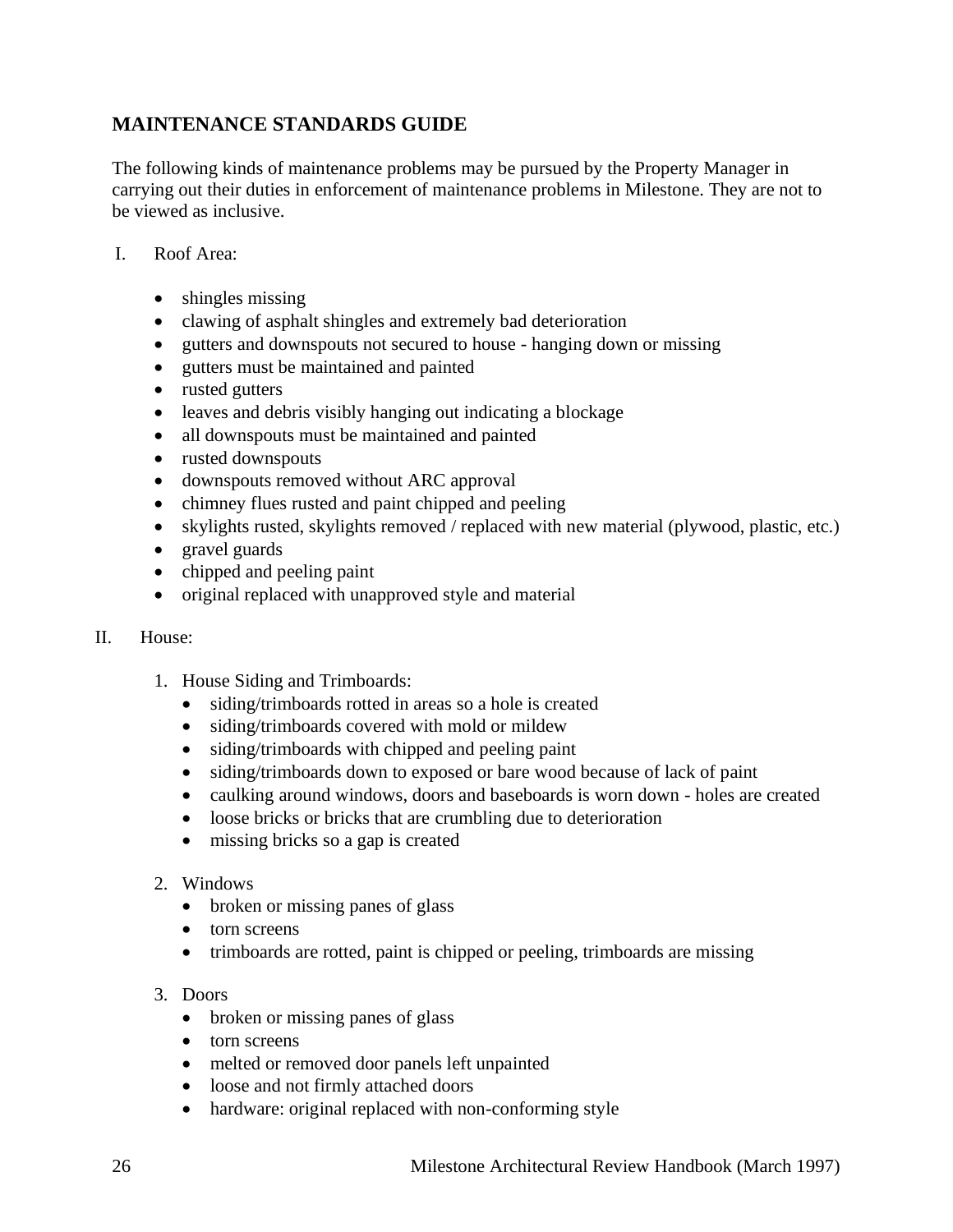### **MAINTENANCE STANDARDS GUIDE**

The following kinds of maintenance problems may be pursued by the Property Manager in carrying out their duties in enforcement of maintenance problems in Milestone. They are not to be viewed as inclusive.

- I. Roof Area:
	- shingles missing
	- clawing of asphalt shingles and extremely bad deterioration
	- gutters and downspouts not secured to house hanging down or missing
	- gutters must be maintained and painted
	- rusted gutters
	- leaves and debris visibly hanging out indicating a blockage
	- all downspouts must be maintained and painted
	- rusted downspouts
	- downspouts removed without ARC approval
	- chimney flues rusted and paint chipped and peeling
	- skylights rusted, skylights removed / replaced with new material (plywood, plastic, etc.)
	- gravel guards
	- chipped and peeling paint
	- original replaced with unapproved style and material
- II. House:
	- 1. House Siding and Trimboards:
		- siding/trimboards rotted in areas so a hole is created
		- siding/trimboards covered with mold or mildew
		- siding/trimboards with chipped and peeling paint
		- siding/trimboards down to exposed or bare wood because of lack of paint
		- caulking around windows, doors and baseboards is worn down holes are created
		- loose bricks or bricks that are crumbling due to deterioration
		- missing bricks so a gap is created
	- 2. Windows
		- broken or missing panes of glass
		- torn screens
		- trimboards are rotted, paint is chipped or peeling, trimboards are missing
	- 3. Doors
		- broken or missing panes of glass
		- torn screens
		- melted or removed door panels left unpainted
		- loose and not firmly attached doors
		- hardware: original replaced with non-conforming style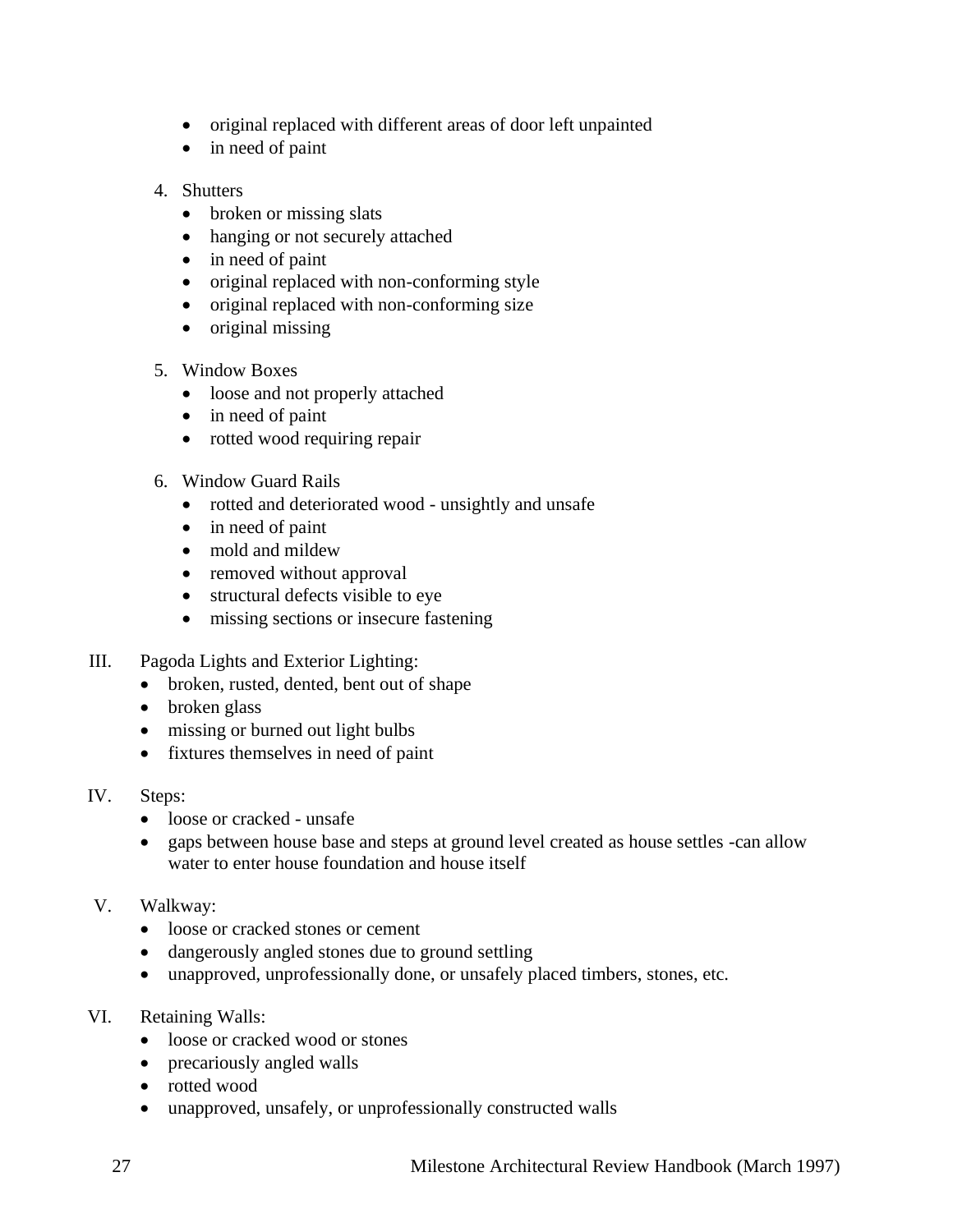- original replaced with different areas of door left unpainted
- in need of paint
- 4. Shutters
	- broken or missing slats
	- hanging or not securely attached
	- in need of paint
	- original replaced with non-conforming style
	- original replaced with non-conforming size
	- original missing
- 5. Window Boxes
	- loose and not properly attached
	- in need of paint
	- rotted wood requiring repair
- 6. Window Guard Rails
	- rotted and deteriorated wood unsightly and unsafe
	- in need of paint
	- mold and mildew
	- removed without approval
	- structural defects visible to eye
	- missing sections or insecure fastening
- III. Pagoda Lights and Exterior Lighting:
	- broken, rusted, dented, bent out of shape
	- broken glass
	- missing or burned out light bulbs
	- fixtures themselves in need of paint
- IV. Steps:
	- loose or cracked unsafe
	- gaps between house base and steps at ground level created as house settles -can allow water to enter house foundation and house itself
- V. Walkway:
	- loose or cracked stones or cement
	- dangerously angled stones due to ground settling
	- unapproved, unprofessionally done, or unsafely placed timbers, stones, etc.
- VI. Retaining Walls:
	- loose or cracked wood or stones
	- precariously angled walls
	- rotted wood
	- unapproved, unsafely, or unprofessionally constructed walls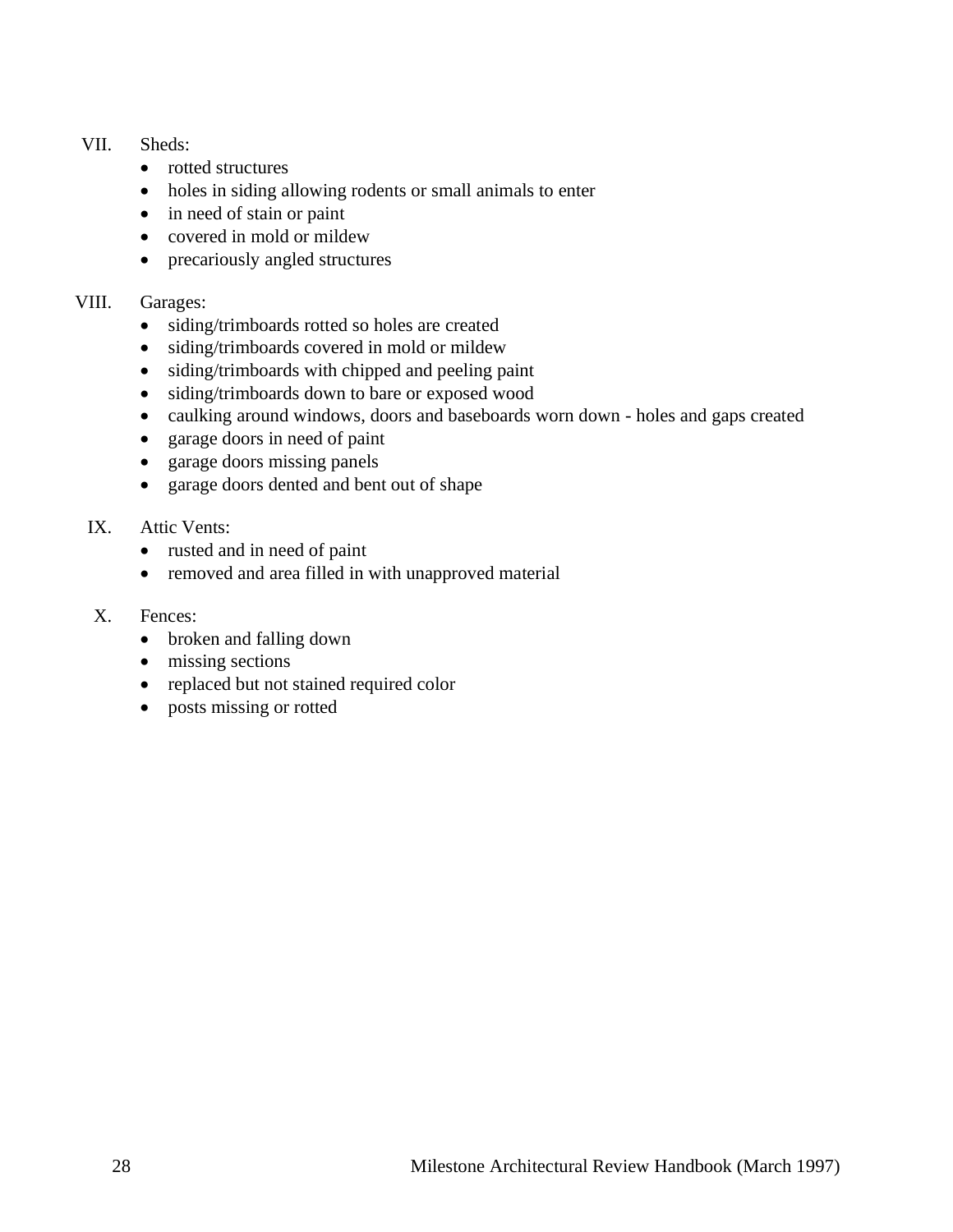#### VII. Sheds:

- rotted structures
- holes in siding allowing rodents or small animals to enter
- in need of stain or paint
- covered in mold or mildew
- precariously angled structures

#### VIII. Garages:

- siding/trimboards rotted so holes are created
- siding/trimboards covered in mold or mildew
- siding/trimboards with chipped and peeling paint
- siding/trimboards down to bare or exposed wood
- caulking around windows, doors and baseboards worn down holes and gaps created
- garage doors in need of paint
- garage doors missing panels
- garage doors dented and bent out of shape
- IX. Attic Vents:
	- rusted and in need of paint
	- removed and area filled in with unapproved material
- X. Fences:
	- broken and falling down
	- missing sections
	- replaced but not stained required color
	- posts missing or rotted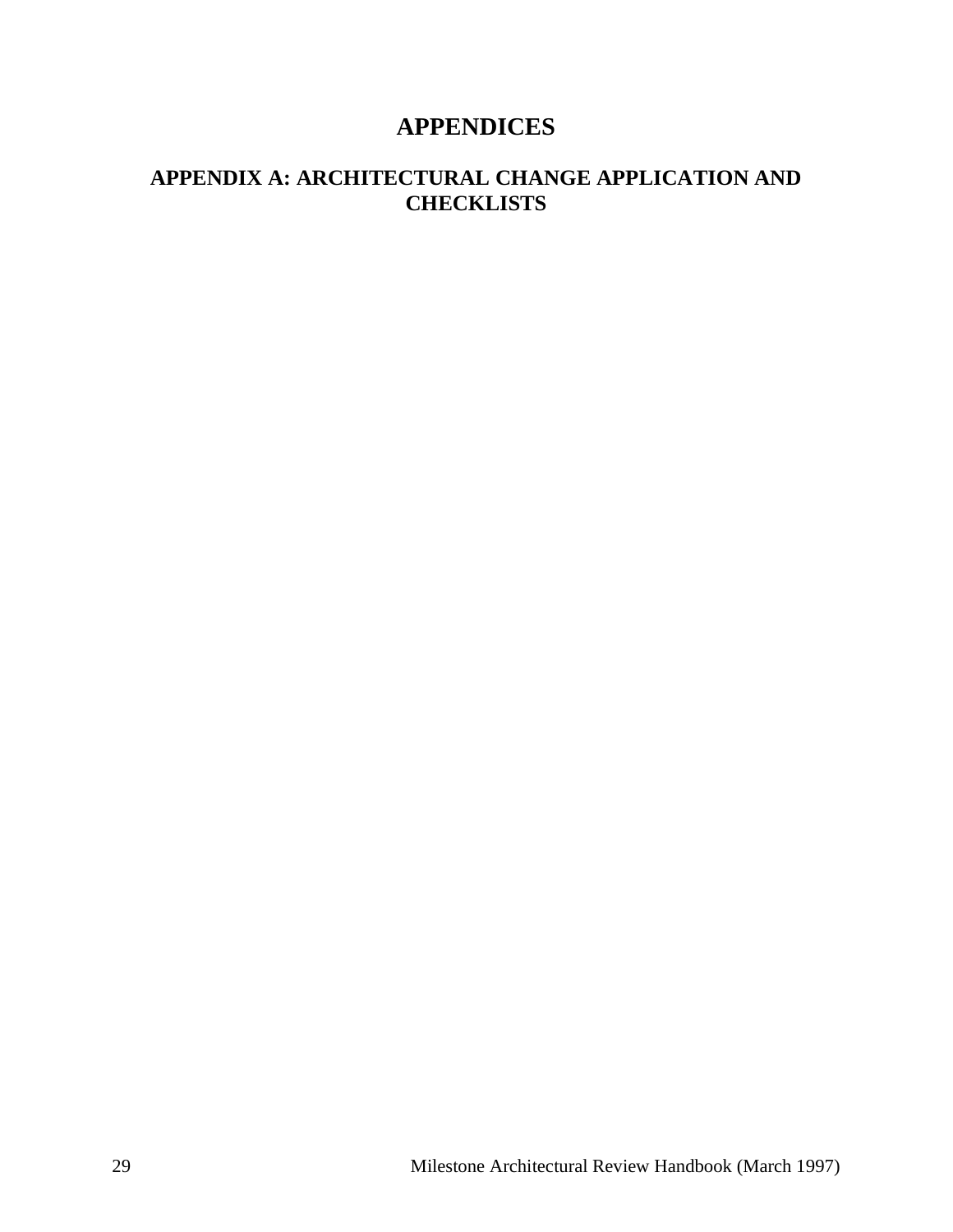# **APPENDICES**

# <span id="page-28-1"></span><span id="page-28-0"></span>**APPENDIX A: ARCHITECTURAL CHANGE APPLICATION AND CHECKLISTS**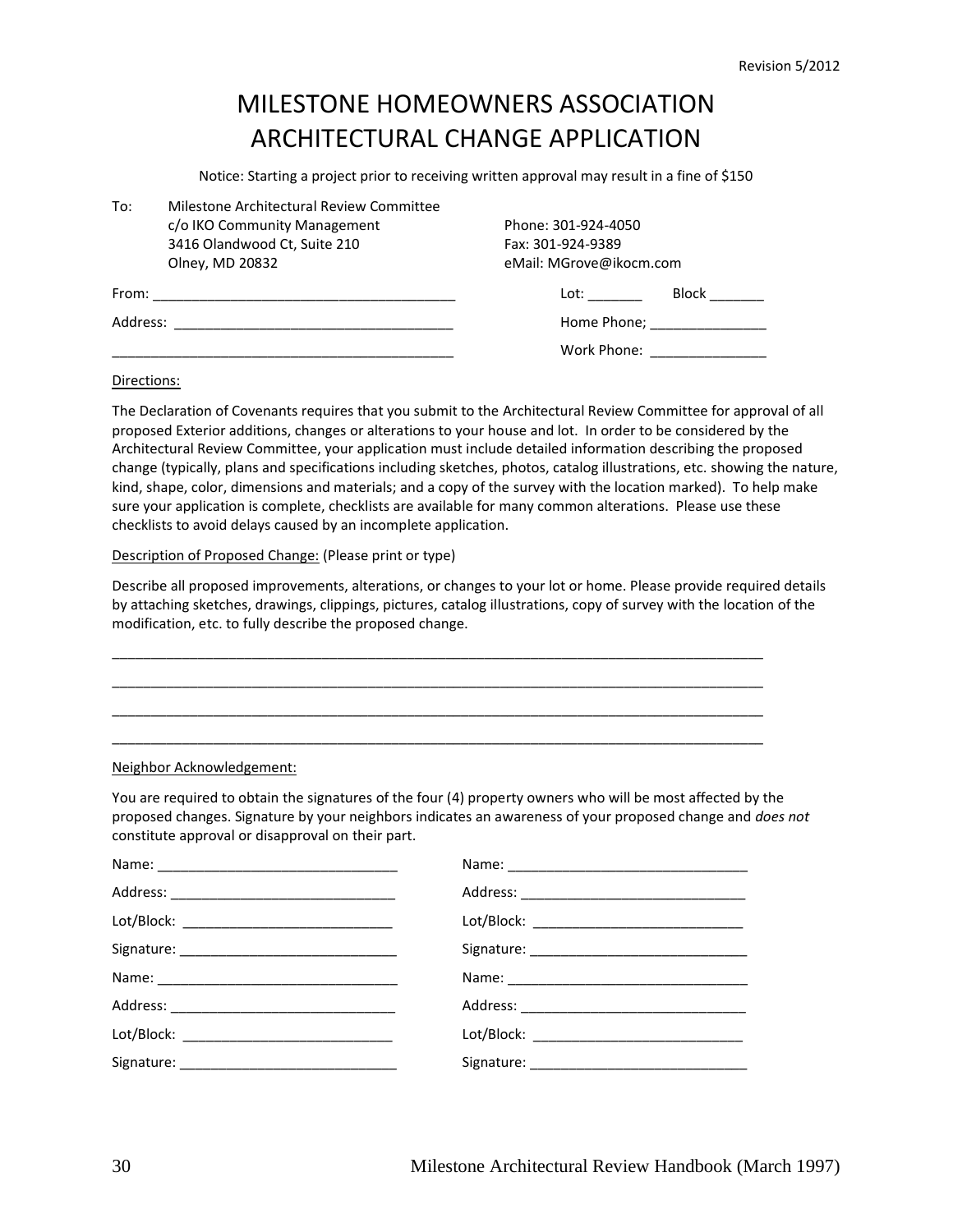# MILESTONE HOMEOWNERS ASSOCIATION ARCHITECTURAL CHANGE APPLICATION

Notice: Starting a project prior to receiving written approval may result in a fine of \$150

| To:      | Milestone Architectural Review Committee |  |                         |                                      |  |
|----------|------------------------------------------|--|-------------------------|--------------------------------------|--|
|          | c/o IKO Community Management             |  | Phone: 301-924-4050     |                                      |  |
|          | 3416 Olandwood Ct, Suite 210             |  | Fax: 301-924-9389       |                                      |  |
|          | Olney, MD 20832                          |  | eMail: MGrove@ikocm.com |                                      |  |
| From:    |                                          |  | Lot:                    | Block                                |  |
| Address: |                                          |  |                         | Home Phone; National Assembly Phone: |  |
|          |                                          |  | Work Phone:             |                                      |  |

#### Directions:

The Declaration of Covenants requires that you submit to the Architectural Review Committee for approval of all proposed Exterior additions, changes or alterations to your house and lot. In order to be considered by the Architectural Review Committee, your application must include detailed information describing the proposed change (typically, plans and specifications including sketches, photos, catalog illustrations, etc. showing the nature, kind, shape, color, dimensions and materials; and a copy of the survey with the location marked). To help make sure your application is complete, checklists are available for many common alterations. Please use these checklists to avoid delays caused by an incomplete application.

#### Description of Proposed Change: (Please print or type)

Describe all proposed improvements, alterations, or changes to your lot or home. Please provide required details by attaching sketches, drawings, clippings, pictures, catalog illustrations, copy of survey with the location of the modification, etc. to fully describe the proposed change.

\_\_\_\_\_\_\_\_\_\_\_\_\_\_\_\_\_\_\_\_\_\_\_\_\_\_\_\_\_\_\_\_\_\_\_\_\_\_\_\_\_\_\_\_\_\_\_\_\_\_\_\_\_\_\_\_\_\_\_\_\_\_\_\_\_\_\_\_\_\_\_\_\_\_\_\_\_\_\_\_\_\_\_\_ \_\_\_\_\_\_\_\_\_\_\_\_\_\_\_\_\_\_\_\_\_\_\_\_\_\_\_\_\_\_\_\_\_\_\_\_\_\_\_\_\_\_\_\_\_\_\_\_\_\_\_\_\_\_\_\_\_\_\_\_\_\_\_\_\_\_\_\_\_\_\_\_\_\_\_\_\_\_\_\_\_\_\_\_ \_\_\_\_\_\_\_\_\_\_\_\_\_\_\_\_\_\_\_\_\_\_\_\_\_\_\_\_\_\_\_\_\_\_\_\_\_\_\_\_\_\_\_\_\_\_\_\_\_\_\_\_\_\_\_\_\_\_\_\_\_\_\_\_\_\_\_\_\_\_\_\_\_\_\_\_\_\_\_\_\_\_\_\_ \_\_\_\_\_\_\_\_\_\_\_\_\_\_\_\_\_\_\_\_\_\_\_\_\_\_\_\_\_\_\_\_\_\_\_\_\_\_\_\_\_\_\_\_\_\_\_\_\_\_\_\_\_\_\_\_\_\_\_\_\_\_\_\_\_\_\_\_\_\_\_\_\_\_\_\_\_\_\_\_\_\_\_\_

#### Neighbor Acknowledgement:

You are required to obtain the signatures of the four (4) property owners who will be most affected by the proposed changes. Signature by your neighbors indicates an awareness of your proposed change and *does not* constitute approval or disapproval on their part.

| Lot/Block: _______________________________ | Lot/Block: _________________________________ |
|--------------------------------------------|----------------------------------------------|
|                                            |                                              |
|                                            |                                              |
|                                            |                                              |
| Lot/Block: ______________________________  |                                              |
|                                            |                                              |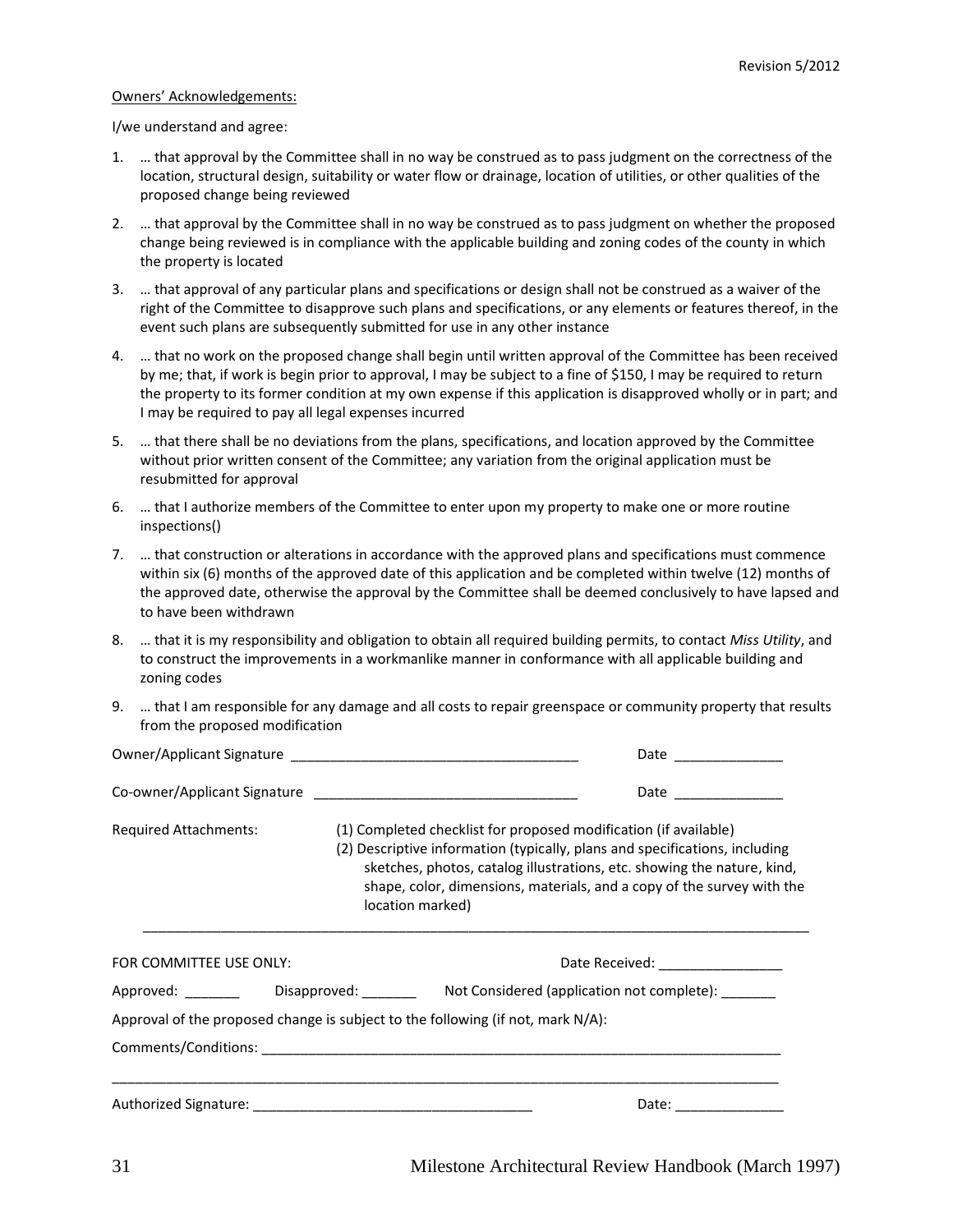#### Owners' Acknowledgements:

I/we understand and agree:

- 1. … that approval by the Committee shall in no way be construed as to pass judgment on the correctness of the location, structural design, suitability or water flow or drainage, location of utilities, or other qualities of the proposed change being reviewed
- 2. … that approval by the Committee shall in no way be construed as to pass judgment on whether the proposed change being reviewed is in compliance with the applicable building and zoning codes of the county in which the property is located
- 3. … that approval of any particular plans and specifications or design shall not be construed as a waiver of the right of the Committee to disapprove such plans and specifications, or any elements or features thereof, in the event such plans are subsequently submitted for use in any other instance
- 4. … that no work on the proposed change shall begin until written approval of the Committee has been received by me; that, if work is begin prior to approval, I may be subject to a fine of \$150, I may be required to return the property to its former condition at my own expense if this application is disapproved wholly or in part; and I may be required to pay all legal expenses incurred
- 5. … that there shall be no deviations from the plans, specifications, and location approved by the Committee without prior written consent of the Committee; any variation from the original application must be resubmitted for approval
- 6. … that I authorize members of the Committee to enter upon my property to make one or more routine inspections()
- 7. … that construction or alterations in accordance with the approved plans and specifications must commence within six (6) months of the approved date of this application and be completed within twelve (12) months of the approved date, otherwise the approval by the Committee shall be deemed conclusively to have lapsed and to have been withdrawn
- 8. … that it is my responsibility and obligation to obtain all required building permits, to contact *Miss Utility*, and to construct the improvements in a workmanlike manner in conformance with all applicable building and zoning codes
- 9. … that I am responsible for any damage and all costs to repair greenspace or community property that results from the proposed modification

|                                                                                                                                                                                              | Date ______________ |                                                                                                                                                   |  |
|----------------------------------------------------------------------------------------------------------------------------------------------------------------------------------------------|---------------------|---------------------------------------------------------------------------------------------------------------------------------------------------|--|
|                                                                                                                                                                                              |                     | Date ______________                                                                                                                               |  |
| (1) Completed checklist for proposed modification (if available)<br>Required Attachments:<br>(2) Descriptive information (typically, plans and specifications, including<br>location marked) |                     | sketches, photos, catalog illustrations, etc. showing the nature, kind,<br>shape, color, dimensions, materials, and a copy of the survey with the |  |
| FOR COMMITTEE USE ONLY:                                                                                                                                                                      |                     | Date Received: ________________                                                                                                                   |  |
|                                                                                                                                                                                              |                     |                                                                                                                                                   |  |
|                                                                                                                                                                                              |                     | Approval of the proposed change is subject to the following (if not, mark $N/A$ ):                                                                |  |
|                                                                                                                                                                                              |                     |                                                                                                                                                   |  |
|                                                                                                                                                                                              |                     | Date: ________________                                                                                                                            |  |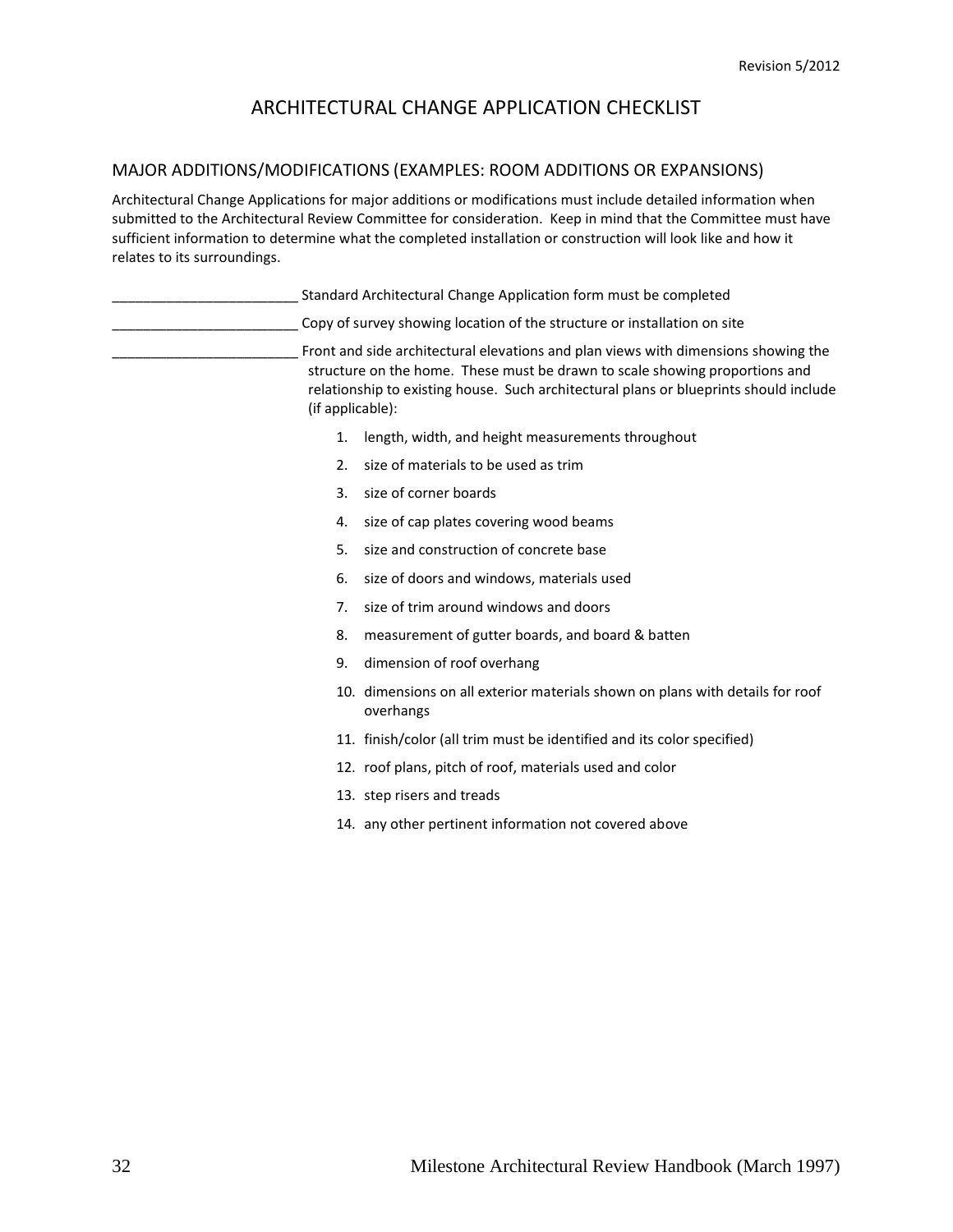#### MAJOR ADDITIONS/MODIFICATIONS (EXAMPLES: ROOM ADDITIONS OR EXPANSIONS)

Architectural Change Applications for major additions or modifications must include detailed information when submitted to the Architectural Review Committee for consideration. Keep in mind that the Committee must have sufficient information to determine what the completed installation or construction will look like and how it relates to its surroundings.

|                  | Standard Architectural Change Application form must be completed                                                                                                                                                                                           |
|------------------|------------------------------------------------------------------------------------------------------------------------------------------------------------------------------------------------------------------------------------------------------------|
|                  | Copy of survey showing location of the structure or installation on site                                                                                                                                                                                   |
| (if applicable): | Front and side architectural elevations and plan views with dimensions showing the<br>structure on the home. These must be drawn to scale showing proportions and<br>relationship to existing house. Such architectural plans or blueprints should include |
| 1.               | length, width, and height measurements throughout                                                                                                                                                                                                          |
| 2.5              | size of materials to be used as trim                                                                                                                                                                                                                       |
| 3.               | size of corner boards                                                                                                                                                                                                                                      |
| 4.               | size of cap plates covering wood beams                                                                                                                                                                                                                     |
| 5.               | size and construction of concrete base                                                                                                                                                                                                                     |
| 6.               | size of doors and windows, materials used                                                                                                                                                                                                                  |
| 7.               | size of trim around windows and doors                                                                                                                                                                                                                      |
| 8.               | measurement of gutter boards, and board & batten                                                                                                                                                                                                           |
| 9.               | dimension of roof overhang                                                                                                                                                                                                                                 |
|                  | 10. dimensions on all exterior materials shown on plans with details for roof<br>overhangs                                                                                                                                                                 |
|                  | 11. finish/color (all trim must be identified and its color specified)                                                                                                                                                                                     |
|                  | 12. roof plans, pitch of roof, materials used and color                                                                                                                                                                                                    |
|                  | 13. step risers and treads                                                                                                                                                                                                                                 |
|                  | 14. any other pertinent information not covered above                                                                                                                                                                                                      |
|                  |                                                                                                                                                                                                                                                            |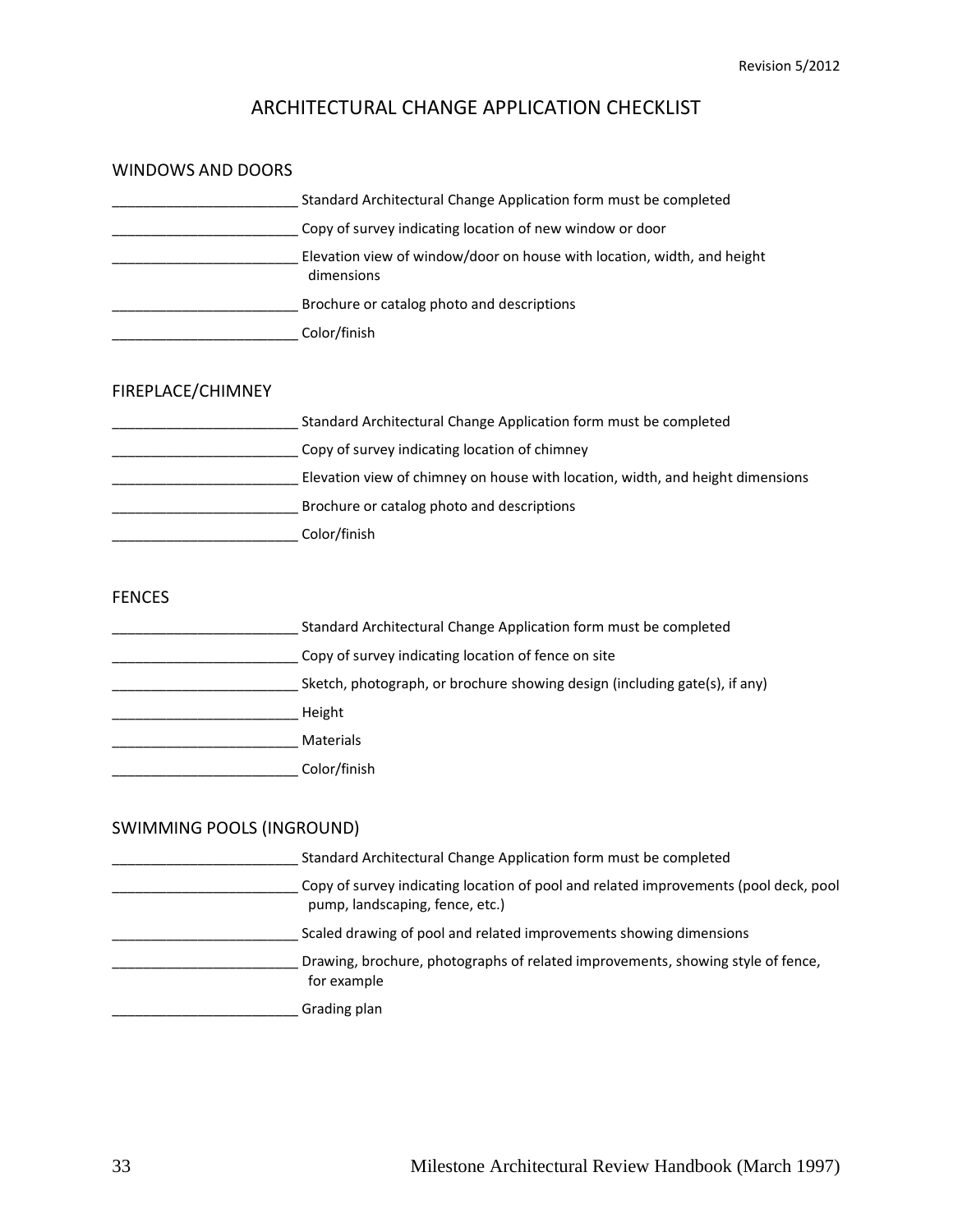| <b>WINDOWS AND DOORS</b> |                                                                                       |
|--------------------------|---------------------------------------------------------------------------------------|
|                          | Standard Architectural Change Application form must be completed                      |
|                          | Copy of survey indicating location of new window or door                              |
|                          | Elevation view of window/door on house with location, width, and height<br>dimensions |
|                          | Brochure or catalog photo and descriptions                                            |
|                          | Color/finish                                                                          |
| FIREPLACE/CHIMNEY        |                                                                                       |
|                          | Standard Architectural Change Application form must be completed                      |
|                          | Copy of survey indicating location of chimney                                         |
|                          | Elevation view of chimney on house with location, width, and height dimensions        |
|                          | Brochure or catalog photo and descriptions                                            |
|                          | Color/finish                                                                          |
| <b>FENCES</b>            |                                                                                       |
|                          | Standard Architectural Change Application form must be completed                      |
|                          | Copy of survey indicating location of fence on site                                   |
|                          | Sketch, photograph, or brochure showing design (including gate(s), if any)            |
|                          | Height                                                                                |
|                          | Materials                                                                             |

\_\_\_\_\_\_\_\_\_\_\_\_\_\_\_\_\_\_\_\_\_\_\_\_ Color/finish

#### SWIMMING POOLS (INGROUND)

\_\_\_\_\_\_\_\_\_\_\_ Standard Architectural Change Application form must be completed \_\_\_\_\_\_\_\_\_\_\_\_\_\_\_\_\_\_\_\_\_\_\_\_ Copy of survey indicating location of pool and related improvements (pool deck, pool pump, landscaping, fence, etc.) Scaled drawing of pool and related improvements showing dimensions \_\_\_\_\_\_\_\_\_\_\_\_\_\_\_\_\_\_\_\_\_\_\_\_ Drawing, brochure, photographs of related improvements, showing style of fence, for example \_\_\_\_\_\_\_\_\_\_\_\_\_\_\_\_\_\_\_\_\_\_\_\_ Grading plan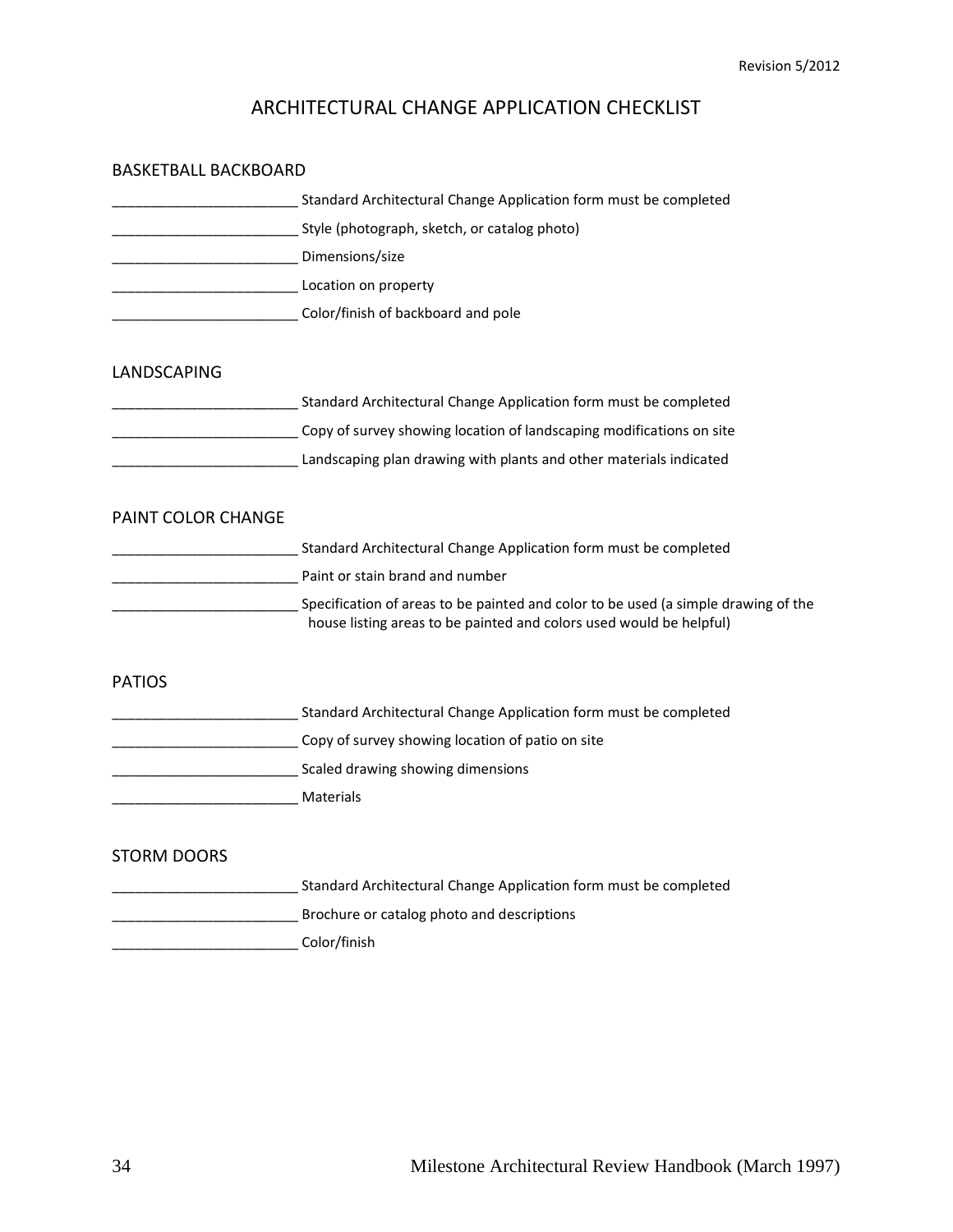| <b>BASKETBALL BACKBOARD</b> |                                                                                                                                                           |
|-----------------------------|-----------------------------------------------------------------------------------------------------------------------------------------------------------|
|                             | Standard Architectural Change Application form must be completed                                                                                          |
|                             | Style (photograph, sketch, or catalog photo)                                                                                                              |
|                             | Dimensions/size                                                                                                                                           |
| Location on property        |                                                                                                                                                           |
|                             | Color/finish of backboard and pole                                                                                                                        |
| <b>LANDSCAPING</b>          |                                                                                                                                                           |
|                             | Standard Architectural Change Application form must be completed                                                                                          |
|                             | Copy of survey showing location of landscaping modifications on site                                                                                      |
|                             | Landscaping plan drawing with plants and other materials indicated                                                                                        |
| <b>PAINT COLOR CHANGE</b>   |                                                                                                                                                           |
|                             | Standard Architectural Change Application form must be completed                                                                                          |
|                             | Paint or stain brand and number                                                                                                                           |
|                             | Specification of areas to be painted and color to be used (a simple drawing of the<br>house listing areas to be painted and colors used would be helpful) |
| <b>PATIOS</b>               |                                                                                                                                                           |
|                             | Standard Architectural Change Application form must be completed                                                                                          |
|                             | ___ Copy of survey showing location of patio on site                                                                                                      |
|                             | Scaled drawing showing dimensions                                                                                                                         |
|                             | Materials                                                                                                                                                 |
| <b>STORM DOORS</b>          |                                                                                                                                                           |
|                             | Standard Architectural Change Application form must be completed                                                                                          |
|                             | Brochure or catalog photo and descriptions                                                                                                                |
|                             | Color/finish                                                                                                                                              |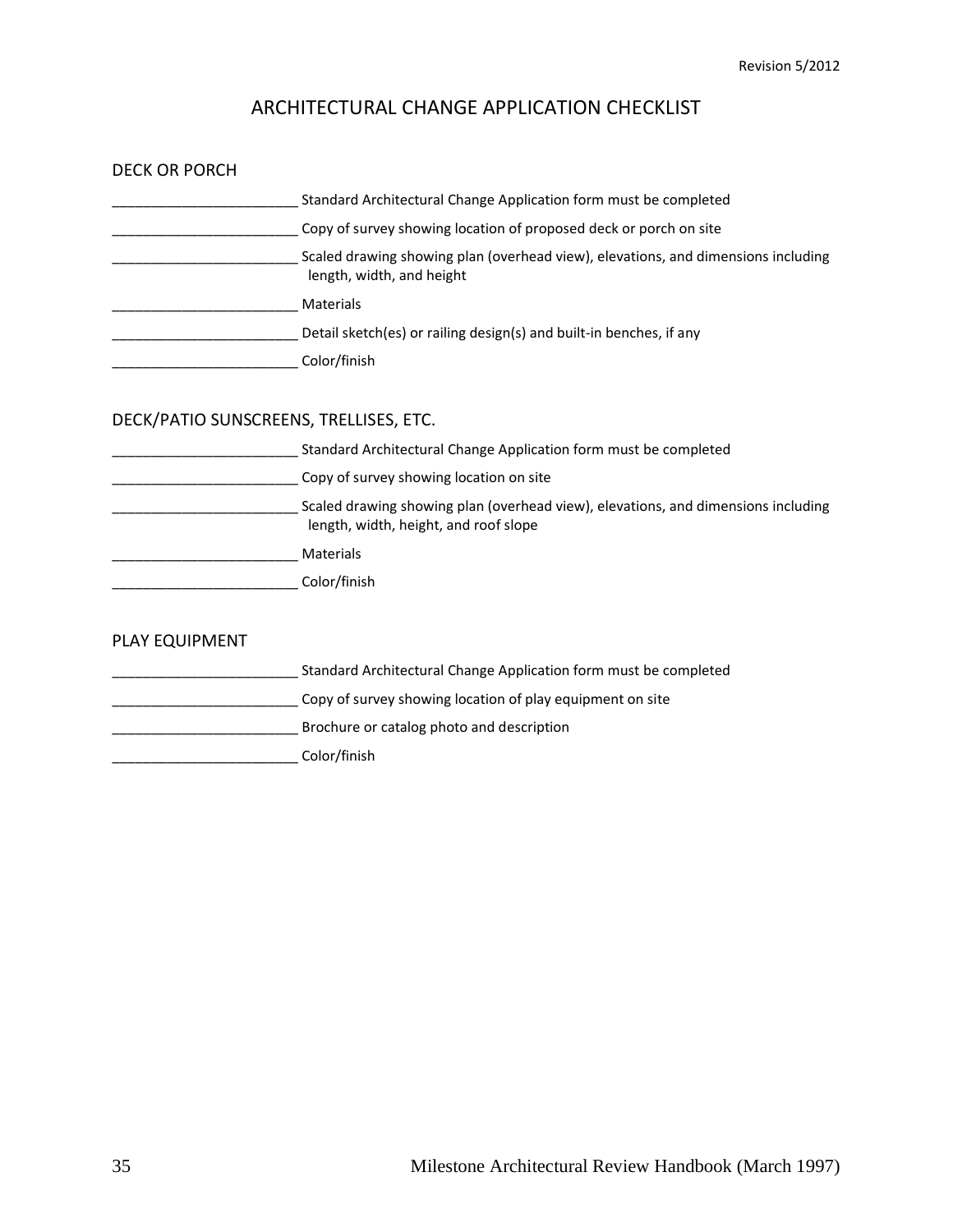| <b>DECK OR PORCH</b>                   |                                                                                                                            |
|----------------------------------------|----------------------------------------------------------------------------------------------------------------------------|
|                                        | Standard Architectural Change Application form must be completed                                                           |
|                                        | Copy of survey showing location of proposed deck or porch on site                                                          |
|                                        | Scaled drawing showing plan (overhead view), elevations, and dimensions including<br>length, width, and height             |
| <b>Materials</b> Materials             |                                                                                                                            |
|                                        | Detail sketch(es) or railing design(s) and built-in benches, if any                                                        |
| Color/finish                           |                                                                                                                            |
| DECK/PATIO SUNSCREENS, TRELLISES, ETC. |                                                                                                                            |
|                                        | Standard Architectural Change Application form must be completed                                                           |
|                                        | Copy of survey showing location on site                                                                                    |
|                                        | Scaled drawing showing plan (overhead view), elevations, and dimensions including<br>length, width, height, and roof slope |
|                                        |                                                                                                                            |
| Color/finish                           |                                                                                                                            |
| PLAY EQUIPMENT                         |                                                                                                                            |
|                                        | Standard Architectural Change Application form must be completed                                                           |
|                                        | Copy of survey showing location of play equipment on site                                                                  |
|                                        | Brochure or catalog photo and description                                                                                  |
|                                        | Color/finish                                                                                                               |
|                                        |                                                                                                                            |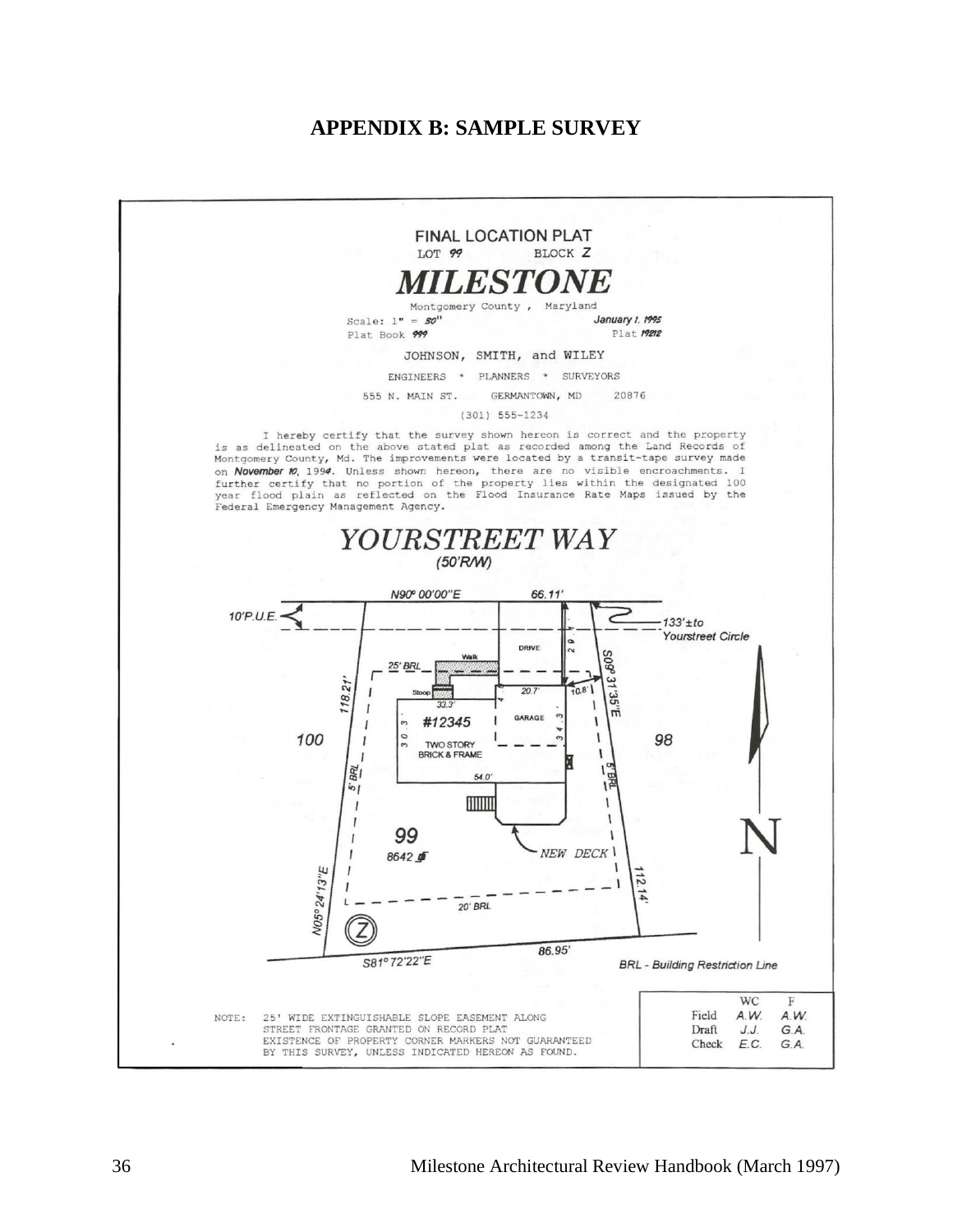### **APPENDIX B: SAMPLE SURVEY**

<span id="page-35-0"></span>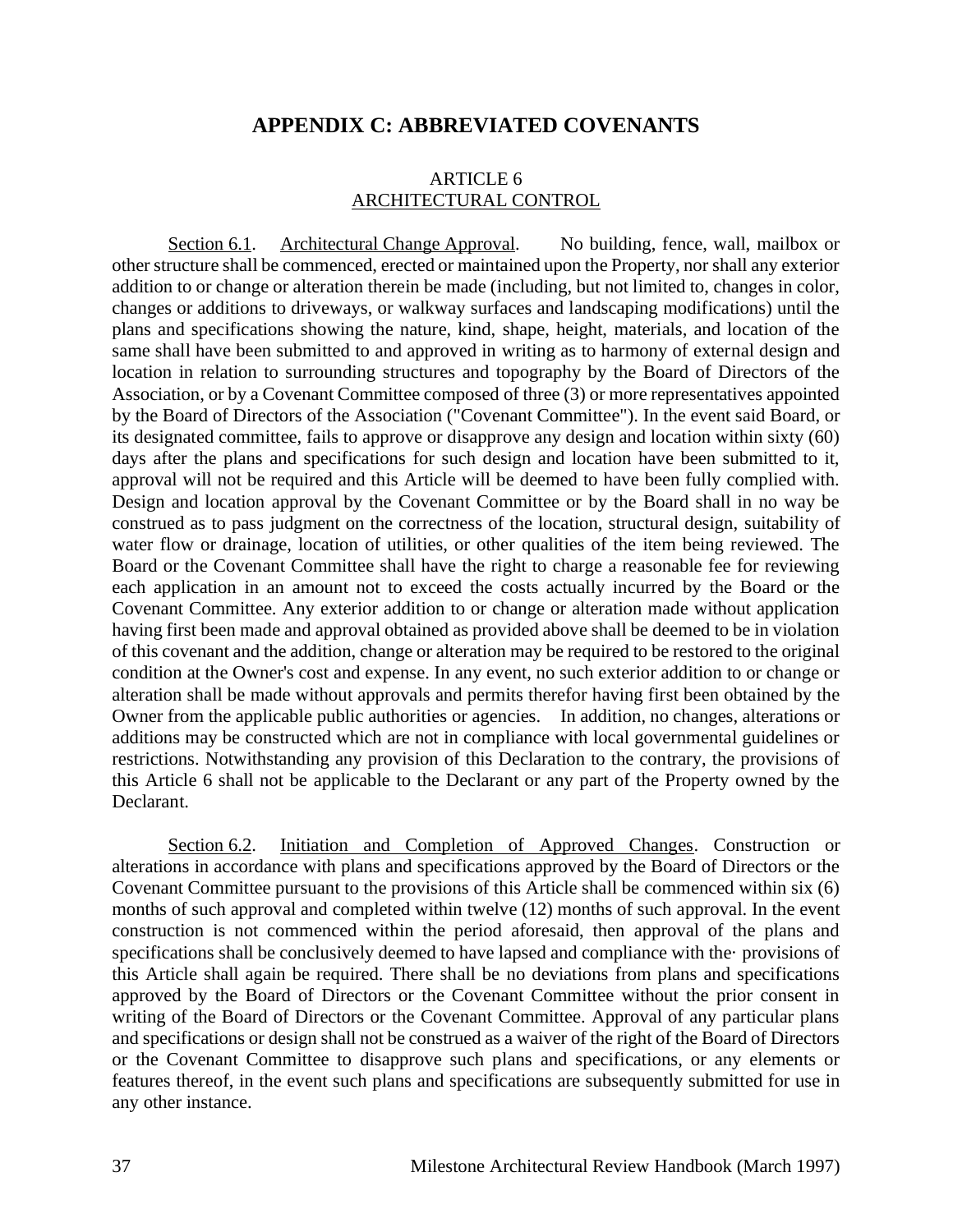#### **APPENDIX C: ABBREVIATED COVENANTS**

#### ARTICLE 6 ARCHITECTURAL CONTROL

<span id="page-36-0"></span>Section 6.1. Architectural Change Approval. No building, fence, wall, mailbox or other structure shall be commenced, erected or maintained upon the Property, nor shall any exterior addition to or change or alteration therein be made (including, but not limited to, changes in color, changes or additions to driveways, or walkway surfaces and landscaping modifications) until the plans and specifications showing the nature, kind, shape, height, materials, and location of the same shall have been submitted to and approved in writing as to harmony of external design and location in relation to surrounding structures and topography by the Board of Directors of the Association, or by a Covenant Committee composed of three (3) or more representatives appointed by the Board of Directors of the Association ("Covenant Committee"). In the event said Board, or its designated committee, fails to approve or disapprove any design and location within sixty (60) days after the plans and specifications for such design and location have been submitted to it, approval will not be required and this Article will be deemed to have been fully complied with. Design and location approval by the Covenant Committee or by the Board shall in no way be construed as to pass judgment on the correctness of the location, structural design, suitability of water flow or drainage, location of utilities, or other qualities of the item being reviewed. The Board or the Covenant Committee shall have the right to charge a reasonable fee for reviewing each application in an amount not to exceed the costs actually incurred by the Board or the Covenant Committee. Any exterior addition to or change or alteration made without application having first been made and approval obtained as provided above shall be deemed to be in violation of this covenant and the addition, change or alteration may be required to be restored to the original condition at the Owner's cost and expense. In any event, no such exterior addition to or change or alteration shall be made without approvals and permits therefor having first been obtained by the Owner from the applicable public authorities or agencies. In addition, no changes, alterations or additions may be constructed which are not in compliance with local governmental guidelines or restrictions. Notwithstanding any provision of this Declaration to the contrary, the provisions of this Article 6 shall not be applicable to the Declarant or any part of the Property owned by the Declarant.

Section 6.2. Initiation and Completion of Approved Changes. Construction or alterations in accordance with plans and specifications approved by the Board of Directors or the Covenant Committee pursuant to the provisions of this Article shall be commenced within six (6) months of such approval and completed within twelve (12) months of such approval. In the event construction is not commenced within the period aforesaid, then approval of the plans and specifications shall be conclusively deemed to have lapsed and compliance with the· provisions of this Article shall again be required. There shall be no deviations from plans and specifications approved by the Board of Directors or the Covenant Committee without the prior consent in writing of the Board of Directors or the Covenant Committee. Approval of any particular plans and specifications or design shall not be construed as a waiver of the right of the Board of Directors or the Covenant Committee to disapprove such plans and specifications, or any elements or features thereof, in the event such plans and specifications are subsequently submitted for use in any other instance.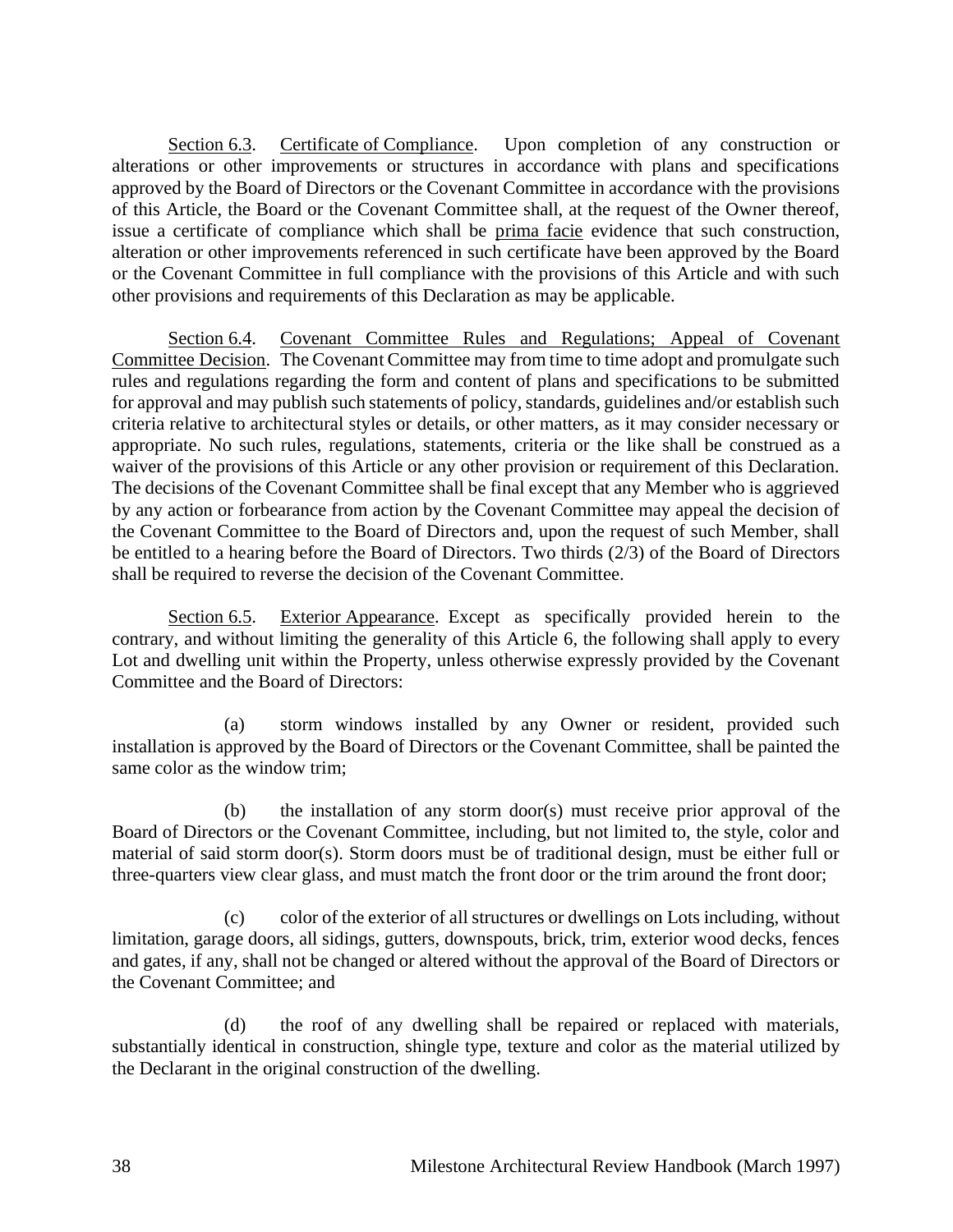Section 6.3. Certificate of Compliance. Upon completion of any construction or alterations or other improvements or structures in accordance with plans and specifications approved by the Board of Directors or the Covenant Committee in accordance with the provisions of this Article, the Board or the Covenant Committee shall, at the request of the Owner thereof, issue a certificate of compliance which shall be prima facie evidence that such construction, alteration or other improvements referenced in such certificate have been approved by the Board or the Covenant Committee in full compliance with the provisions of this Article and with such other provisions and requirements of this Declaration as may be applicable.

Section 6.4. Covenant Committee Rules and Regulations; Appeal of Covenant Committee Decision. The Covenant Committee may from time to time adopt and promulgate such rules and regulations regarding the form and content of plans and specifications to be submitted for approval and may publish such statements of policy, standards, guidelines and/or establish such criteria relative to architectural styles or details, or other matters, as it may consider necessary or appropriate. No such rules, regulations, statements, criteria or the like shall be construed as a waiver of the provisions of this Article or any other provision or requirement of this Declaration. The decisions of the Covenant Committee shall be final except that any Member who is aggrieved by any action or forbearance from action by the Covenant Committee may appeal the decision of the Covenant Committee to the Board of Directors and, upon the request of such Member, shall be entitled to a hearing before the Board of Directors. Two thirds (2/3) of the Board of Directors shall be required to reverse the decision of the Covenant Committee.

Section 6.5. Exterior Appearance. Except as specifically provided herein to the contrary, and without limiting the generality of this Article 6, the following shall apply to every Lot and dwelling unit within the Property, unless otherwise expressly provided by the Covenant Committee and the Board of Directors:

(a) storm windows installed by any Owner or resident, provided such installation is approved by the Board of Directors or the Covenant Committee, shall be painted the same color as the window trim;

(b) the installation of any storm door(s) must receive prior approval of the Board of Directors or the Covenant Committee, including, but not limited to, the style, color and material of said storm door(s). Storm doors must be of traditional design, must be either full or three-quarters view clear glass, and must match the front door or the trim around the front door;

(c) color of the exterior of all structures or dwellings on Lots including, without limitation, garage doors, all sidings, gutters, downspouts, brick, trim, exterior wood decks, fences and gates, if any, shall not be changed or altered without the approval of the Board of Directors or the Covenant Committee; and

(d) the roof of any dwelling shall be repaired or replaced with materials, substantially identical in construction, shingle type, texture and color as the material utilized by the Declarant in the original construction of the dwelling.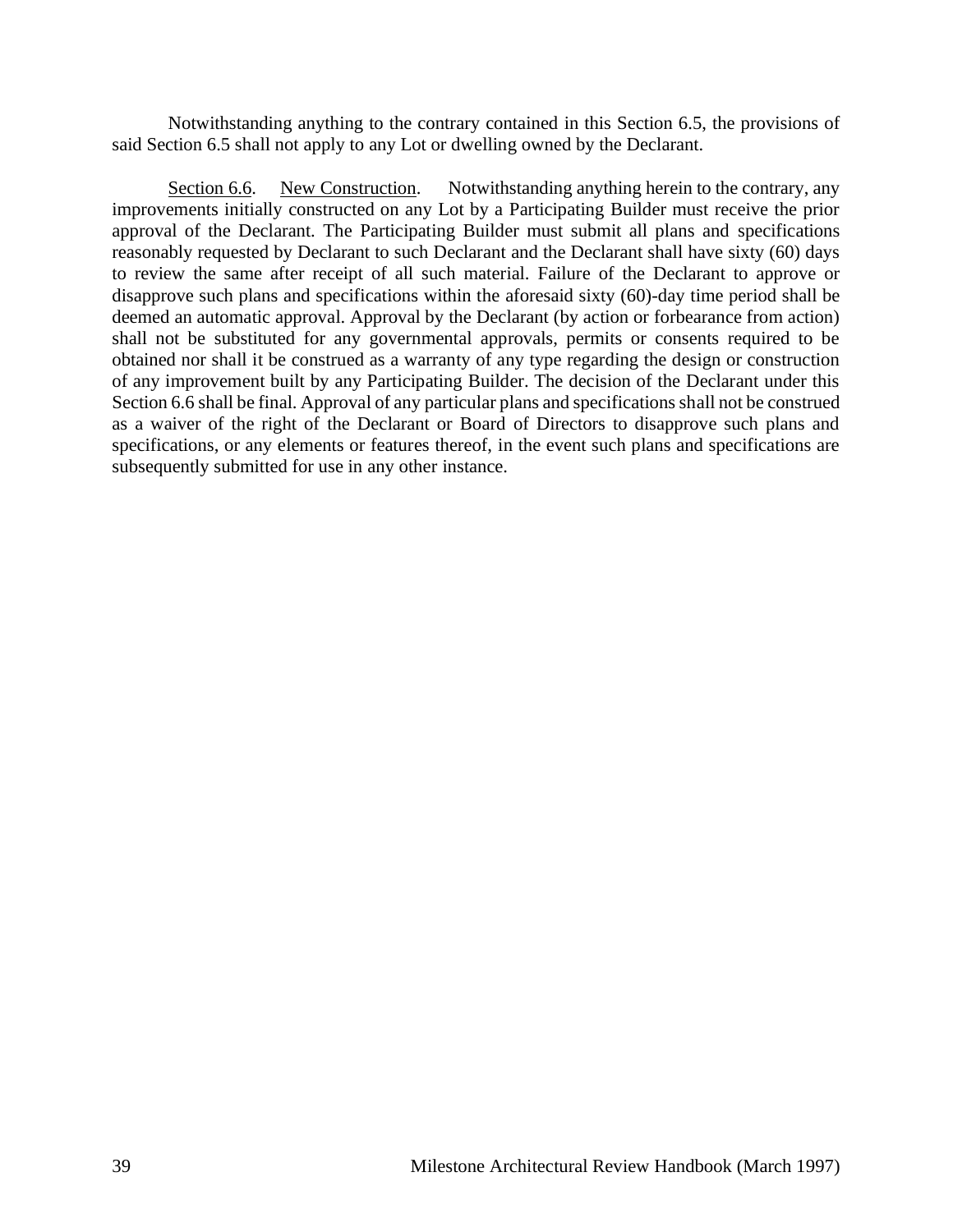Notwithstanding anything to the contrary contained in this Section 6.5, the provisions of said Section 6.5 shall not apply to any Lot or dwelling owned by the Declarant.

Section 6.6. New Construction. Notwithstanding anything herein to the contrary, any improvements initially constructed on any Lot by a Participating Builder must receive the prior approval of the Declarant. The Participating Builder must submit all plans and specifications reasonably requested by Declarant to such Declarant and the Declarant shall have sixty (60) days to review the same after receipt of all such material. Failure of the Declarant to approve or disapprove such plans and specifications within the aforesaid sixty (60)-day time period shall be deemed an automatic approval. Approval by the Declarant (by action or forbearance from action) shall not be substituted for any governmental approvals, permits or consents required to be obtained nor shall it be construed as a warranty of any type regarding the design or construction of any improvement built by any Participating Builder. The decision of the Declarant under this Section 6.6 shall be final. Approval of any particular plans and specifications shall not be construed as a waiver of the right of the Declarant or Board of Directors to disapprove such plans and specifications, or any elements or features thereof, in the event such plans and specifications are subsequently submitted for use in any other instance.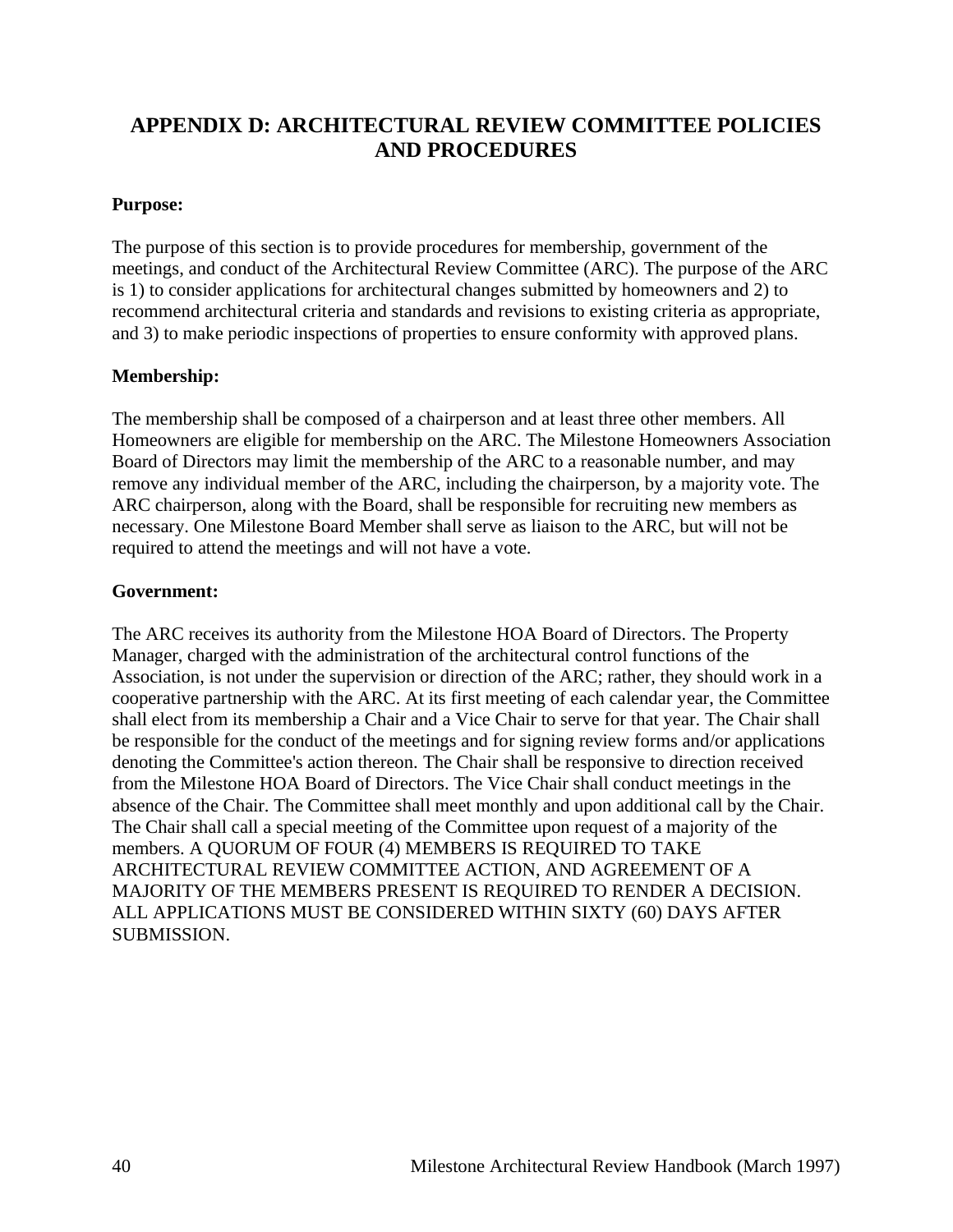# <span id="page-39-0"></span>**APPENDIX D: ARCHITECTURAL REVIEW COMMITTEE POLICIES AND PROCEDURES**

#### **Purpose:**

The purpose of this section is to provide procedures for membership, government of the meetings, and conduct of the Architectural Review Committee (ARC). The purpose of the ARC is 1) to consider applications for architectural changes submitted by homeowners and 2) to recommend architectural criteria and standards and revisions to existing criteria as appropriate, and 3) to make periodic inspections of properties to ensure conformity with approved plans.

#### **Membership:**

The membership shall be composed of a chairperson and at least three other members. All Homeowners are eligible for membership on the ARC. The Milestone Homeowners Association Board of Directors may limit the membership of the ARC to a reasonable number, and may remove any individual member of the ARC, including the chairperson, by a majority vote. The ARC chairperson, along with the Board, shall be responsible for recruiting new members as necessary. One Milestone Board Member shall serve as liaison to the ARC, but will not be required to attend the meetings and will not have a vote.

#### **Government:**

The ARC receives its authority from the Milestone HOA Board of Directors. The Property Manager, charged with the administration of the architectural control functions of the Association, is not under the supervision or direction of the ARC; rather, they should work in a cooperative partnership with the ARC. At its first meeting of each calendar year, the Committee shall elect from its membership a Chair and a Vice Chair to serve for that year. The Chair shall be responsible for the conduct of the meetings and for signing review forms and/or applications denoting the Committee's action thereon. The Chair shall be responsive to direction received from the Milestone HOA Board of Directors. The Vice Chair shall conduct meetings in the absence of the Chair. The Committee shall meet monthly and upon additional call by the Chair. The Chair shall call a special meeting of the Committee upon request of a majority of the members. A QUORUM OF FOUR (4) MEMBERS IS REQUIRED TO TAKE ARCHITECTURAL REVIEW COMMITTEE ACTION, AND AGREEMENT OF A MAJORITY OF THE MEMBERS PRESENT IS REQUIRED TO RENDER A DECISION. ALL APPLICATIONS MUST BE CONSIDERED WITHIN SIXTY (60) DAYS AFTER SUBMISSION.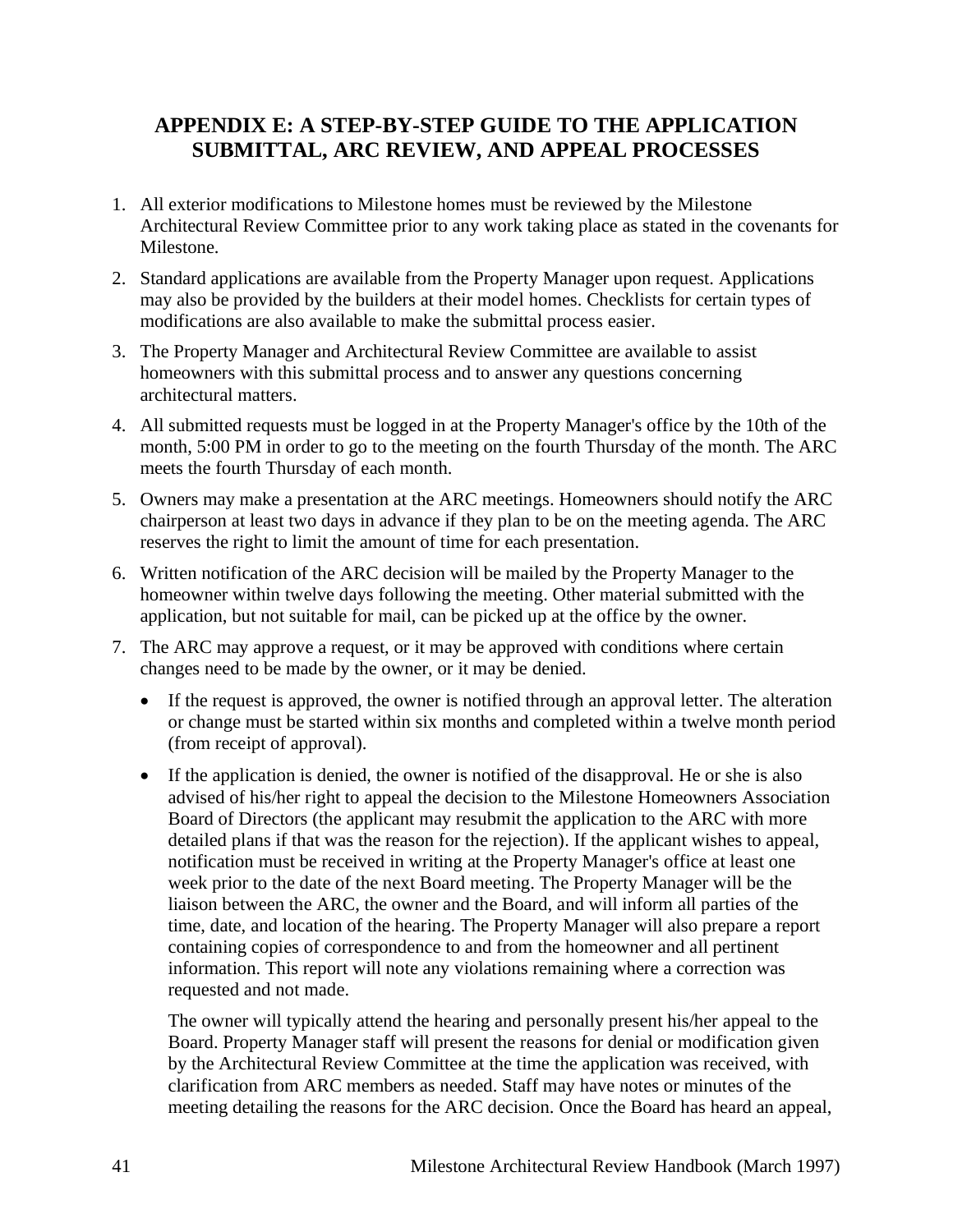# <span id="page-40-0"></span>**APPENDIX E: A STEP-BY-STEP GUIDE TO THE APPLICATION SUBMITTAL, ARC REVIEW, AND APPEAL PROCESSES**

- 1. All exterior modifications to Milestone homes must be reviewed by the Milestone Architectural Review Committee prior to any work taking place as stated in the covenants for Milestone.
- 2. Standard applications are available from the Property Manager upon request. Applications may also be provided by the builders at their model homes. Checklists for certain types of modifications are also available to make the submittal process easier.
- 3. The Property Manager and Architectural Review Committee are available to assist homeowners with this submittal process and to answer any questions concerning architectural matters.
- 4. All submitted requests must be logged in at the Property Manager's office by the 10th of the month, 5:00 PM in order to go to the meeting on the fourth Thursday of the month. The ARC meets the fourth Thursday of each month.
- 5. Owners may make a presentation at the ARC meetings. Homeowners should notify the ARC chairperson at least two days in advance if they plan to be on the meeting agenda. The ARC reserves the right to limit the amount of time for each presentation.
- 6. Written notification of the ARC decision will be mailed by the Property Manager to the homeowner within twelve days following the meeting. Other material submitted with the application, but not suitable for mail, can be picked up at the office by the owner.
- 7. The ARC may approve a request, or it may be approved with conditions where certain changes need to be made by the owner, or it may be denied.
	- If the request is approved, the owner is notified through an approval letter. The alteration or change must be started within six months and completed within a twelve month period (from receipt of approval).
	- If the application is denied, the owner is notified of the disapproval. He or she is also advised of his/her right to appeal the decision to the Milestone Homeowners Association Board of Directors (the applicant may resubmit the application to the ARC with more detailed plans if that was the reason for the rejection). If the applicant wishes to appeal, notification must be received in writing at the Property Manager's office at least one week prior to the date of the next Board meeting. The Property Manager will be the liaison between the ARC, the owner and the Board, and will inform all parties of the time, date, and location of the hearing. The Property Manager will also prepare a report containing copies of correspondence to and from the homeowner and all pertinent information. This report will note any violations remaining where a correction was requested and not made.

The owner will typically attend the hearing and personally present his/her appeal to the Board. Property Manager staff will present the reasons for denial or modification given by the Architectural Review Committee at the time the application was received, with clarification from ARC members as needed. Staff may have notes or minutes of the meeting detailing the reasons for the ARC decision. Once the Board has heard an appeal,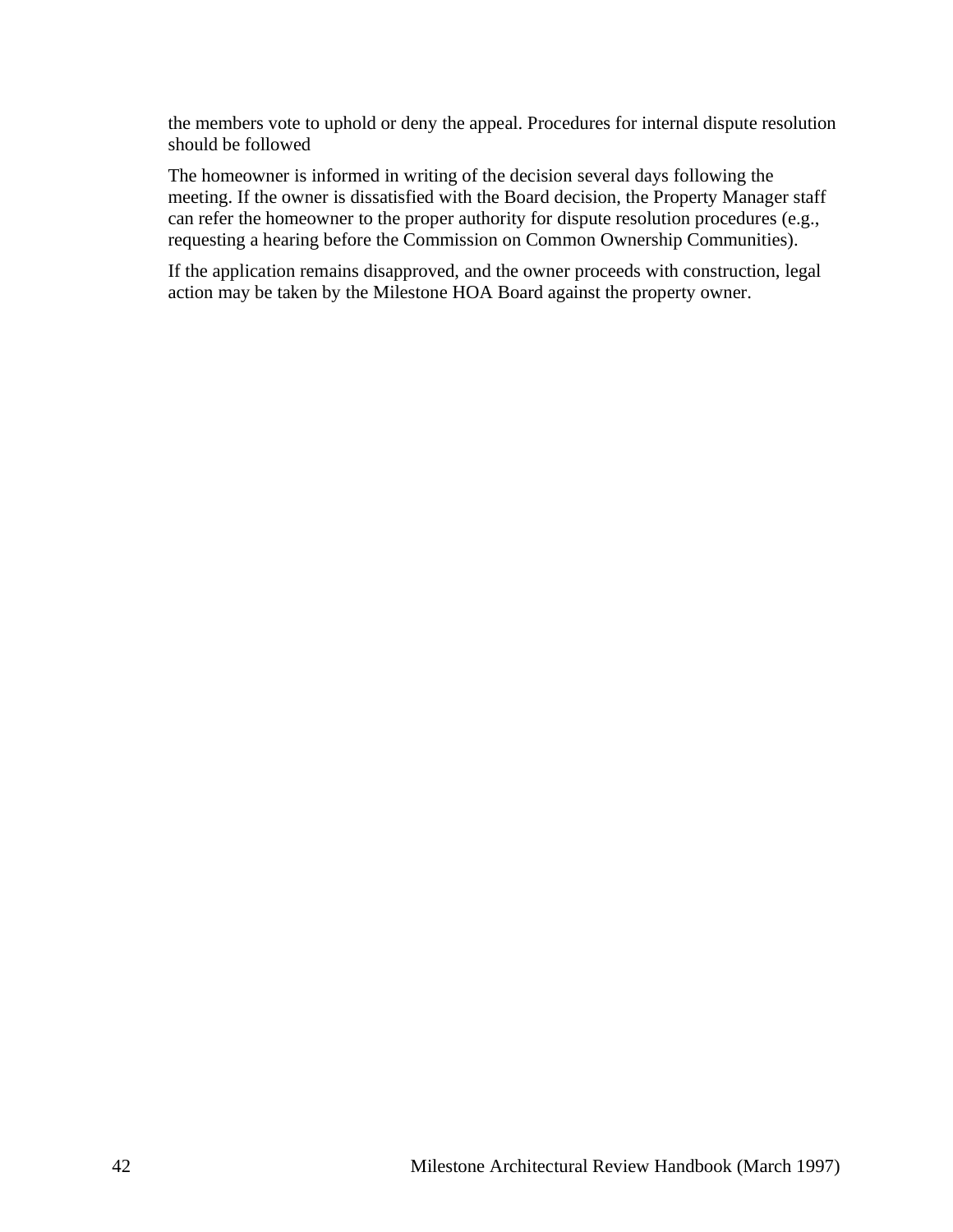the members vote to uphold or deny the appeal. Procedures for internal dispute resolution should be followed

The homeowner is informed in writing of the decision several days following the meeting. If the owner is dissatisfied with the Board decision, the Property Manager staff can refer the homeowner to the proper authority for dispute resolution procedures (e.g., requesting a hearing before the Commission on Common Ownership Communities).

If the application remains disapproved, and the owner proceeds with construction, legal action may be taken by the Milestone HOA Board against the property owner.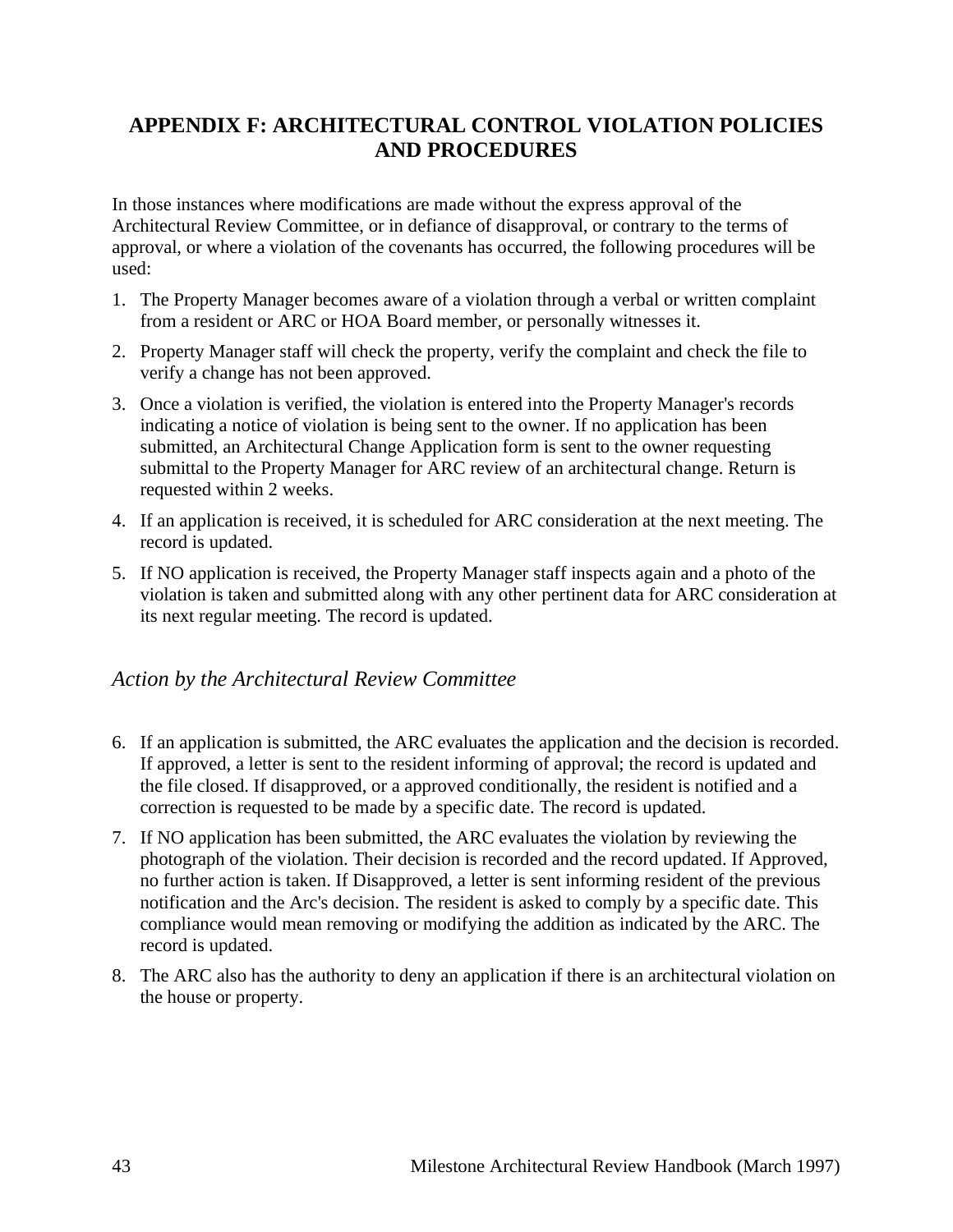# <span id="page-42-0"></span>**APPENDIX F: ARCHITECTURAL CONTROL VIOLATION POLICIES AND PROCEDURES**

In those instances where modifications are made without the express approval of the Architectural Review Committee, or in defiance of disapproval, or contrary to the terms of approval, or where a violation of the covenants has occurred, the following procedures will be used:

- 1. The Property Manager becomes aware of a violation through a verbal or written complaint from a resident or ARC or HOA Board member, or personally witnesses it.
- 2. Property Manager staff will check the property, verify the complaint and check the file to verify a change has not been approved.
- 3. Once a violation is verified, the violation is entered into the Property Manager's records indicating a notice of violation is being sent to the owner. If no application has been submitted, an Architectural Change Application form is sent to the owner requesting submittal to the Property Manager for ARC review of an architectural change. Return is requested within 2 weeks.
- 4. If an application is received, it is scheduled for ARC consideration at the next meeting. The record is updated.
- 5. If NO application is received, the Property Manager staff inspects again and a photo of the violation is taken and submitted along with any other pertinent data for ARC consideration at its next regular meeting. The record is updated.

### *Action by the Architectural Review Committee*

- 6. If an application is submitted, the ARC evaluates the application and the decision is recorded. If approved, a letter is sent to the resident informing of approval; the record is updated and the file closed. If disapproved, or a approved conditionally, the resident is notified and a correction is requested to be made by a specific date. The record is updated.
- 7. If NO application has been submitted, the ARC evaluates the violation by reviewing the photograph of the violation. Their decision is recorded and the record updated. If Approved, no further action is taken. If Disapproved, a letter is sent informing resident of the previous notification and the Arc's decision. The resident is asked to comply by a specific date. This compliance would mean removing or modifying the addition as indicated by the ARC. The record is updated.
- 8. The ARC also has the authority to deny an application if there is an architectural violation on the house or property.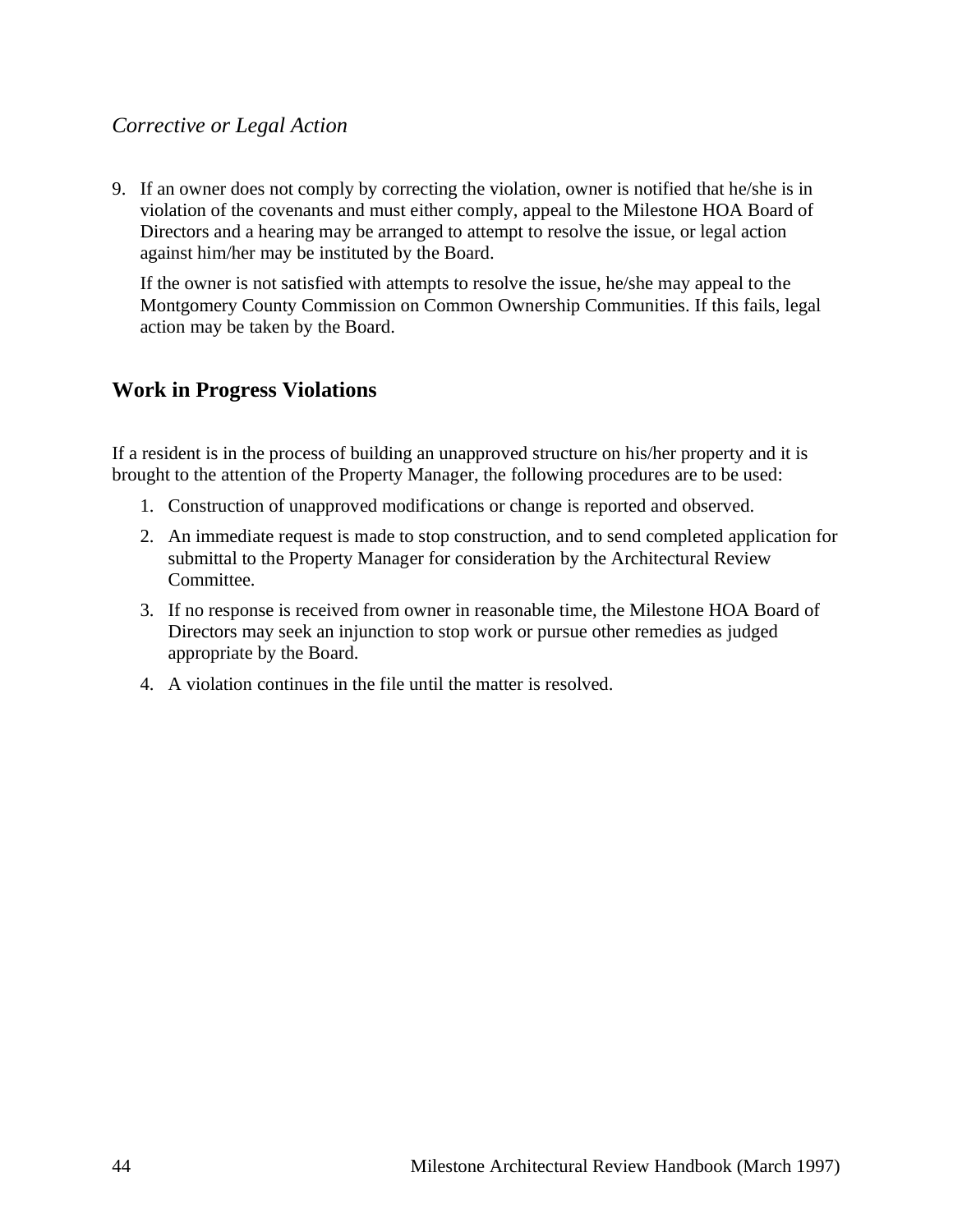### *Corrective or Legal Action*

9. If an owner does not comply by correcting the violation, owner is notified that he/she is in violation of the covenants and must either comply, appeal to the Milestone HOA Board of Directors and a hearing may be arranged to attempt to resolve the issue, or legal action against him/her may be instituted by the Board.

If the owner is not satisfied with attempts to resolve the issue, he/she may appeal to the Montgomery County Commission on Common Ownership Communities. If this fails, legal action may be taken by the Board.

### **Work in Progress Violations**

If a resident is in the process of building an unapproved structure on his/her property and it is brought to the attention of the Property Manager, the following procedures are to be used:

- 1. Construction of unapproved modifications or change is reported and observed.
- 2. An immediate request is made to stop construction, and to send completed application for submittal to the Property Manager for consideration by the Architectural Review Committee.
- 3. If no response is received from owner in reasonable time, the Milestone HOA Board of Directors may seek an injunction to stop work or pursue other remedies as judged appropriate by the Board.
- 4. A violation continues in the file until the matter is resolved.